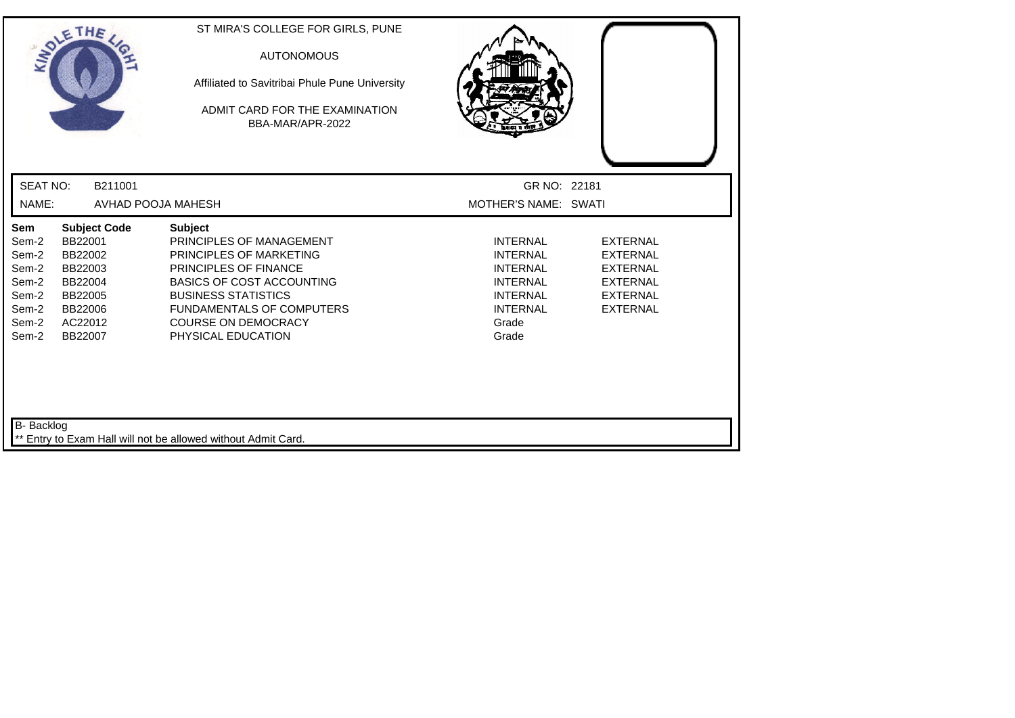| <b>SEAT NO:</b><br>B211001<br>GR NO: 22181<br>NAME:<br>AVHAD POOJA MAHESH<br>MOTHER'S NAME: SWATI<br>Sem<br><b>Subject Code</b><br><b>Subject</b><br>PRINCIPLES OF MANAGEMENT<br><b>INTERNAL</b><br>Sem-2<br>BB22001<br><b>EXTERNAL</b><br><b>INTERNAL</b><br>Sem-2<br>BB22002<br>PRINCIPLES OF MARKETING<br><b>EXTERNAL</b><br>Sem-2<br>BB22003<br><b>PRINCIPLES OF FINANCE</b><br><b>INTERNAL</b><br><b>EXTERNAL</b><br><b>BASICS OF COST ACCOUNTING</b><br><b>INTERNAL</b><br><b>EXTERNAL</b><br>Sem-2<br>BB22004<br>Sem-2<br><b>BUSINESS STATISTICS</b><br><b>INTERNAL</b><br><b>EXTERNAL</b><br>BB22005<br>Sem-2<br><b>FUNDAMENTALS OF COMPUTERS</b><br><b>INTERNAL</b><br><b>EXTERNAL</b><br>BB22006<br>Sem-2<br>AC22012<br><b>COURSE ON DEMOCRACY</b><br>Grade<br>Sem-2<br>PHYSICAL EDUCATION<br>Grade<br>BB22007 | SOLETHE | ST MIRA'S COLLEGE FOR GIRLS, PUNE<br><b>AUTONOMOUS</b><br>Affiliated to Savitribai Phule Pune University<br>ADMIT CARD FOR THE EXAMINATION<br>BBA-MAR/APR-2022 |  |
|--------------------------------------------------------------------------------------------------------------------------------------------------------------------------------------------------------------------------------------------------------------------------------------------------------------------------------------------------------------------------------------------------------------------------------------------------------------------------------------------------------------------------------------------------------------------------------------------------------------------------------------------------------------------------------------------------------------------------------------------------------------------------------------------------------------------------|---------|----------------------------------------------------------------------------------------------------------------------------------------------------------------|--|
|                                                                                                                                                                                                                                                                                                                                                                                                                                                                                                                                                                                                                                                                                                                                                                                                                          |         |                                                                                                                                                                |  |
|                                                                                                                                                                                                                                                                                                                                                                                                                                                                                                                                                                                                                                                                                                                                                                                                                          |         |                                                                                                                                                                |  |
|                                                                                                                                                                                                                                                                                                                                                                                                                                                                                                                                                                                                                                                                                                                                                                                                                          |         |                                                                                                                                                                |  |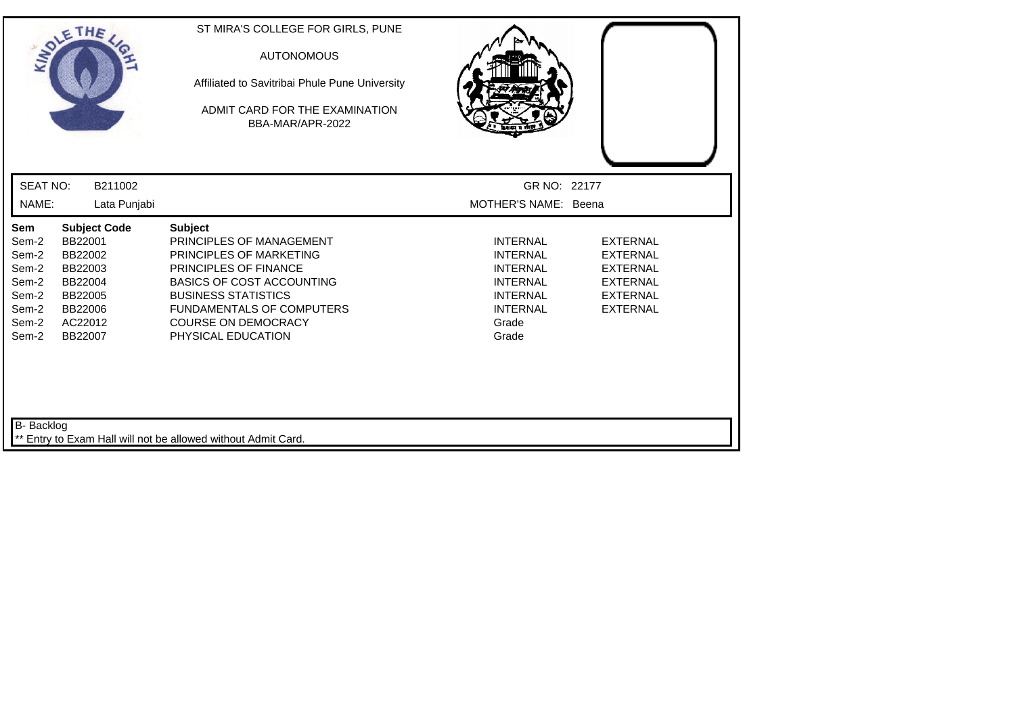|                          | SOLETHE                 | ST MIRA'S COLLEGE FOR GIRLS, PUNE<br><b>AUTONOMOUS</b><br>Affiliated to Savitribai Phule Pune University<br>ADMIT CARD FOR THE EXAMINATION<br>BBA-MAR/APR-2022 |                                      |                                    |
|--------------------------|-------------------------|----------------------------------------------------------------------------------------------------------------------------------------------------------------|--------------------------------------|------------------------------------|
| <b>SEAT NO:</b><br>NAME: | B211002<br>Lata Punjabi |                                                                                                                                                                | GR NO: 22177<br>MOTHER'S NAME: Beena |                                    |
| <b>Sem</b>               | <b>Subject Code</b>     | <b>Subject</b>                                                                                                                                                 |                                      |                                    |
| Sem-2                    | BB22001                 | PRINCIPLES OF MANAGEMENT                                                                                                                                       | <b>INTERNAL</b>                      | <b>EXTERNAL</b>                    |
| Sem-2                    | BB22002                 | PRINCIPLES OF MARKETING                                                                                                                                        | <b>INTERNAL</b>                      | <b>EXTERNAL</b>                    |
| Sem-2                    | BB22003                 | <b>PRINCIPLES OF FINANCE</b>                                                                                                                                   | <b>INTERNAL</b>                      | <b>EXTERNAL</b>                    |
| Sem-2                    | BB22004                 | <b>BASICS OF COST ACCOUNTING</b>                                                                                                                               | <b>INTERNAL</b>                      | <b>EXTERNAL</b>                    |
| Sem-2                    | BB22005<br>BB22006      | <b>BUSINESS STATISTICS</b><br>FUNDAMENTALS OF COMPUTERS                                                                                                        | <b>INTERNAL</b><br><b>INTERNAL</b>   | <b>EXTERNAL</b><br><b>EXTERNAL</b> |
| Sem-2<br>Sem-2           | AC22012                 | <b>COURSE ON DEMOCRACY</b>                                                                                                                                     | Grade                                |                                    |
| Sem-2                    | BB22007                 | PHYSICAL EDUCATION                                                                                                                                             | Grade                                |                                    |
| B- Backlog               |                         | ** Entry to Exam Hall will not be allowed without Admit Card.                                                                                                  |                                      |                                    |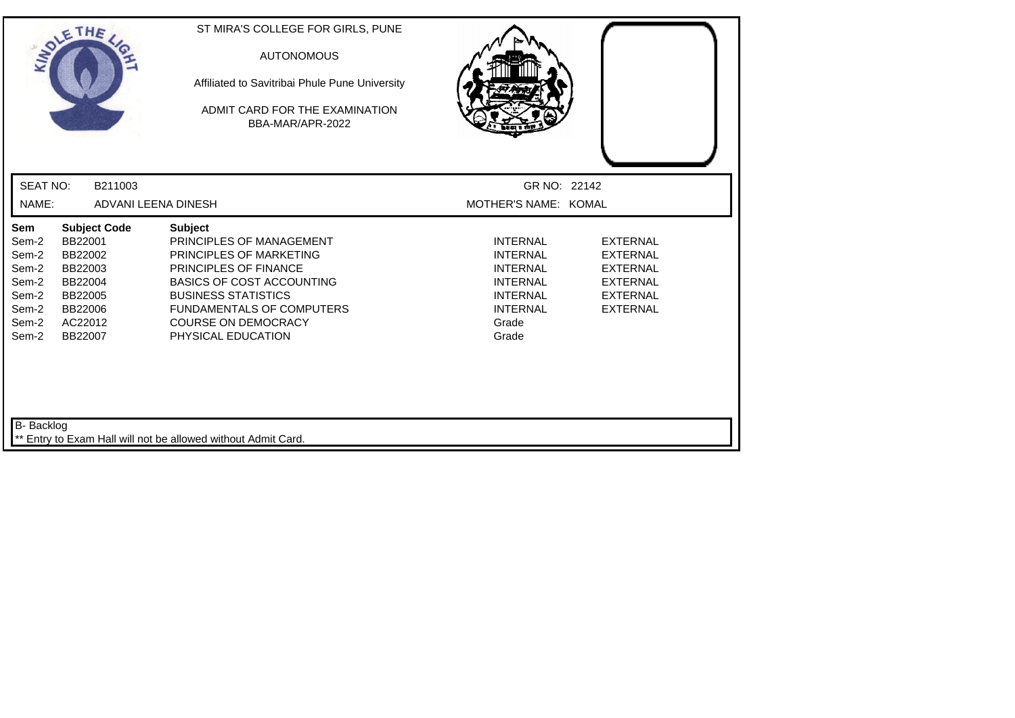| SOLETHE                                                                     |                                                                                                             | ST MIRA'S COLLEGE FOR GIRLS, PUNE<br><b>AUTONOMOUS</b><br>Affiliated to Savitribai Phule Pune University<br>ADMIT CARD FOR THE EXAMINATION<br>BBA-MAR/APR-2022                                                                                                  |                                                                                                                                  |                                                                                                                |
|-----------------------------------------------------------------------------|-------------------------------------------------------------------------------------------------------------|-----------------------------------------------------------------------------------------------------------------------------------------------------------------------------------------------------------------------------------------------------------------|----------------------------------------------------------------------------------------------------------------------------------|----------------------------------------------------------------------------------------------------------------|
| <b>SEAT NO:</b>                                                             | B211003                                                                                                     |                                                                                                                                                                                                                                                                 | GR NO: 22142                                                                                                                     |                                                                                                                |
| NAME:                                                                       | ADVANI LEENA DINESH                                                                                         |                                                                                                                                                                                                                                                                 | MOTHER'S NAME: KOMAL                                                                                                             |                                                                                                                |
| Sem<br>Sem-2<br>Sem-2<br>Sem-2<br>Sem-2<br>Sem-2<br>Sem-2<br>Sem-2<br>Sem-2 | <b>Subject Code</b><br>BB22001<br>BB22002<br>BB22003<br>BB22004<br>BB22005<br>BB22006<br>AC22012<br>BB22007 | <b>Subject</b><br>PRINCIPLES OF MANAGEMENT<br>PRINCIPLES OF MARKETING<br><b>PRINCIPLES OF FINANCE</b><br><b>BASICS OF COST ACCOUNTING</b><br><b>BUSINESS STATISTICS</b><br><b>FUNDAMENTALS OF COMPUTERS</b><br><b>COURSE ON DEMOCRACY</b><br>PHYSICAL EDUCATION | <b>INTERNAL</b><br><b>INTERNAL</b><br><b>INTERNAL</b><br><b>INTERNAL</b><br><b>INTERNAL</b><br><b>INTERNAL</b><br>Grade<br>Grade | <b>EXTERNAL</b><br><b>EXTERNAL</b><br><b>EXTERNAL</b><br><b>EXTERNAL</b><br><b>EXTERNAL</b><br><b>EXTERNAL</b> |
| B- Backlog                                                                  |                                                                                                             | Entry to Exam Hall will not be allowed without Admit Card.                                                                                                                                                                                                      |                                                                                                                                  |                                                                                                                |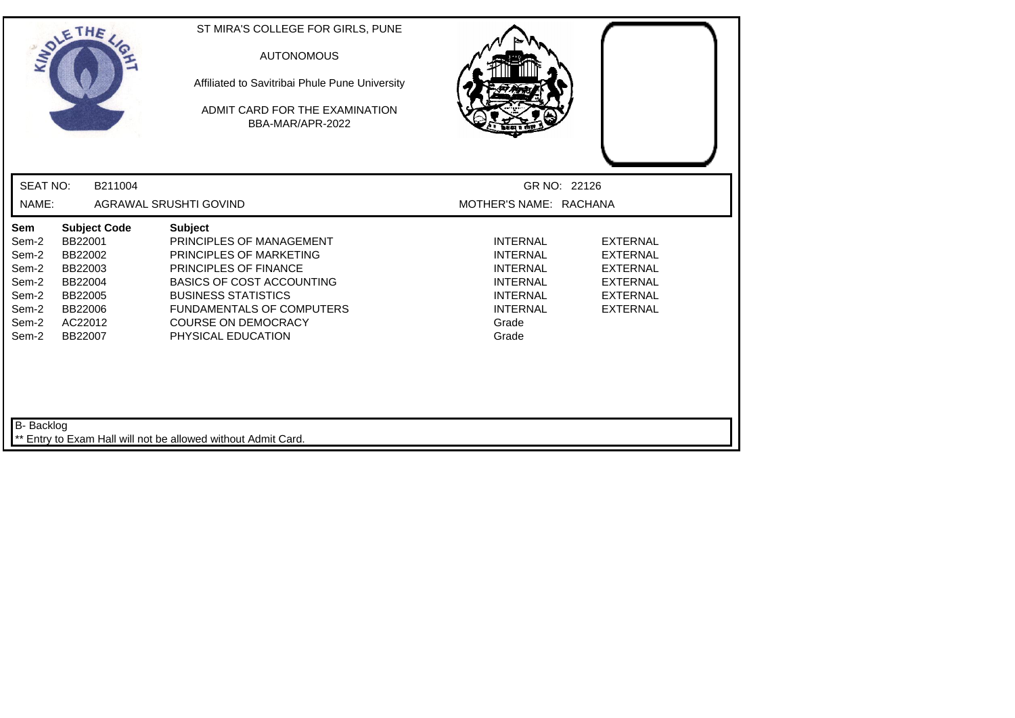| SOLETHE,                                                                                                                                                                                   | ST MIRA'S COLLEGE FOR GIRLS, PUNE<br><b>AUTONOMOUS</b><br>Affiliated to Savitribai Phule Pune University<br>ADMIT CARD FOR THE EXAMINATION<br>BBA-MAR/APR-2022                                                                                                  |                                                                                                                                  |                                                                                                                |
|--------------------------------------------------------------------------------------------------------------------------------------------------------------------------------------------|-----------------------------------------------------------------------------------------------------------------------------------------------------------------------------------------------------------------------------------------------------------------|----------------------------------------------------------------------------------------------------------------------------------|----------------------------------------------------------------------------------------------------------------|
| <b>SEAT NO:</b><br>B211004                                                                                                                                                                 |                                                                                                                                                                                                                                                                 | GR NO: 22126                                                                                                                     |                                                                                                                |
| NAME:                                                                                                                                                                                      | AGRAWAL SRUSHTI GOVIND                                                                                                                                                                                                                                          | MOTHER'S NAME: RACHANA                                                                                                           |                                                                                                                |
| Sem<br><b>Subject Code</b><br>BB22001<br>Sem-2<br>Sem-2<br>BB22002<br>Sem-2<br>BB22003<br>Sem-2<br>BB22004<br>Sem-2<br>BB22005<br>Sem-2<br>BB22006<br>Sem-2<br>AC22012<br>Sem-2<br>BB22007 | <b>Subject</b><br>PRINCIPLES OF MANAGEMENT<br>PRINCIPLES OF MARKETING<br><b>PRINCIPLES OF FINANCE</b><br><b>BASICS OF COST ACCOUNTING</b><br><b>BUSINESS STATISTICS</b><br><b>FUNDAMENTALS OF COMPUTERS</b><br><b>COURSE ON DEMOCRACY</b><br>PHYSICAL EDUCATION | <b>INTERNAL</b><br><b>INTERNAL</b><br><b>INTERNAL</b><br><b>INTERNAL</b><br><b>INTERNAL</b><br><b>INTERNAL</b><br>Grade<br>Grade | <b>EXTERNAL</b><br><b>EXTERNAL</b><br><b>EXTERNAL</b><br><b>EXTERNAL</b><br><b>EXTERNAL</b><br><b>EXTERNAL</b> |
| B- Backlog                                                                                                                                                                                 | Entry to Exam Hall will not be allowed without Admit Card.                                                                                                                                                                                                      |                                                                                                                                  |                                                                                                                |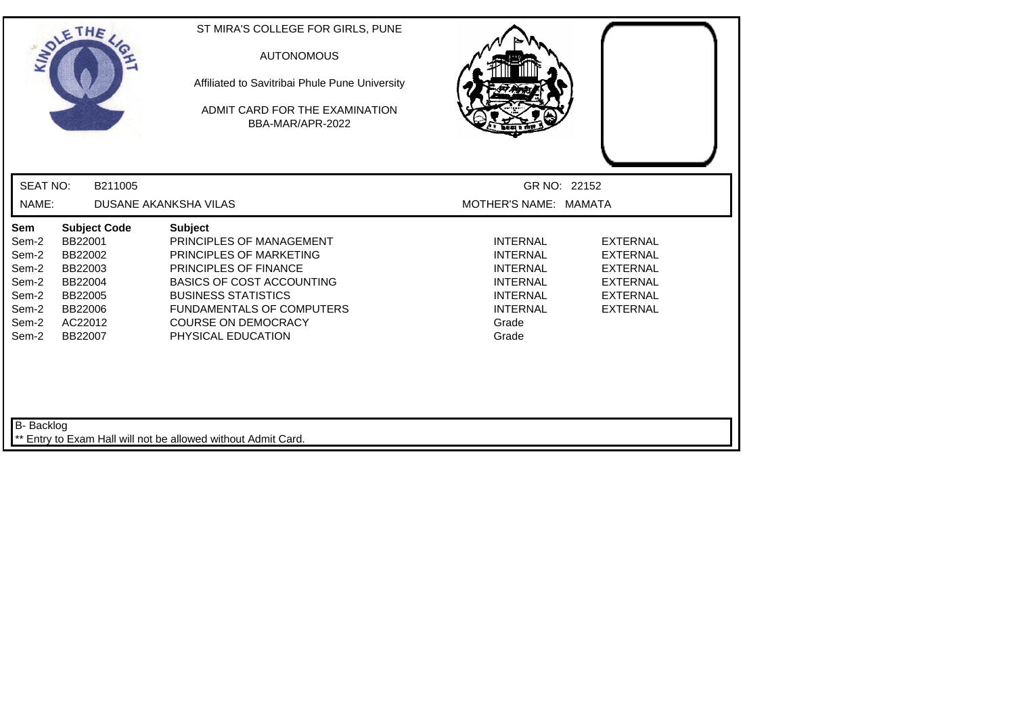| THE<br>ANDLE                                                                                                                                                                               | ST MIRA'S COLLEGE FOR GIRLS, PUNE<br><b>AUTONOMOUS</b><br>Affiliated to Savitribai Phule Pune University<br>ADMIT CARD FOR THE EXAMINATION<br>BBA-MAR/APR-2022                                                                                           |                                                                                                                                  |                                                                                                                |
|--------------------------------------------------------------------------------------------------------------------------------------------------------------------------------------------|----------------------------------------------------------------------------------------------------------------------------------------------------------------------------------------------------------------------------------------------------------|----------------------------------------------------------------------------------------------------------------------------------|----------------------------------------------------------------------------------------------------------------|
| <b>SEAT NO:</b>                                                                                                                                                                            | B211005                                                                                                                                                                                                                                                  | GR NO: 22152                                                                                                                     |                                                                                                                |
| NAME:                                                                                                                                                                                      | <b>DUSANE AKANKSHA VILAS</b>                                                                                                                                                                                                                             | MOTHER'S NAME: MAMATA                                                                                                            |                                                                                                                |
| Sem<br><b>Subject Code</b><br>BB22001<br>Sem-2<br>Sem-2<br>BB22002<br>Sem-2<br>BB22003<br>Sem-2<br>BB22004<br>Sem-2<br>BB22005<br>Sem-2<br>BB22006<br>Sem-2<br>AC22012<br>Sem-2<br>BB22007 | <b>Subject</b><br>PRINCIPLES OF MANAGEMENT<br>PRINCIPLES OF MARKETING<br>PRINCIPLES OF FINANCE<br><b>BASICS OF COST ACCOUNTING</b><br><b>BUSINESS STATISTICS</b><br><b>FUNDAMENTALS OF COMPUTERS</b><br><b>COURSE ON DEMOCRACY</b><br>PHYSICAL EDUCATION | <b>INTERNAL</b><br><b>INTERNAL</b><br><b>INTERNAL</b><br><b>INTERNAL</b><br><b>INTERNAL</b><br><b>INTERNAL</b><br>Grade<br>Grade | <b>EXTERNAL</b><br><b>EXTERNAL</b><br><b>EXTERNAL</b><br><b>EXTERNAL</b><br><b>EXTERNAL</b><br><b>EXTERNAL</b> |
| B- Backlog                                                                                                                                                                                 | ** Entry to Exam Hall will not be allowed without Admit Card.                                                                                                                                                                                            |                                                                                                                                  |                                                                                                                |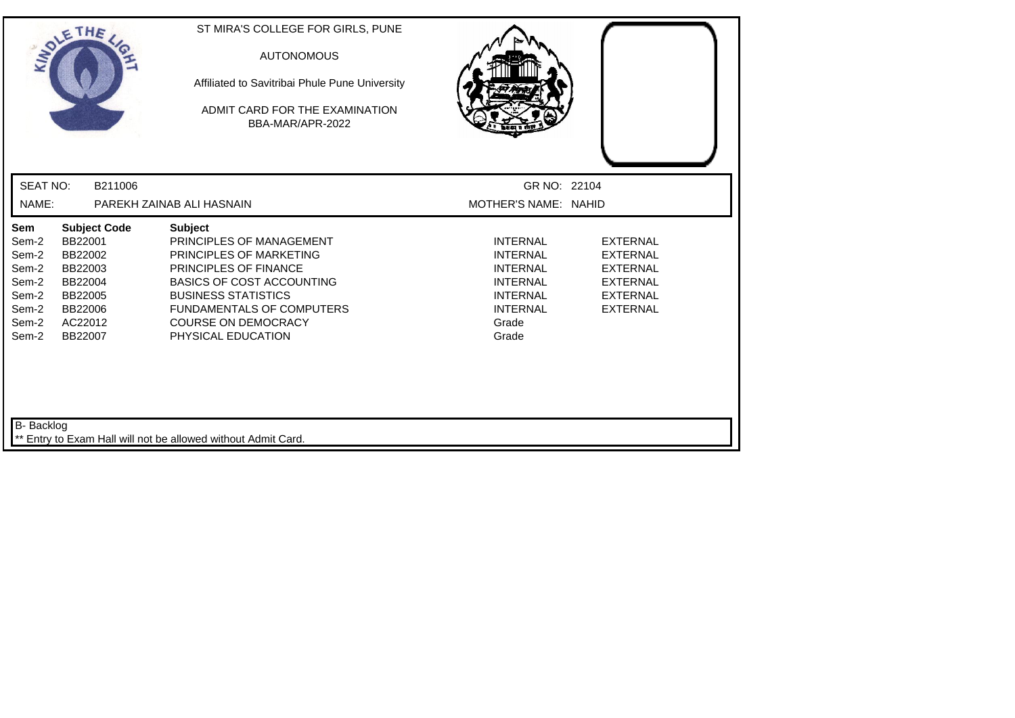| SOLETHE,                                                                                                                                                            |                                                               | ST MIRA'S COLLEGE FOR GIRLS, PUNE<br><b>AUTONOMOUS</b><br>Affiliated to Savitribai Phule Pune University<br>ADMIT CARD FOR THE EXAMINATION<br>BBA-MAR/APR-2022                                                                                |                                                                                                                                  |                                                                                                                |
|---------------------------------------------------------------------------------------------------------------------------------------------------------------------|---------------------------------------------------------------|-----------------------------------------------------------------------------------------------------------------------------------------------------------------------------------------------------------------------------------------------|----------------------------------------------------------------------------------------------------------------------------------|----------------------------------------------------------------------------------------------------------------|
| <b>SEAT NO:</b>                                                                                                                                                     | B211006                                                       |                                                                                                                                                                                                                                               |                                                                                                                                  | GR NO: 22104                                                                                                   |
| NAME:                                                                                                                                                               | PAREKH ZAINAB ALI HASNAIN                                     |                                                                                                                                                                                                                                               | MOTHER'S NAME: NAHID                                                                                                             |                                                                                                                |
| Sem<br>BB22001<br>Sem-2<br>Sem-2<br>BB22002<br>Sem-2<br>BB22003<br>Sem-2<br>BB22004<br>Sem-2<br>BB22005<br>Sem-2<br>BB22006<br>Sem-2<br>AC22012<br>Sem-2<br>BB22007 | <b>Subject Code</b><br><b>Subject</b>                         | PRINCIPLES OF MANAGEMENT<br>PRINCIPLES OF MARKETING<br><b>PRINCIPLES OF FINANCE</b><br><b>BASICS OF COST ACCOUNTING</b><br><b>BUSINESS STATISTICS</b><br><b>FUNDAMENTALS OF COMPUTERS</b><br><b>COURSE ON DEMOCRACY</b><br>PHYSICAL EDUCATION | <b>INTERNAL</b><br><b>INTERNAL</b><br><b>INTERNAL</b><br><b>INTERNAL</b><br><b>INTERNAL</b><br><b>INTERNAL</b><br>Grade<br>Grade | <b>EXTERNAL</b><br><b>EXTERNAL</b><br><b>EXTERNAL</b><br><b>EXTERNAL</b><br><b>EXTERNAL</b><br><b>EXTERNAL</b> |
| B- Backlog                                                                                                                                                          | ** Entry to Exam Hall will not be allowed without Admit Card. |                                                                                                                                                                                                                                               |                                                                                                                                  |                                                                                                                |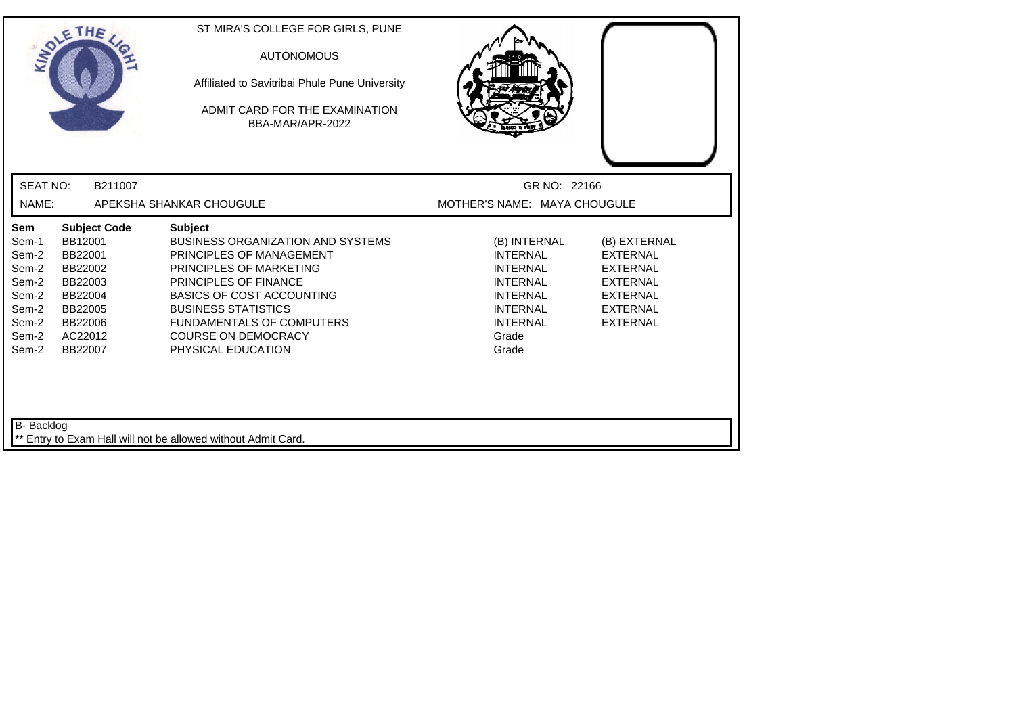| <b>SEAT NO:</b><br>B211007<br>GR NO: 22166<br>NAME:<br>APEKSHA SHANKAR CHOUGULE<br>MOTHER'S NAME: MAYA CHOUGULE<br>Sem<br><b>Subject Code</b><br><b>Subject</b><br>BB12001<br><b>BUSINESS ORGANIZATION AND SYSTEMS</b><br>Sem-1<br>(B) INTERNAL<br>(B) EXTERNAL<br>Sem-2<br>BB22001<br>PRINCIPLES OF MANAGEMENT<br><b>INTERNAL</b><br><b>EXTERNAL</b><br>Sem-2<br>BB22002<br><b>INTERNAL</b><br><b>EXTERNAL</b><br>PRINCIPLES OF MARKETING<br>PRINCIPLES OF FINANCE<br><b>INTERNAL</b><br>Sem-2<br>BB22003<br><b>EXTERNAL</b><br>Sem-2<br><b>BASICS OF COST ACCOUNTING</b><br>BB22004<br><b>INTERNAL</b><br><b>EXTERNAL</b><br><b>BUSINESS STATISTICS</b><br>Sem-2<br>BB22005<br><b>INTERNAL</b><br><b>EXTERNAL</b><br><b>FUNDAMENTALS OF COMPUTERS</b><br><b>INTERNAL</b><br><b>EXTERNAL</b><br>Sem-2<br>BB22006<br>Sem-2<br>AC22012<br><b>COURSE ON DEMOCRACY</b><br>Grade<br>PHYSICAL EDUCATION<br>Sem-2<br>BB22007<br>Grade | LADLE | THE | ST MIRA'S COLLEGE FOR GIRLS, PUNE<br><b>AUTONOMOUS</b><br>Affiliated to Savitribai Phule Pune University<br>ADMIT CARD FOR THE EXAMINATION<br>BBA-MAR/APR-2022 |  |
|---------------------------------------------------------------------------------------------------------------------------------------------------------------------------------------------------------------------------------------------------------------------------------------------------------------------------------------------------------------------------------------------------------------------------------------------------------------------------------------------------------------------------------------------------------------------------------------------------------------------------------------------------------------------------------------------------------------------------------------------------------------------------------------------------------------------------------------------------------------------------------------------------------------------------------|-------|-----|----------------------------------------------------------------------------------------------------------------------------------------------------------------|--|
|                                                                                                                                                                                                                                                                                                                                                                                                                                                                                                                                                                                                                                                                                                                                                                                                                                                                                                                                 |       |     |                                                                                                                                                                |  |
|                                                                                                                                                                                                                                                                                                                                                                                                                                                                                                                                                                                                                                                                                                                                                                                                                                                                                                                                 |       |     |                                                                                                                                                                |  |
|                                                                                                                                                                                                                                                                                                                                                                                                                                                                                                                                                                                                                                                                                                                                                                                                                                                                                                                                 |       |     |                                                                                                                                                                |  |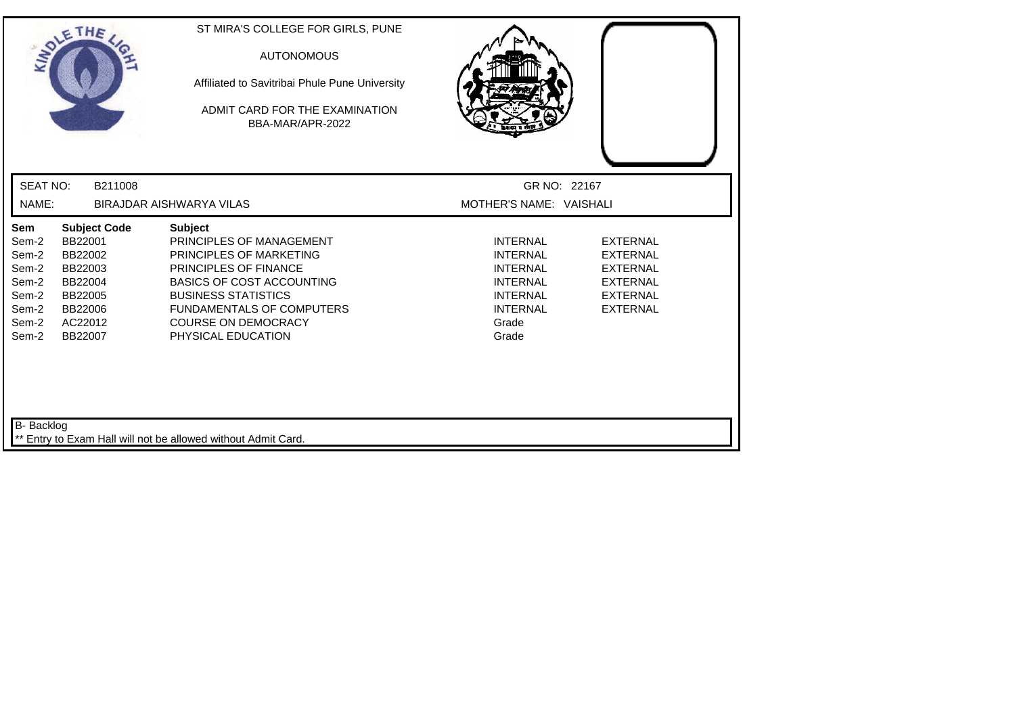| THE<br>ANDLE                                                                                                                                                                               | ST MIRA'S COLLEGE FOR GIRLS, PUNE<br><b>AUTONOMOUS</b><br>Affiliated to Savitribai Phule Pune University<br>ADMIT CARD FOR THE EXAMINATION<br>BBA-MAR/APR-2022                                                                                           |                                                                                                                                  |                                                                                                                |
|--------------------------------------------------------------------------------------------------------------------------------------------------------------------------------------------|----------------------------------------------------------------------------------------------------------------------------------------------------------------------------------------------------------------------------------------------------------|----------------------------------------------------------------------------------------------------------------------------------|----------------------------------------------------------------------------------------------------------------|
| <b>SEAT NO:</b><br>B211008                                                                                                                                                                 |                                                                                                                                                                                                                                                          | GR NO: 22167                                                                                                                     |                                                                                                                |
| NAME:                                                                                                                                                                                      | BIRAJDAR AISHWARYA VILAS                                                                                                                                                                                                                                 | MOTHER'S NAME: VAISHALI                                                                                                          |                                                                                                                |
| Sem<br><b>Subject Code</b><br>BB22001<br>Sem-2<br>Sem-2<br>BB22002<br>Sem-2<br>BB22003<br>Sem-2<br>BB22004<br>Sem-2<br>BB22005<br>BB22006<br>Sem-2<br>Sem-2<br>AC22012<br>Sem-2<br>BB22007 | <b>Subject</b><br>PRINCIPLES OF MANAGEMENT<br>PRINCIPLES OF MARKETING<br>PRINCIPLES OF FINANCE<br><b>BASICS OF COST ACCOUNTING</b><br><b>BUSINESS STATISTICS</b><br><b>FUNDAMENTALS OF COMPUTERS</b><br><b>COURSE ON DEMOCRACY</b><br>PHYSICAL EDUCATION | <b>INTERNAL</b><br><b>INTERNAL</b><br><b>INTERNAL</b><br><b>INTERNAL</b><br><b>INTERNAL</b><br><b>INTERNAL</b><br>Grade<br>Grade | <b>EXTERNAL</b><br><b>EXTERNAL</b><br><b>EXTERNAL</b><br><b>EXTERNAL</b><br><b>EXTERNAL</b><br><b>EXTERNAL</b> |
| B- Backlog                                                                                                                                                                                 | Entry to Exam Hall will not be allowed without Admit Card.                                                                                                                                                                                               |                                                                                                                                  |                                                                                                                |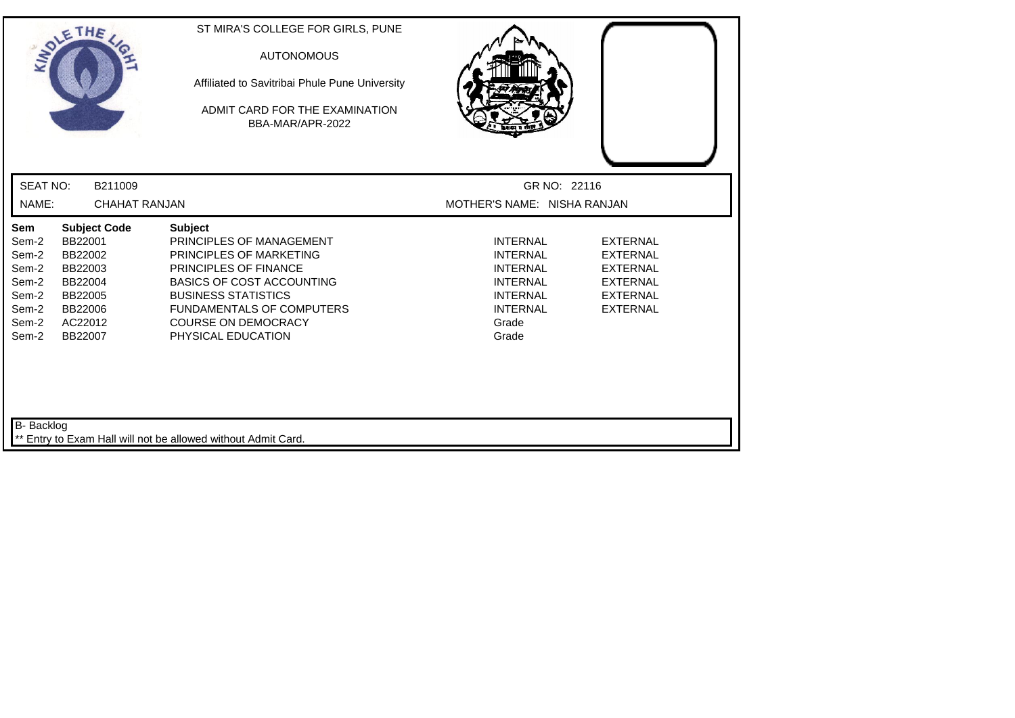| SOLETHE,                                                                                                                                                                                   | ST MIRA'S COLLEGE FOR GIRLS, PUNE<br><b>AUTONOMOUS</b><br>Affiliated to Savitribai Phule Pune University<br>ADMIT CARD FOR THE EXAMINATION<br>BBA-MAR/APR-2022                                                                                                  |                                                                                                                                  |                                                                                                                |
|--------------------------------------------------------------------------------------------------------------------------------------------------------------------------------------------|-----------------------------------------------------------------------------------------------------------------------------------------------------------------------------------------------------------------------------------------------------------------|----------------------------------------------------------------------------------------------------------------------------------|----------------------------------------------------------------------------------------------------------------|
| <b>SEAT NO:</b><br>B211009                                                                                                                                                                 |                                                                                                                                                                                                                                                                 | GR NO: 22116                                                                                                                     |                                                                                                                |
| NAME:<br><b>CHAHAT RANJAN</b>                                                                                                                                                              |                                                                                                                                                                                                                                                                 | MOTHER'S NAME: NISHA RANJAN                                                                                                      |                                                                                                                |
| Sem<br><b>Subject Code</b><br>BB22001<br>Sem-2<br>Sem-2<br>BB22002<br>Sem-2<br>BB22003<br>Sem-2<br>BB22004<br>Sem-2<br>BB22005<br>Sem-2<br>BB22006<br>Sem-2<br>AC22012<br>Sem-2<br>BB22007 | <b>Subject</b><br>PRINCIPLES OF MANAGEMENT<br>PRINCIPLES OF MARKETING<br><b>PRINCIPLES OF FINANCE</b><br><b>BASICS OF COST ACCOUNTING</b><br><b>BUSINESS STATISTICS</b><br><b>FUNDAMENTALS OF COMPUTERS</b><br><b>COURSE ON DEMOCRACY</b><br>PHYSICAL EDUCATION | <b>INTERNAL</b><br><b>INTERNAL</b><br><b>INTERNAL</b><br><b>INTERNAL</b><br><b>INTERNAL</b><br><b>INTERNAL</b><br>Grade<br>Grade | <b>EXTERNAL</b><br><b>EXTERNAL</b><br><b>EXTERNAL</b><br><b>EXTERNAL</b><br><b>EXTERNAL</b><br><b>EXTERNAL</b> |
| B- Backlog                                                                                                                                                                                 | Entry to Exam Hall will not be allowed without Admit Card.                                                                                                                                                                                                      |                                                                                                                                  |                                                                                                                |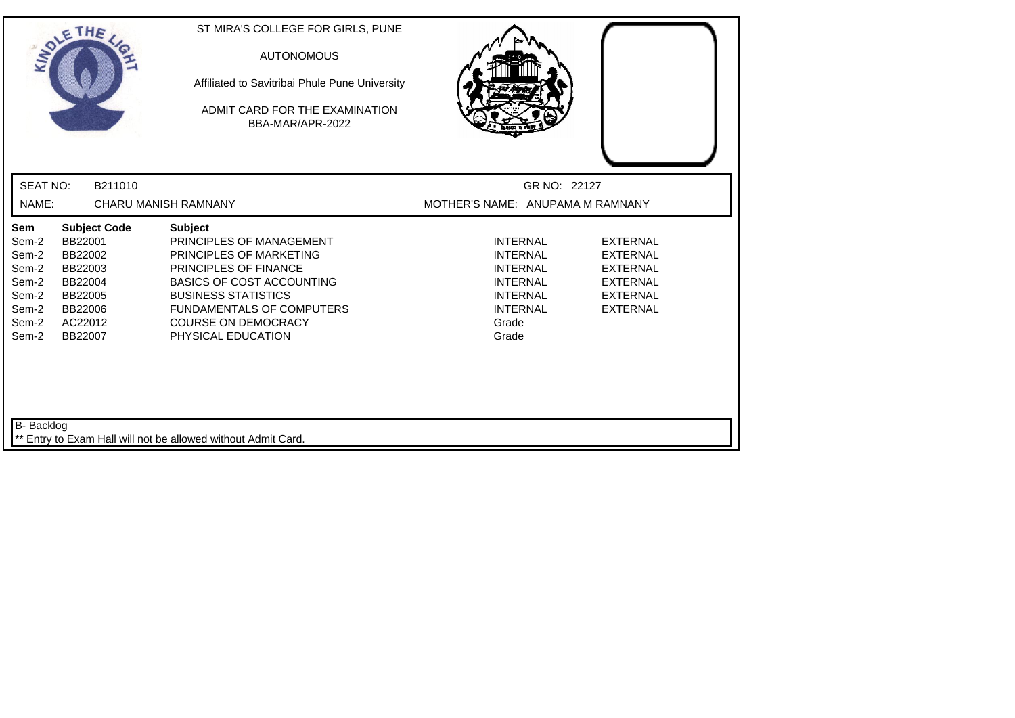|                                                                                    | SOLETHE ,                                                                                                   | ST MIRA'S COLLEGE FOR GIRLS, PUNE<br><b>AUTONOMOUS</b><br>Affiliated to Savitribai Phule Pune University<br>ADMIT CARD FOR THE EXAMINATION<br>BBA-MAR/APR-2022                                                                                                  |                                                                                                                                  |                                                                                                                |
|------------------------------------------------------------------------------------|-------------------------------------------------------------------------------------------------------------|-----------------------------------------------------------------------------------------------------------------------------------------------------------------------------------------------------------------------------------------------------------------|----------------------------------------------------------------------------------------------------------------------------------|----------------------------------------------------------------------------------------------------------------|
| <b>SEAT NO:</b>                                                                    | B211010                                                                                                     |                                                                                                                                                                                                                                                                 | GR NO: 22127                                                                                                                     |                                                                                                                |
| NAME:                                                                              |                                                                                                             | CHARU MANISH RAMNANY                                                                                                                                                                                                                                            | MOTHER'S NAME: ANUPAMA M RAMNANY                                                                                                 |                                                                                                                |
| <b>Sem</b><br>Sem-2<br>Sem-2<br>Sem-2<br>Sem-2<br>Sem-2<br>Sem-2<br>Sem-2<br>Sem-2 | <b>Subject Code</b><br>BB22001<br>BB22002<br>BB22003<br>BB22004<br>BB22005<br>BB22006<br>AC22012<br>BB22007 | <b>Subject</b><br>PRINCIPLES OF MANAGEMENT<br>PRINCIPLES OF MARKETING<br><b>PRINCIPLES OF FINANCE</b><br><b>BASICS OF COST ACCOUNTING</b><br><b>BUSINESS STATISTICS</b><br><b>FUNDAMENTALS OF COMPUTERS</b><br><b>COURSE ON DEMOCRACY</b><br>PHYSICAL EDUCATION | <b>INTERNAL</b><br><b>INTERNAL</b><br><b>INTERNAL</b><br><b>INTERNAL</b><br><b>INTERNAL</b><br><b>INTERNAL</b><br>Grade<br>Grade | <b>EXTERNAL</b><br><b>EXTERNAL</b><br><b>EXTERNAL</b><br><b>EXTERNAL</b><br><b>EXTERNAL</b><br><b>EXTERNAL</b> |
| B- Backlog                                                                         |                                                                                                             | Entry to Exam Hall will not be allowed without Admit Card.                                                                                                                                                                                                      |                                                                                                                                  |                                                                                                                |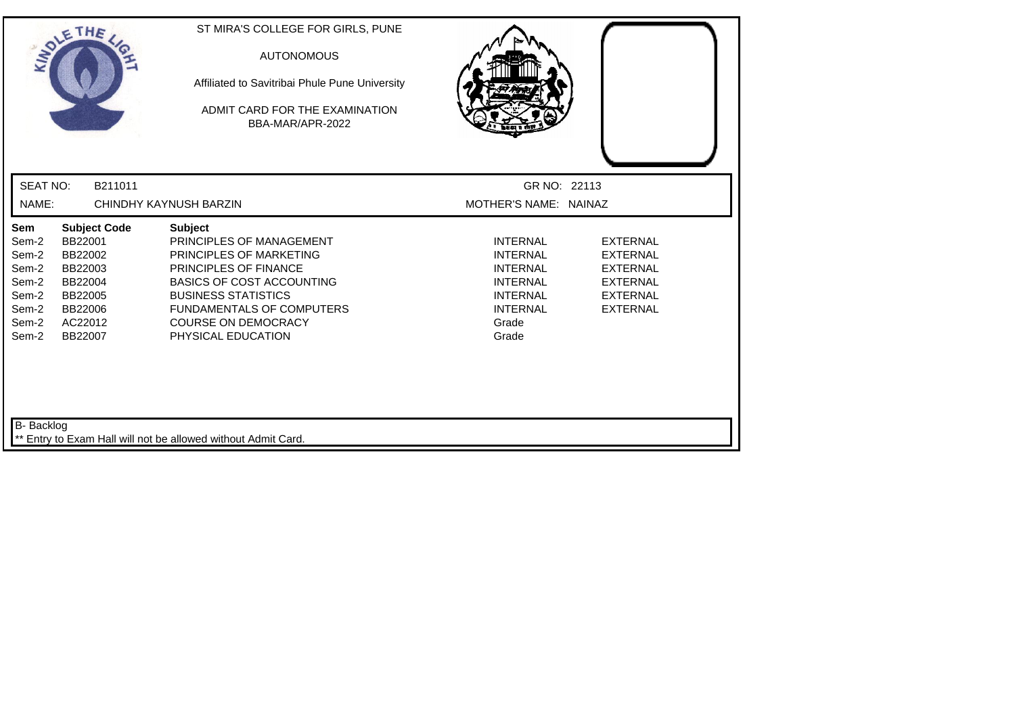| INDIE                                                                              | THE                                                                                                         | ST MIRA'S COLLEGE FOR GIRLS, PUNE<br><b>AUTONOMOUS</b><br>Affiliated to Savitribai Phule Pune University<br>ADMIT CARD FOR THE EXAMINATION<br>BBA-MAR/APR-2022                                                                                                  |                                                                                                                                  |                                                                                                                |
|------------------------------------------------------------------------------------|-------------------------------------------------------------------------------------------------------------|-----------------------------------------------------------------------------------------------------------------------------------------------------------------------------------------------------------------------------------------------------------------|----------------------------------------------------------------------------------------------------------------------------------|----------------------------------------------------------------------------------------------------------------|
| <b>SEAT NO:</b>                                                                    | B211011                                                                                                     |                                                                                                                                                                                                                                                                 | GR NO: 22113                                                                                                                     |                                                                                                                |
| NAME:                                                                              |                                                                                                             | CHINDHY KAYNUSH BARZIN                                                                                                                                                                                                                                          | MOTHER'S NAME: NAINAZ                                                                                                            |                                                                                                                |
| <b>Sem</b><br>Sem-2<br>Sem-2<br>Sem-2<br>Sem-2<br>Sem-2<br>Sem-2<br>Sem-2<br>Sem-2 | <b>Subject Code</b><br>BB22001<br>BB22002<br>BB22003<br>BB22004<br>BB22005<br>BB22006<br>AC22012<br>BB22007 | <b>Subject</b><br>PRINCIPLES OF MANAGEMENT<br>PRINCIPLES OF MARKETING<br><b>PRINCIPLES OF FINANCE</b><br><b>BASICS OF COST ACCOUNTING</b><br><b>BUSINESS STATISTICS</b><br><b>FUNDAMENTALS OF COMPUTERS</b><br><b>COURSE ON DEMOCRACY</b><br>PHYSICAL EDUCATION | <b>INTERNAL</b><br><b>INTERNAL</b><br><b>INTERNAL</b><br><b>INTERNAL</b><br><b>INTERNAL</b><br><b>INTERNAL</b><br>Grade<br>Grade | <b>EXTERNAL</b><br><b>EXTERNAL</b><br><b>EXTERNAL</b><br><b>EXTERNAL</b><br><b>EXTERNAL</b><br><b>EXTERNAL</b> |
| B- Backlog                                                                         |                                                                                                             | ** Entry to Exam Hall will not be allowed without Admit Card.                                                                                                                                                                                                   |                                                                                                                                  |                                                                                                                |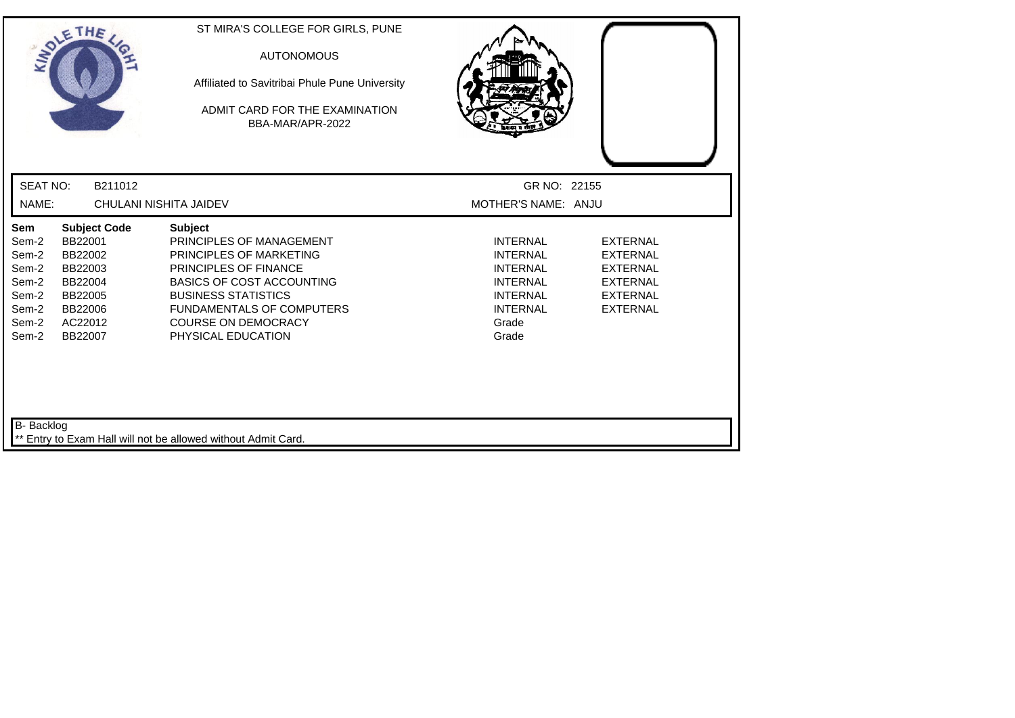| SOLETHE,                                                                    |                                                                                                             | ST MIRA'S COLLEGE FOR GIRLS, PUNE<br><b>AUTONOMOUS</b><br>Affiliated to Savitribai Phule Pune University<br>ADMIT CARD FOR THE EXAMINATION<br>BBA-MAR/APR-2022                                                                                                  |                                                                                                                                  |                                                                                                                |
|-----------------------------------------------------------------------------|-------------------------------------------------------------------------------------------------------------|-----------------------------------------------------------------------------------------------------------------------------------------------------------------------------------------------------------------------------------------------------------------|----------------------------------------------------------------------------------------------------------------------------------|----------------------------------------------------------------------------------------------------------------|
| <b>SEAT NO:</b>                                                             | B211012                                                                                                     |                                                                                                                                                                                                                                                                 | GR NO: 22155                                                                                                                     |                                                                                                                |
| NAME:                                                                       | CHULANI NISHITA JAIDEV                                                                                      |                                                                                                                                                                                                                                                                 | MOTHER'S NAME: ANJU                                                                                                              |                                                                                                                |
| Sem<br>Sem-2<br>Sem-2<br>Sem-2<br>Sem-2<br>Sem-2<br>Sem-2<br>Sem-2<br>Sem-2 | <b>Subject Code</b><br>BB22001<br>BB22002<br>BB22003<br>BB22004<br>BB22005<br>BB22006<br>AC22012<br>BB22007 | <b>Subject</b><br>PRINCIPLES OF MANAGEMENT<br><b>PRINCIPLES OF MARKETING</b><br>PRINCIPLES OF FINANCE<br><b>BASICS OF COST ACCOUNTING</b><br><b>BUSINESS STATISTICS</b><br><b>FUNDAMENTALS OF COMPUTERS</b><br><b>COURSE ON DEMOCRACY</b><br>PHYSICAL EDUCATION | <b>INTERNAL</b><br><b>INTERNAL</b><br><b>INTERNAL</b><br><b>INTERNAL</b><br><b>INTERNAL</b><br><b>INTERNAL</b><br>Grade<br>Grade | <b>EXTERNAL</b><br><b>EXTERNAL</b><br><b>EXTERNAL</b><br><b>EXTERNAL</b><br><b>EXTERNAL</b><br><b>EXTERNAL</b> |
| B- Backlog                                                                  |                                                                                                             | Entry to Exam Hall will not be allowed without Admit Card.                                                                                                                                                                                                      |                                                                                                                                  |                                                                                                                |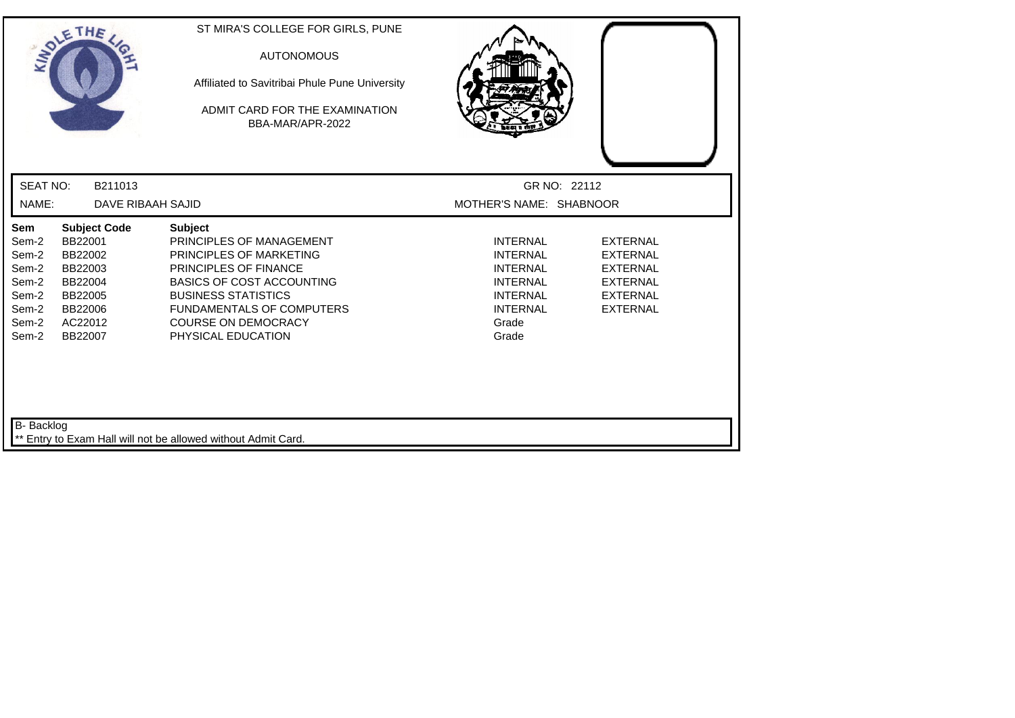| SOLETHE,                                                                    |                                                                                                             | ST MIRA'S COLLEGE FOR GIRLS, PUNE<br><b>AUTONOMOUS</b><br>Affiliated to Savitribai Phule Pune University<br>ADMIT CARD FOR THE EXAMINATION<br>BBA-MAR/APR-2022                                                                                           |                                                                                                                                  |                                                                                                                |
|-----------------------------------------------------------------------------|-------------------------------------------------------------------------------------------------------------|----------------------------------------------------------------------------------------------------------------------------------------------------------------------------------------------------------------------------------------------------------|----------------------------------------------------------------------------------------------------------------------------------|----------------------------------------------------------------------------------------------------------------|
| <b>SEAT NO:</b>                                                             | B211013                                                                                                     |                                                                                                                                                                                                                                                          | GR NO: 22112                                                                                                                     |                                                                                                                |
| NAME:                                                                       | DAVE RIBAAH SAJID                                                                                           |                                                                                                                                                                                                                                                          | MOTHER'S NAME: SHABNOOR                                                                                                          |                                                                                                                |
| Sem<br>Sem-2<br>Sem-2<br>Sem-2<br>Sem-2<br>Sem-2<br>Sem-2<br>Sem-2<br>Sem-2 | <b>Subject Code</b><br>BB22001<br>BB22002<br>BB22003<br>BB22004<br>BB22005<br>BB22006<br>AC22012<br>BB22007 | <b>Subject</b><br>PRINCIPLES OF MANAGEMENT<br>PRINCIPLES OF MARKETING<br>PRINCIPLES OF FINANCE<br><b>BASICS OF COST ACCOUNTING</b><br><b>BUSINESS STATISTICS</b><br><b>FUNDAMENTALS OF COMPUTERS</b><br><b>COURSE ON DEMOCRACY</b><br>PHYSICAL EDUCATION | <b>INTERNAL</b><br><b>INTERNAL</b><br><b>INTERNAL</b><br><b>INTERNAL</b><br><b>INTERNAL</b><br><b>INTERNAL</b><br>Grade<br>Grade | <b>EXTERNAL</b><br><b>EXTERNAL</b><br><b>EXTERNAL</b><br><b>EXTERNAL</b><br><b>EXTERNAL</b><br><b>EXTERNAL</b> |
| B- Backlog                                                                  |                                                                                                             | ** Entry to Exam Hall will not be allowed without Admit Card.                                                                                                                                                                                            |                                                                                                                                  |                                                                                                                |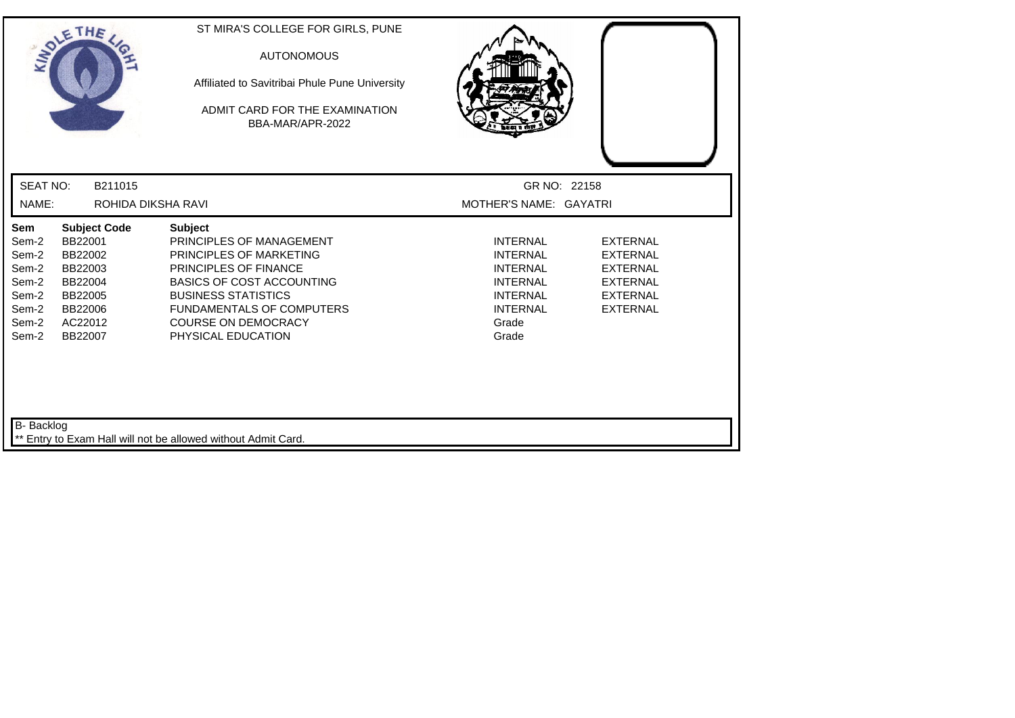| SOLETHE ,                                                                   |                                                                                                             | ST MIRA'S COLLEGE FOR GIRLS, PUNE<br><b>AUTONOMOUS</b><br>Affiliated to Savitribai Phule Pune University<br>ADMIT CARD FOR THE EXAMINATION<br>BBA-MAR/APR-2022                                                                                                  |                                                                                                                                  |                                                                                                                |
|-----------------------------------------------------------------------------|-------------------------------------------------------------------------------------------------------------|-----------------------------------------------------------------------------------------------------------------------------------------------------------------------------------------------------------------------------------------------------------------|----------------------------------------------------------------------------------------------------------------------------------|----------------------------------------------------------------------------------------------------------------|
| <b>SEAT NO:</b>                                                             | B211015                                                                                                     |                                                                                                                                                                                                                                                                 | GR NO: 22158                                                                                                                     |                                                                                                                |
| NAME:                                                                       | ROHIDA DIKSHA RAVI                                                                                          |                                                                                                                                                                                                                                                                 | MOTHER'S NAME: GAYATRI                                                                                                           |                                                                                                                |
| Sem<br>Sem-2<br>Sem-2<br>Sem-2<br>Sem-2<br>Sem-2<br>Sem-2<br>Sem-2<br>Sem-2 | <b>Subject Code</b><br>BB22001<br>BB22002<br>BB22003<br>BB22004<br>BB22005<br>BB22006<br>AC22012<br>BB22007 | <b>Subject</b><br>PRINCIPLES OF MANAGEMENT<br>PRINCIPLES OF MARKETING<br><b>PRINCIPLES OF FINANCE</b><br><b>BASICS OF COST ACCOUNTING</b><br><b>BUSINESS STATISTICS</b><br><b>FUNDAMENTALS OF COMPUTERS</b><br><b>COURSE ON DEMOCRACY</b><br>PHYSICAL EDUCATION | <b>INTERNAL</b><br><b>INTERNAL</b><br><b>INTERNAL</b><br><b>INTERNAL</b><br><b>INTERNAL</b><br><b>INTERNAL</b><br>Grade<br>Grade | <b>EXTERNAL</b><br><b>EXTERNAL</b><br><b>EXTERNAL</b><br><b>EXTERNAL</b><br><b>EXTERNAL</b><br><b>EXTERNAL</b> |
| B- Backlog                                                                  |                                                                                                             | ** Entry to Exam Hall will not be allowed without Admit Card.                                                                                                                                                                                                   |                                                                                                                                  |                                                                                                                |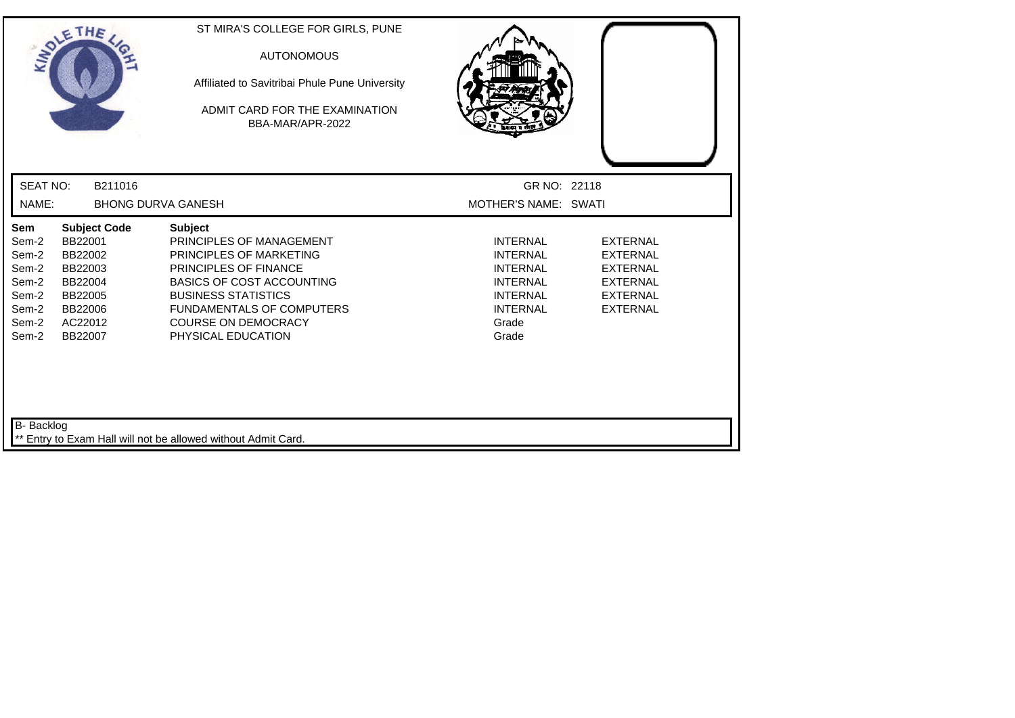|                                                                             | SOLETHE                                                                                                     | ST MIRA'S COLLEGE FOR GIRLS, PUNE<br><b>AUTONOMOUS</b><br>Affiliated to Savitribai Phule Pune University<br>ADMIT CARD FOR THE EXAMINATION<br>BBA-MAR/APR-2022                                                                                                  |                                                                                                                                  |                                                                                                                |
|-----------------------------------------------------------------------------|-------------------------------------------------------------------------------------------------------------|-----------------------------------------------------------------------------------------------------------------------------------------------------------------------------------------------------------------------------------------------------------------|----------------------------------------------------------------------------------------------------------------------------------|----------------------------------------------------------------------------------------------------------------|
| <b>SEAT NO:</b>                                                             | B211016                                                                                                     |                                                                                                                                                                                                                                                                 | GR NO: 22118                                                                                                                     |                                                                                                                |
| NAME:                                                                       |                                                                                                             | <b>BHONG DURVA GANESH</b>                                                                                                                                                                                                                                       | MOTHER'S NAME: SWATI                                                                                                             |                                                                                                                |
| Sem<br>Sem-2<br>Sem-2<br>Sem-2<br>Sem-2<br>Sem-2<br>Sem-2<br>Sem-2<br>Sem-2 | <b>Subject Code</b><br>BB22001<br>BB22002<br>BB22003<br>BB22004<br>BB22005<br>BB22006<br>AC22012<br>BB22007 | <b>Subject</b><br>PRINCIPLES OF MANAGEMENT<br>PRINCIPLES OF MARKETING<br><b>PRINCIPLES OF FINANCE</b><br><b>BASICS OF COST ACCOUNTING</b><br><b>BUSINESS STATISTICS</b><br><b>FUNDAMENTALS OF COMPUTERS</b><br><b>COURSE ON DEMOCRACY</b><br>PHYSICAL EDUCATION | <b>INTERNAL</b><br><b>INTERNAL</b><br><b>INTERNAL</b><br><b>INTERNAL</b><br><b>INTERNAL</b><br><b>INTERNAL</b><br>Grade<br>Grade | <b>EXTERNAL</b><br><b>EXTERNAL</b><br><b>EXTERNAL</b><br><b>EXTERNAL</b><br><b>EXTERNAL</b><br><b>EXTERNAL</b> |
| B- Backlog                                                                  |                                                                                                             | ** Entry to Exam Hall will not be allowed without Admit Card.                                                                                                                                                                                                   |                                                                                                                                  |                                                                                                                |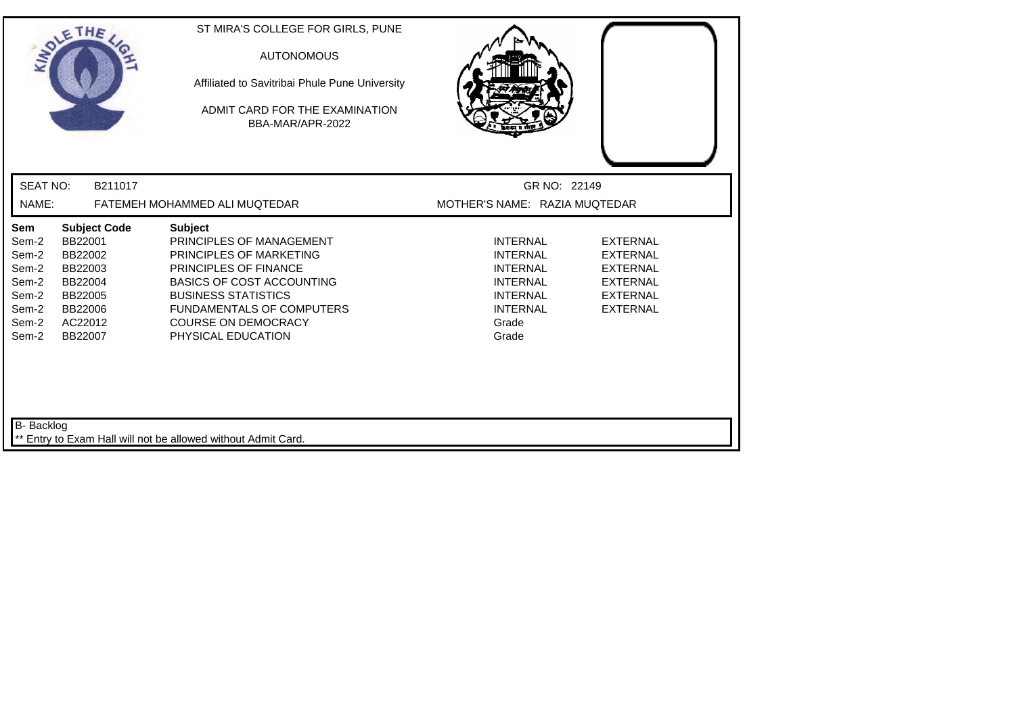| <b>SEAT NO:</b><br>B211017<br>GR NO: 22149<br>NAME:<br>MOTHER'S NAME: RAZIA MUQTEDAR<br>FATEMEH MOHAMMED ALI MUQTEDAR<br>Sem<br><b>Subject Code</b><br><b>Subject</b><br>BB22001<br>PRINCIPLES OF MANAGEMENT<br><b>INTERNAL</b><br><b>EXTERNAL</b><br>Sem-2<br>Sem-2<br>BB22002<br>PRINCIPLES OF MARKETING<br><b>INTERNAL</b><br><b>EXTERNAL</b><br>Sem-2<br>BB22003<br><b>PRINCIPLES OF FINANCE</b><br><b>INTERNAL</b><br><b>EXTERNAL</b><br>Sem-2<br><b>BASICS OF COST ACCOUNTING</b><br><b>INTERNAL</b><br><b>EXTERNAL</b><br>BB22004<br>Sem-2<br><b>BUSINESS STATISTICS</b><br><b>INTERNAL</b><br><b>EXTERNAL</b><br>BB22005<br><b>FUNDAMENTALS OF COMPUTERS</b><br><b>INTERNAL</b><br><b>EXTERNAL</b><br>Sem-2<br>BB22006<br><b>COURSE ON DEMOCRACY</b><br>Sem-2<br>AC22012<br>Grade<br>Sem-2<br>Grade<br>BB22007<br>PHYSICAL EDUCATION | SOLETHE, | ST MIRA'S COLLEGE FOR GIRLS, PUNE<br><b>AUTONOMOUS</b><br>Affiliated to Savitribai Phule Pune University<br>ADMIT CARD FOR THE EXAMINATION.<br>BBA-MAR/APR-2022 |  |
|----------------------------------------------------------------------------------------------------------------------------------------------------------------------------------------------------------------------------------------------------------------------------------------------------------------------------------------------------------------------------------------------------------------------------------------------------------------------------------------------------------------------------------------------------------------------------------------------------------------------------------------------------------------------------------------------------------------------------------------------------------------------------------------------------------------------------------------------|----------|-----------------------------------------------------------------------------------------------------------------------------------------------------------------|--|
|                                                                                                                                                                                                                                                                                                                                                                                                                                                                                                                                                                                                                                                                                                                                                                                                                                              |          |                                                                                                                                                                 |  |
|                                                                                                                                                                                                                                                                                                                                                                                                                                                                                                                                                                                                                                                                                                                                                                                                                                              |          |                                                                                                                                                                 |  |
|                                                                                                                                                                                                                                                                                                                                                                                                                                                                                                                                                                                                                                                                                                                                                                                                                                              |          |                                                                                                                                                                 |  |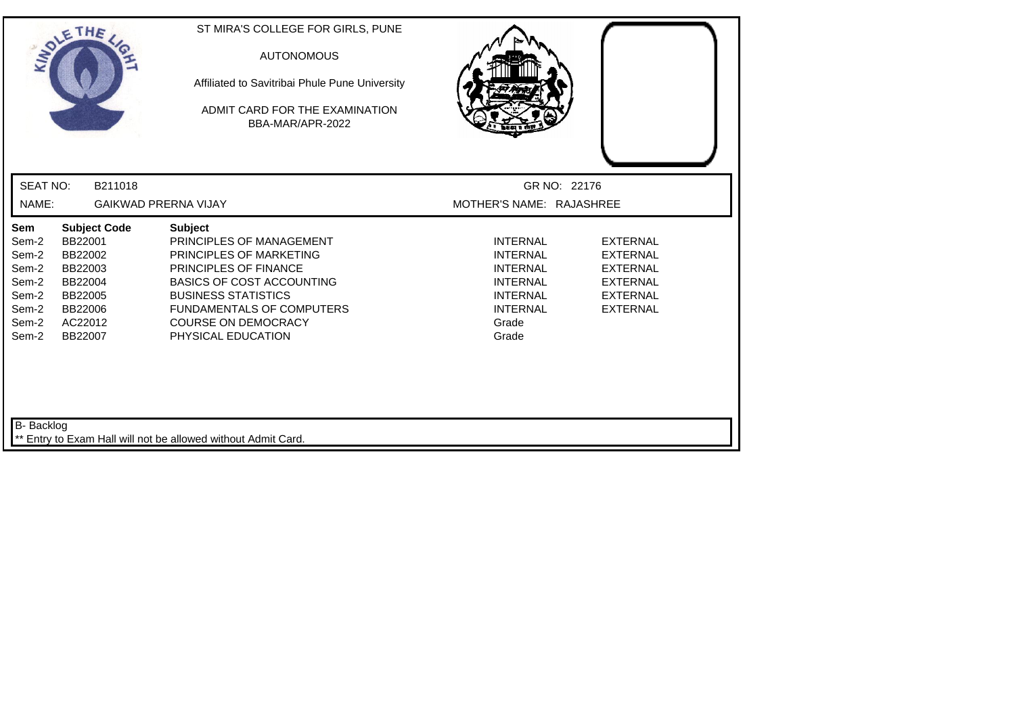| SOLETHE ,                                                                                                                                                                                  | ST MIRA'S COLLEGE FOR GIRLS, PUNE<br><b>AUTONOMOUS</b><br>Affiliated to Savitribai Phule Pune University<br>ADMIT CARD FOR THE EXAMINATION<br>BBA-MAR/APR-2022                                                                                                  |                                                                                                                                  |                                                                                                                |
|--------------------------------------------------------------------------------------------------------------------------------------------------------------------------------------------|-----------------------------------------------------------------------------------------------------------------------------------------------------------------------------------------------------------------------------------------------------------------|----------------------------------------------------------------------------------------------------------------------------------|----------------------------------------------------------------------------------------------------------------|
| <b>SEAT NO:</b><br>B211018                                                                                                                                                                 |                                                                                                                                                                                                                                                                 | GR NO: 22176                                                                                                                     |                                                                                                                |
| NAME:                                                                                                                                                                                      | <b>GAIKWAD PRERNA VIJAY</b>                                                                                                                                                                                                                                     | MOTHER'S NAME: RAJASHREE                                                                                                         |                                                                                                                |
| Sem<br><b>Subject Code</b><br>BB22001<br>Sem-2<br>Sem-2<br>BB22002<br>Sem-2<br>BB22003<br>Sem-2<br>BB22004<br>Sem-2<br>BB22005<br>Sem-2<br>BB22006<br>Sem-2<br>AC22012<br>Sem-2<br>BB22007 | <b>Subject</b><br>PRINCIPLES OF MANAGEMENT<br>PRINCIPLES OF MARKETING<br><b>PRINCIPLES OF FINANCE</b><br><b>BASICS OF COST ACCOUNTING</b><br><b>BUSINESS STATISTICS</b><br><b>FUNDAMENTALS OF COMPUTERS</b><br><b>COURSE ON DEMOCRACY</b><br>PHYSICAL EDUCATION | <b>INTERNAL</b><br><b>INTERNAL</b><br><b>INTERNAL</b><br><b>INTERNAL</b><br><b>INTERNAL</b><br><b>INTERNAL</b><br>Grade<br>Grade | <b>EXTERNAL</b><br><b>EXTERNAL</b><br><b>EXTERNAL</b><br><b>EXTERNAL</b><br><b>EXTERNAL</b><br><b>EXTERNAL</b> |
| B- Backlog                                                                                                                                                                                 | Entry to Exam Hall will not be allowed without Admit Card.                                                                                                                                                                                                      |                                                                                                                                  |                                                                                                                |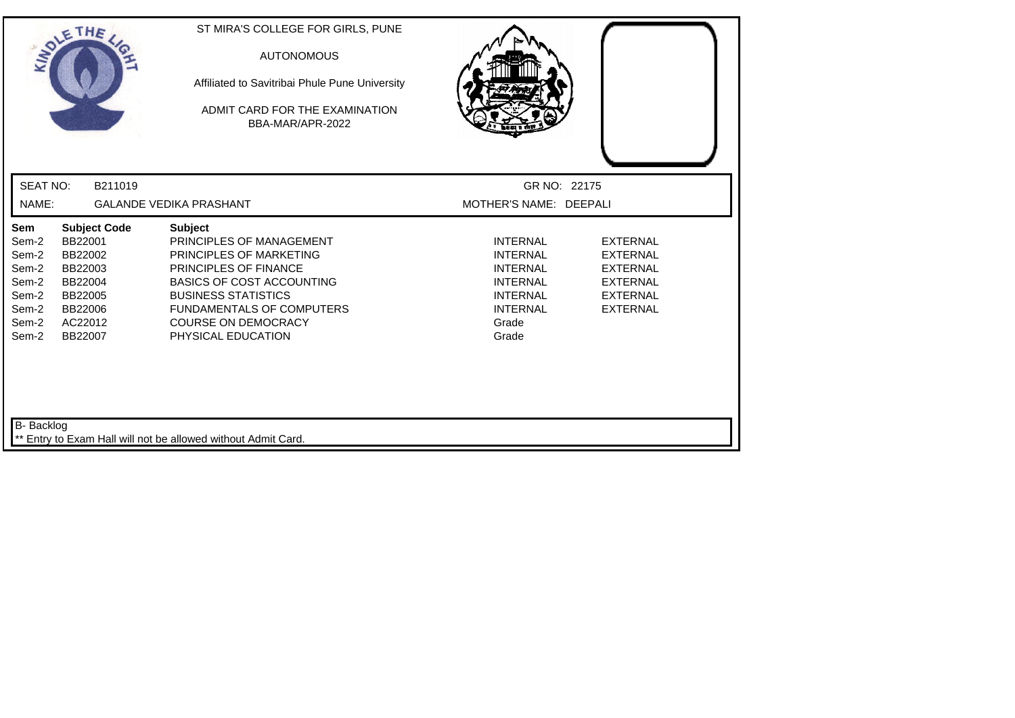| ANDLE                                                                       | THE                                                                                                         | ST MIRA'S COLLEGE FOR GIRLS, PUNE<br><b>AUTONOMOUS</b><br>Affiliated to Savitribai Phule Pune University<br>ADMIT CARD FOR THE EXAMINATION<br>BBA-MAR/APR-2022                                                                                           |                                                                                                                                  |                                                                                                                |
|-----------------------------------------------------------------------------|-------------------------------------------------------------------------------------------------------------|----------------------------------------------------------------------------------------------------------------------------------------------------------------------------------------------------------------------------------------------------------|----------------------------------------------------------------------------------------------------------------------------------|----------------------------------------------------------------------------------------------------------------|
| <b>SEAT NO:</b>                                                             | B211019                                                                                                     |                                                                                                                                                                                                                                                          | GR NO: 22175                                                                                                                     |                                                                                                                |
| NAME:                                                                       |                                                                                                             | <b>GALANDE VEDIKA PRASHANT</b>                                                                                                                                                                                                                           | MOTHER'S NAME: DEEPALI                                                                                                           |                                                                                                                |
| Sem<br>Sem-2<br>Sem-2<br>Sem-2<br>Sem-2<br>Sem-2<br>Sem-2<br>Sem-2<br>Sem-2 | <b>Subject Code</b><br>BB22001<br>BB22002<br>BB22003<br>BB22004<br>BB22005<br>BB22006<br>AC22012<br>BB22007 | <b>Subject</b><br>PRINCIPLES OF MANAGEMENT<br>PRINCIPLES OF MARKETING<br>PRINCIPLES OF FINANCE<br><b>BASICS OF COST ACCOUNTING</b><br><b>BUSINESS STATISTICS</b><br><b>FUNDAMENTALS OF COMPUTERS</b><br><b>COURSE ON DEMOCRACY</b><br>PHYSICAL EDUCATION | <b>INTERNAL</b><br><b>INTERNAL</b><br><b>INTERNAL</b><br><b>INTERNAL</b><br><b>INTERNAL</b><br><b>INTERNAL</b><br>Grade<br>Grade | <b>EXTERNAL</b><br><b>EXTERNAL</b><br><b>EXTERNAL</b><br><b>EXTERNAL</b><br><b>EXTERNAL</b><br><b>EXTERNAL</b> |
| B- Backlog                                                                  |                                                                                                             | Entry to Exam Hall will not be allowed without Admit Card.                                                                                                                                                                                               |                                                                                                                                  |                                                                                                                |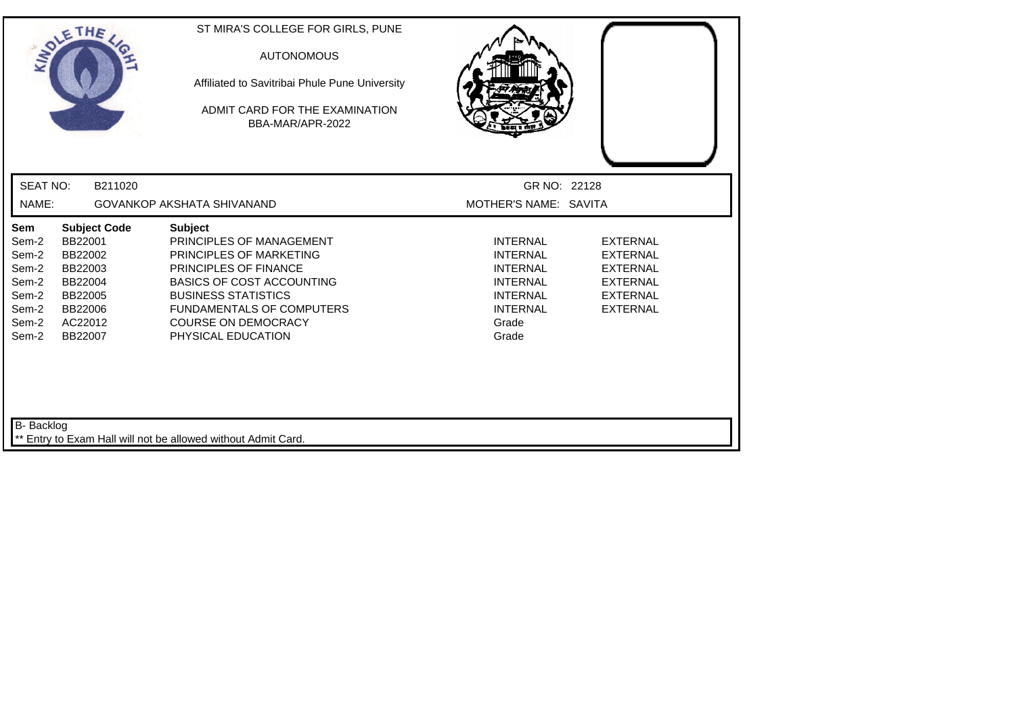| SOLETHE,                                                                    |                                                                                                             | ST MIRA'S COLLEGE FOR GIRLS, PUNE<br><b>AUTONOMOUS</b><br>Affiliated to Savitribai Phule Pune University<br>ADMIT CARD FOR THE EXAMINATION<br>BBA-MAR/APR-2022                                                                                                  |                                                                                                                                  |                                                                                                                |
|-----------------------------------------------------------------------------|-------------------------------------------------------------------------------------------------------------|-----------------------------------------------------------------------------------------------------------------------------------------------------------------------------------------------------------------------------------------------------------------|----------------------------------------------------------------------------------------------------------------------------------|----------------------------------------------------------------------------------------------------------------|
| <b>SEAT NO:</b>                                                             | B211020                                                                                                     |                                                                                                                                                                                                                                                                 | GR NO: 22128                                                                                                                     |                                                                                                                |
| NAME:                                                                       |                                                                                                             | GOVANKOP AKSHATA SHIVANAND                                                                                                                                                                                                                                      | MOTHER'S NAME: SAVITA                                                                                                            |                                                                                                                |
| Sem<br>Sem-2<br>Sem-2<br>Sem-2<br>Sem-2<br>Sem-2<br>Sem-2<br>Sem-2<br>Sem-2 | <b>Subject Code</b><br>BB22001<br>BB22002<br>BB22003<br>BB22004<br>BB22005<br>BB22006<br>AC22012<br>BB22007 | <b>Subject</b><br>PRINCIPLES OF MANAGEMENT<br>PRINCIPLES OF MARKETING<br><b>PRINCIPLES OF FINANCE</b><br><b>BASICS OF COST ACCOUNTING</b><br><b>BUSINESS STATISTICS</b><br><b>FUNDAMENTALS OF COMPUTERS</b><br><b>COURSE ON DEMOCRACY</b><br>PHYSICAL EDUCATION | <b>INTERNAL</b><br><b>INTERNAL</b><br><b>INTERNAL</b><br><b>INTERNAL</b><br><b>INTERNAL</b><br><b>INTERNAL</b><br>Grade<br>Grade | <b>EXTERNAL</b><br><b>EXTERNAL</b><br><b>EXTERNAL</b><br><b>EXTERNAL</b><br><b>EXTERNAL</b><br><b>EXTERNAL</b> |
| B- Backlog                                                                  |                                                                                                             | ** Entry to Exam Hall will not be allowed without Admit Card.                                                                                                                                                                                                   |                                                                                                                                  |                                                                                                                |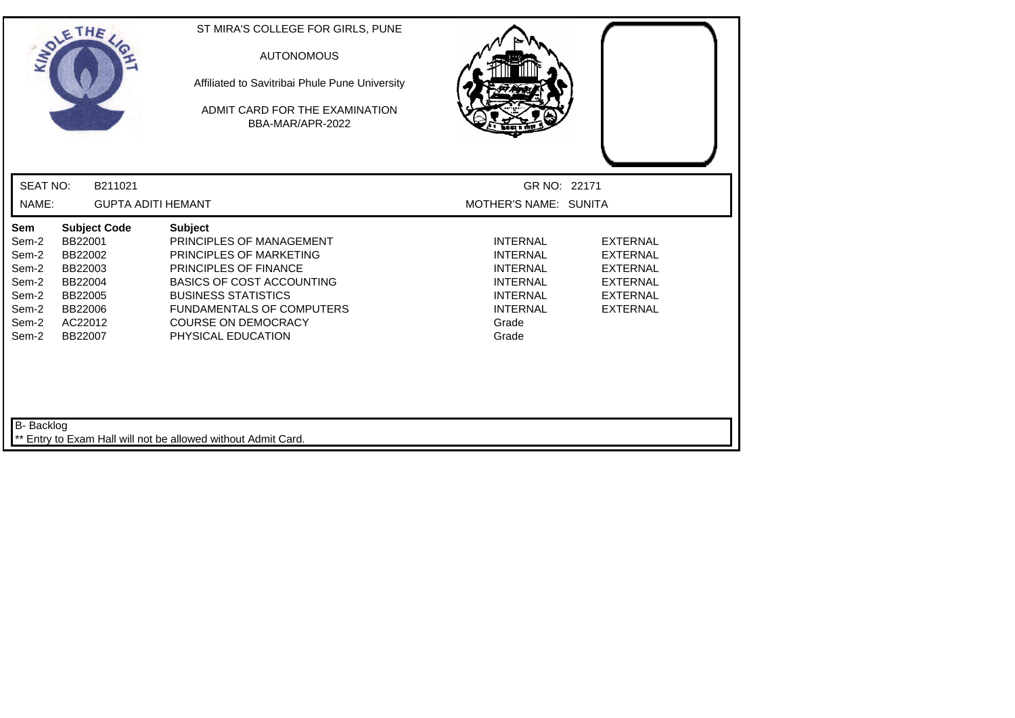| SOLETHE,                                                                                                                                                                                   | ST MIRA'S COLLEGE FOR GIRLS, PUNE<br><b>AUTONOMOUS</b><br>Affiliated to Savitribai Phule Pune University<br>ADMIT CARD FOR THE EXAMINATION<br>BBA-MAR/APR-2022                                                                                           |                                                                                                                                  |                                                                                                                |
|--------------------------------------------------------------------------------------------------------------------------------------------------------------------------------------------|----------------------------------------------------------------------------------------------------------------------------------------------------------------------------------------------------------------------------------------------------------|----------------------------------------------------------------------------------------------------------------------------------|----------------------------------------------------------------------------------------------------------------|
| <b>SEAT NO:</b><br>B211021                                                                                                                                                                 |                                                                                                                                                                                                                                                          | GR NO: 22171                                                                                                                     |                                                                                                                |
| NAME:                                                                                                                                                                                      | <b>GUPTA ADITI HEMANT</b>                                                                                                                                                                                                                                | MOTHER'S NAME: SUNITA                                                                                                            |                                                                                                                |
| Sem<br><b>Subject Code</b><br>BB22001<br>Sem-2<br>Sem-2<br>BB22002<br>Sem-2<br>BB22003<br>Sem-2<br>BB22004<br>Sem-2<br>BB22005<br>Sem-2<br>BB22006<br>Sem-2<br>AC22012<br>Sem-2<br>BB22007 | <b>Subject</b><br>PRINCIPLES OF MANAGEMENT<br>PRINCIPLES OF MARKETING<br>PRINCIPLES OF FINANCE<br><b>BASICS OF COST ACCOUNTING</b><br><b>BUSINESS STATISTICS</b><br><b>FUNDAMENTALS OF COMPUTERS</b><br><b>COURSE ON DEMOCRACY</b><br>PHYSICAL EDUCATION | <b>INTERNAL</b><br><b>INTERNAL</b><br><b>INTERNAL</b><br><b>INTERNAL</b><br><b>INTERNAL</b><br><b>INTERNAL</b><br>Grade<br>Grade | <b>EXTERNAL</b><br><b>EXTERNAL</b><br><b>EXTERNAL</b><br><b>EXTERNAL</b><br><b>EXTERNAL</b><br><b>EXTERNAL</b> |
| B- Backlog                                                                                                                                                                                 | Entry to Exam Hall will not be allowed without Admit Card.                                                                                                                                                                                               |                                                                                                                                  |                                                                                                                |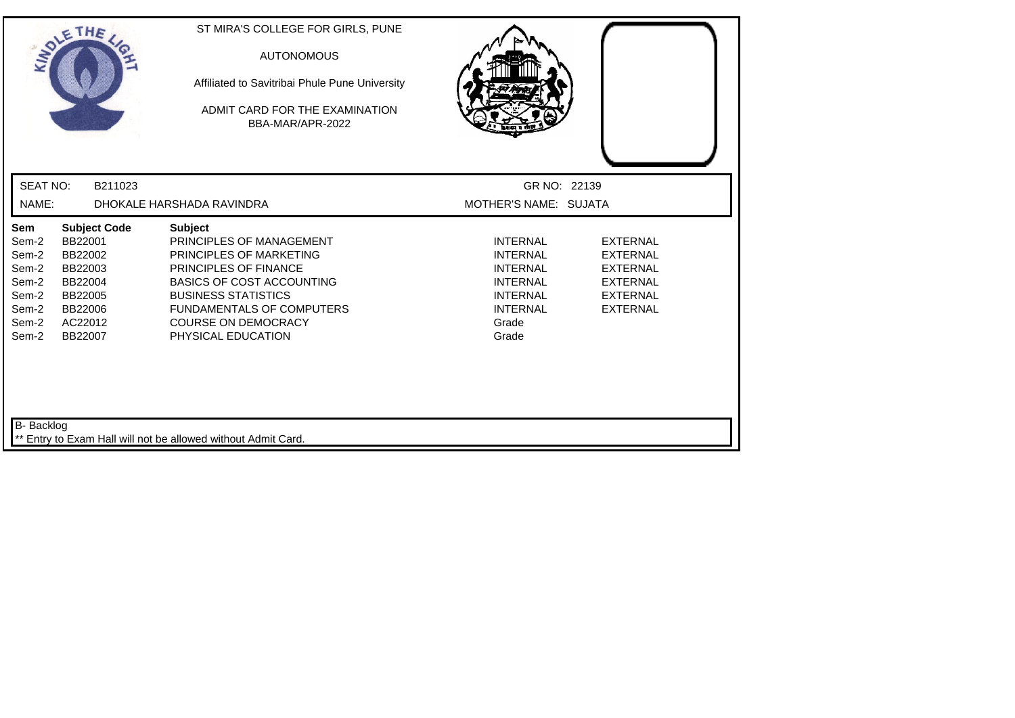| SOLETHE,                                                                                                                                                                                   | ST MIRA'S COLLEGE FOR GIRLS, PUNE<br><b>AUTONOMOUS</b><br>Affiliated to Savitribai Phule Pune University<br>ADMIT CARD FOR THE EXAMINATION<br>BBA-MAR/APR-2022                                                                                                  |                                                                                                                                  |                                                                                                                |
|--------------------------------------------------------------------------------------------------------------------------------------------------------------------------------------------|-----------------------------------------------------------------------------------------------------------------------------------------------------------------------------------------------------------------------------------------------------------------|----------------------------------------------------------------------------------------------------------------------------------|----------------------------------------------------------------------------------------------------------------|
| <b>SEAT NO:</b><br>B211023                                                                                                                                                                 |                                                                                                                                                                                                                                                                 | GR NO: 22139                                                                                                                     |                                                                                                                |
| NAME:                                                                                                                                                                                      | DHOKALE HARSHADA RAVINDRA                                                                                                                                                                                                                                       | MOTHER'S NAME: SUJATA                                                                                                            |                                                                                                                |
| Sem<br><b>Subject Code</b><br>BB22001<br>Sem-2<br>Sem-2<br>BB22002<br>Sem-2<br>BB22003<br>BB22004<br>Sem-2<br>Sem-2<br>BB22005<br>Sem-2<br>BB22006<br>AC22012<br>Sem-2<br>Sem-2<br>BB22007 | <b>Subject</b><br>PRINCIPLES OF MANAGEMENT<br>PRINCIPLES OF MARKETING<br><b>PRINCIPLES OF FINANCE</b><br><b>BASICS OF COST ACCOUNTING</b><br><b>BUSINESS STATISTICS</b><br><b>FUNDAMENTALS OF COMPUTERS</b><br><b>COURSE ON DEMOCRACY</b><br>PHYSICAL EDUCATION | <b>INTERNAL</b><br><b>INTERNAL</b><br><b>INTERNAL</b><br><b>INTERNAL</b><br><b>INTERNAL</b><br><b>INTERNAL</b><br>Grade<br>Grade | <b>EXTERNAL</b><br><b>EXTERNAL</b><br><b>EXTERNAL</b><br><b>EXTERNAL</b><br><b>EXTERNAL</b><br><b>EXTERNAL</b> |
| B- Backlog                                                                                                                                                                                 | Entry to Exam Hall will not be allowed without Admit Card.                                                                                                                                                                                                      |                                                                                                                                  |                                                                                                                |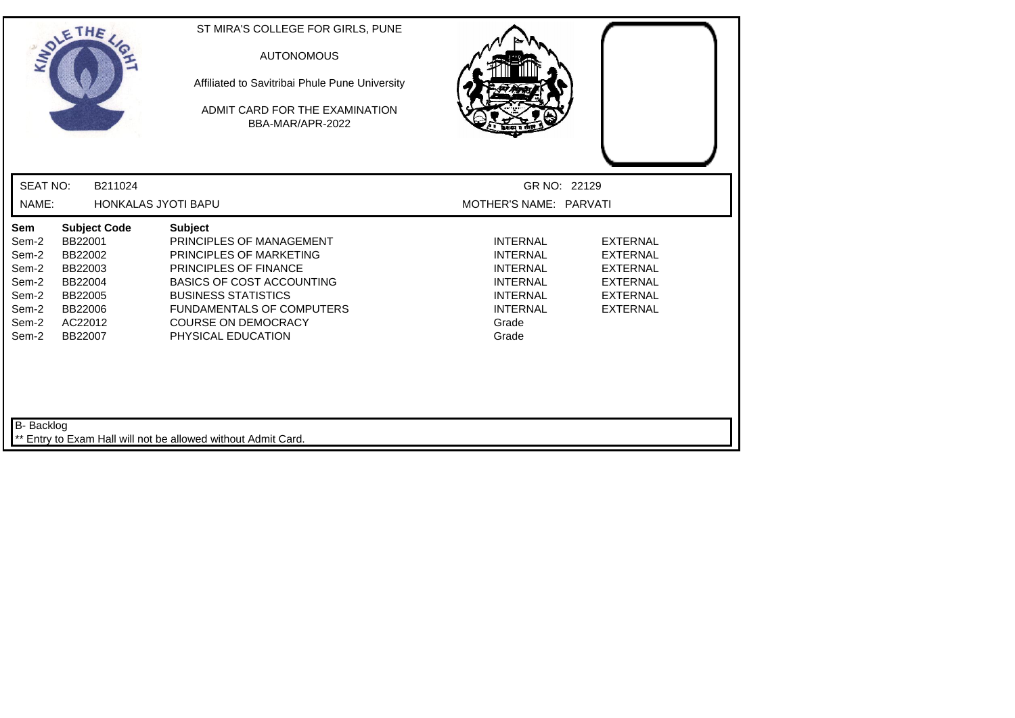|                                                                             | SOLETHE                                                                                                     | ST MIRA'S COLLEGE FOR GIRLS, PUNE<br><b>AUTONOMOUS</b><br>Affiliated to Savitribai Phule Pune University<br>ADMIT CARD FOR THE EXAMINATION<br>BBA-MAR/APR-2022                                                                                                  |                                                                                                                                  |                                                                                                                |
|-----------------------------------------------------------------------------|-------------------------------------------------------------------------------------------------------------|-----------------------------------------------------------------------------------------------------------------------------------------------------------------------------------------------------------------------------------------------------------------|----------------------------------------------------------------------------------------------------------------------------------|----------------------------------------------------------------------------------------------------------------|
| <b>SEAT NO:</b>                                                             | B211024                                                                                                     |                                                                                                                                                                                                                                                                 | GR NO: 22129                                                                                                                     |                                                                                                                |
| NAME:                                                                       | HONKALAS JYOTI BAPU                                                                                         |                                                                                                                                                                                                                                                                 | MOTHER'S NAME: PARVATI                                                                                                           |                                                                                                                |
| Sem<br>Sem-2<br>Sem-2<br>Sem-2<br>Sem-2<br>Sem-2<br>Sem-2<br>Sem-2<br>Sem-2 | <b>Subject Code</b><br>BB22001<br>BB22002<br>BB22003<br>BB22004<br>BB22005<br>BB22006<br>AC22012<br>BB22007 | <b>Subject</b><br>PRINCIPLES OF MANAGEMENT<br>PRINCIPLES OF MARKETING<br><b>PRINCIPLES OF FINANCE</b><br><b>BASICS OF COST ACCOUNTING</b><br><b>BUSINESS STATISTICS</b><br><b>FUNDAMENTALS OF COMPUTERS</b><br><b>COURSE ON DEMOCRACY</b><br>PHYSICAL EDUCATION | <b>INTERNAL</b><br><b>INTERNAL</b><br><b>INTERNAL</b><br><b>INTERNAL</b><br><b>INTERNAL</b><br><b>INTERNAL</b><br>Grade<br>Grade | <b>EXTERNAL</b><br><b>EXTERNAL</b><br><b>EXTERNAL</b><br><b>EXTERNAL</b><br><b>EXTERNAL</b><br><b>EXTERNAL</b> |
| B- Backlog                                                                  |                                                                                                             | Entry to Exam Hall will not be allowed without Admit Card.                                                                                                                                                                                                      |                                                                                                                                  |                                                                                                                |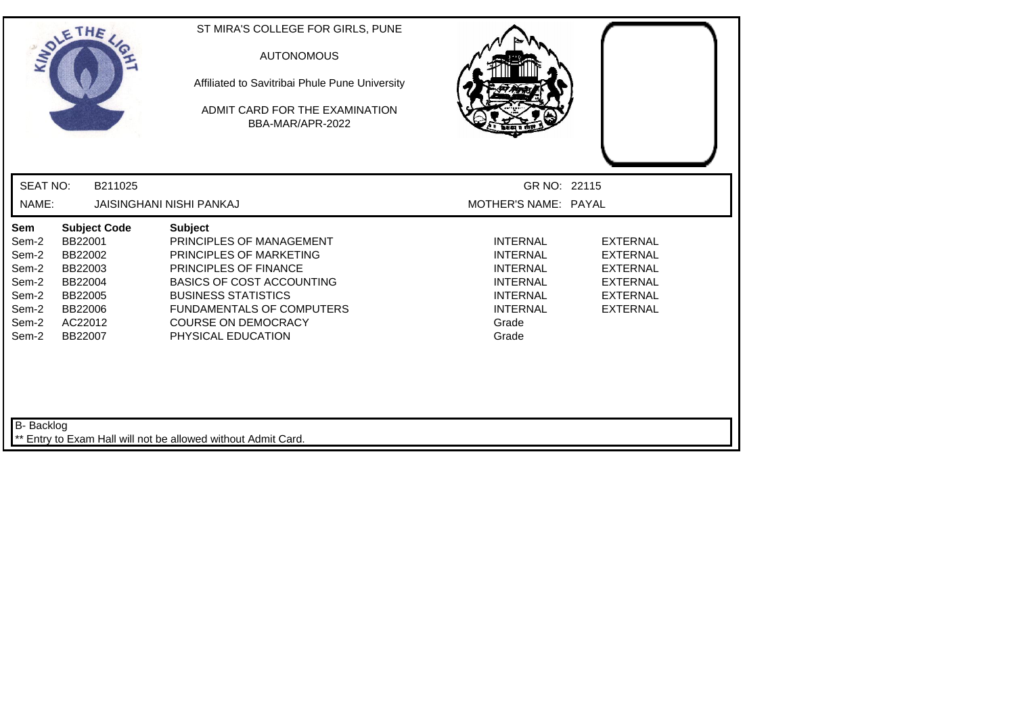| SOLETHE,                                                                                                                                                                                   | ST MIRA'S COLLEGE FOR GIRLS, PUNE<br><b>AUTONOMOUS</b><br>Affiliated to Savitribai Phule Pune University<br>ADMIT CARD FOR THE EXAMINATION<br>BBA-MAR/APR-2022                                                                                                  |                                                                                                                                  |                                                                                                                |
|--------------------------------------------------------------------------------------------------------------------------------------------------------------------------------------------|-----------------------------------------------------------------------------------------------------------------------------------------------------------------------------------------------------------------------------------------------------------------|----------------------------------------------------------------------------------------------------------------------------------|----------------------------------------------------------------------------------------------------------------|
| <b>SEAT NO:</b><br>B211025                                                                                                                                                                 |                                                                                                                                                                                                                                                                 | GR NO: 22115                                                                                                                     |                                                                                                                |
| NAME:                                                                                                                                                                                      | <b>JAISINGHANI NISHI PANKAJ</b>                                                                                                                                                                                                                                 | MOTHER'S NAME: PAYAL                                                                                                             |                                                                                                                |
| Sem<br><b>Subject Code</b><br>BB22001<br>Sem-2<br>Sem-2<br>BB22002<br>Sem-2<br>BB22003<br>Sem-2<br>BB22004<br>Sem-2<br>BB22005<br>Sem-2<br>BB22006<br>Sem-2<br>AC22012<br>Sem-2<br>BB22007 | <b>Subject</b><br>PRINCIPLES OF MANAGEMENT<br>PRINCIPLES OF MARKETING<br><b>PRINCIPLES OF FINANCE</b><br><b>BASICS OF COST ACCOUNTING</b><br><b>BUSINESS STATISTICS</b><br><b>FUNDAMENTALS OF COMPUTERS</b><br><b>COURSE ON DEMOCRACY</b><br>PHYSICAL EDUCATION | <b>INTERNAL</b><br><b>INTERNAL</b><br><b>INTERNAL</b><br><b>INTERNAL</b><br><b>INTERNAL</b><br><b>INTERNAL</b><br>Grade<br>Grade | <b>EXTERNAL</b><br><b>EXTERNAL</b><br><b>EXTERNAL</b><br><b>EXTERNAL</b><br><b>EXTERNAL</b><br><b>EXTERNAL</b> |
| B- Backlog                                                                                                                                                                                 | ** Entry to Exam Hall will not be allowed without Admit Card.                                                                                                                                                                                                   |                                                                                                                                  |                                                                                                                |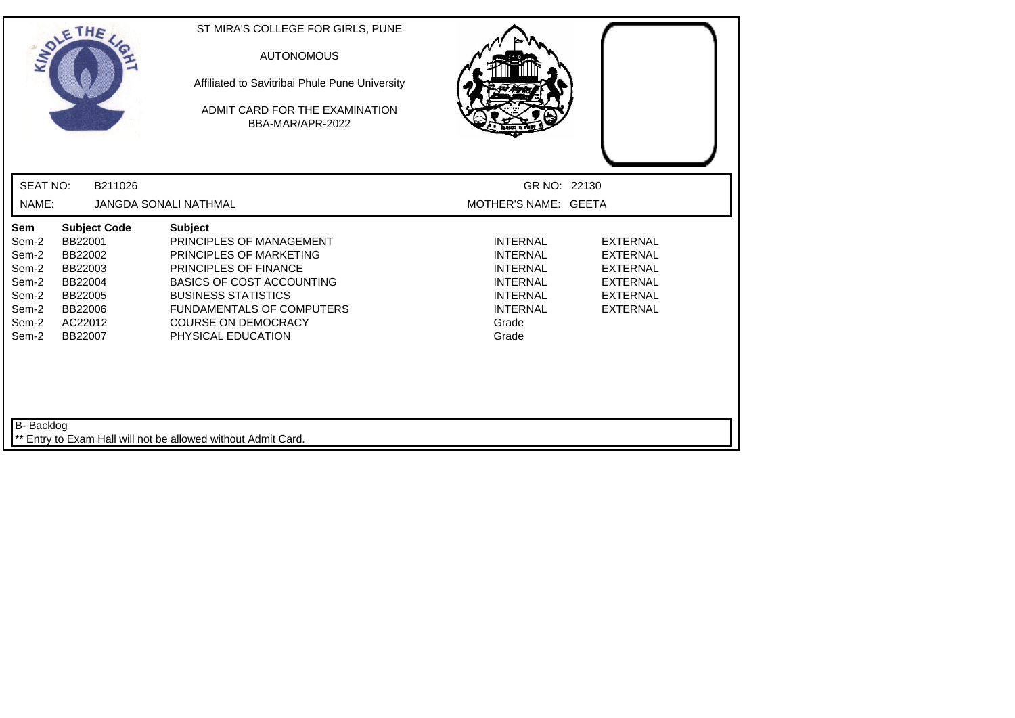| SOLETHE                                                                                                                                                                                    | ST MIRA'S COLLEGE FOR GIRLS, PUNE<br><b>AUTONOMOUS</b><br>Affiliated to Savitribai Phule Pune University<br>ADMIT CARD FOR THE EXAMINATION<br>BBA-MAR/APR-2022                                                                                                  |                                                                                                                                  |                                                                                                                |
|--------------------------------------------------------------------------------------------------------------------------------------------------------------------------------------------|-----------------------------------------------------------------------------------------------------------------------------------------------------------------------------------------------------------------------------------------------------------------|----------------------------------------------------------------------------------------------------------------------------------|----------------------------------------------------------------------------------------------------------------|
| <b>SEAT NO:</b><br>B211026                                                                                                                                                                 |                                                                                                                                                                                                                                                                 | GR NO: 22130                                                                                                                     |                                                                                                                |
| NAME:                                                                                                                                                                                      | <b>JANGDA SONALI NATHMAL</b>                                                                                                                                                                                                                                    | MOTHER'S NAME: GEETA                                                                                                             |                                                                                                                |
| <b>Subject Code</b><br>Sem<br>BB22001<br>Sem-2<br>BB22002<br>Sem-2<br>Sem-2<br>BB22003<br>Sem-2<br>BB22004<br>Sem-2<br>BB22005<br>Sem-2<br>BB22006<br>Sem-2<br>AC22012<br>Sem-2<br>BB22007 | <b>Subject</b><br>PRINCIPLES OF MANAGEMENT<br>PRINCIPLES OF MARKETING<br><b>PRINCIPLES OF FINANCE</b><br><b>BASICS OF COST ACCOUNTING</b><br><b>BUSINESS STATISTICS</b><br><b>FUNDAMENTALS OF COMPUTERS</b><br><b>COURSE ON DEMOCRACY</b><br>PHYSICAL EDUCATION | <b>INTERNAL</b><br><b>INTERNAL</b><br><b>INTERNAL</b><br><b>INTERNAL</b><br><b>INTERNAL</b><br><b>INTERNAL</b><br>Grade<br>Grade | <b>EXTERNAL</b><br><b>EXTERNAL</b><br><b>EXTERNAL</b><br><b>EXTERNAL</b><br><b>EXTERNAL</b><br><b>EXTERNAL</b> |
| B- Backlog                                                                                                                                                                                 | ** Entry to Exam Hall will not be allowed without Admit Card.                                                                                                                                                                                                   |                                                                                                                                  |                                                                                                                |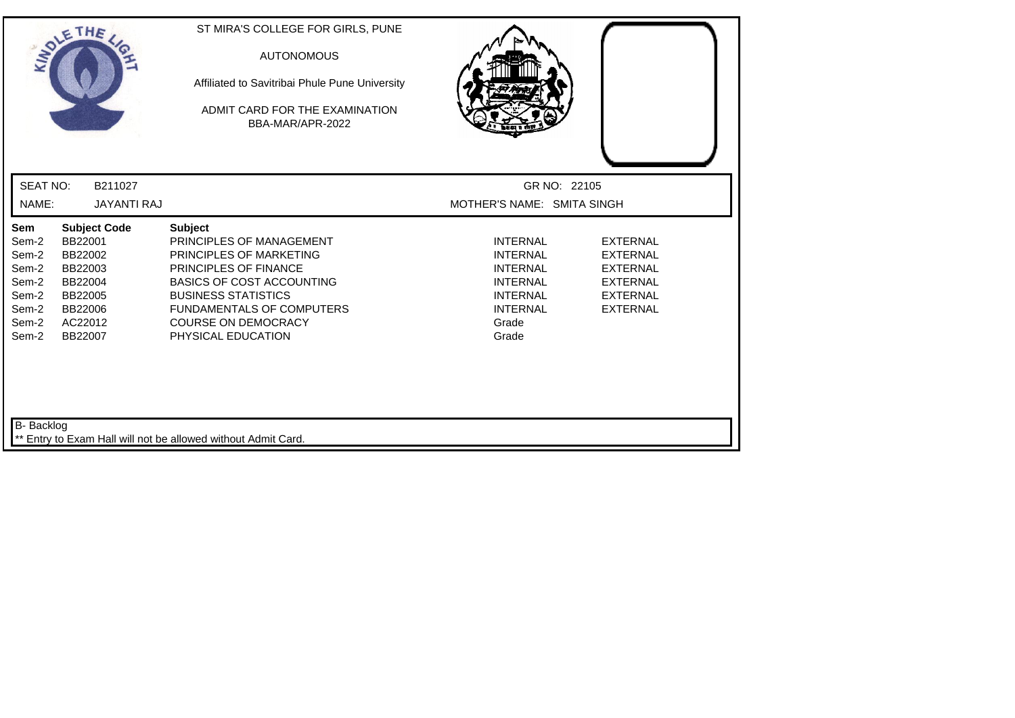|                                                                             | SOLETHE ,                                                                                                   | ST MIRA'S COLLEGE FOR GIRLS, PUNE<br><b>AUTONOMOUS</b><br>Affiliated to Savitribai Phule Pune University<br>ADMIT CARD FOR THE EXAMINATION<br>BBA-MAR/APR-2022                                                                                                  |                                                                                                                                  |                                                                                                                |
|-----------------------------------------------------------------------------|-------------------------------------------------------------------------------------------------------------|-----------------------------------------------------------------------------------------------------------------------------------------------------------------------------------------------------------------------------------------------------------------|----------------------------------------------------------------------------------------------------------------------------------|----------------------------------------------------------------------------------------------------------------|
| <b>SEAT NO:</b>                                                             | B211027                                                                                                     |                                                                                                                                                                                                                                                                 | GR NO: 22105                                                                                                                     |                                                                                                                |
| NAME:                                                                       | <b>JAYANTI RAJ</b>                                                                                          |                                                                                                                                                                                                                                                                 | MOTHER'S NAME: SMITA SINGH                                                                                                       |                                                                                                                |
| Sem<br>Sem-2<br>Sem-2<br>Sem-2<br>Sem-2<br>Sem-2<br>Sem-2<br>Sem-2<br>Sem-2 | <b>Subject Code</b><br>BB22001<br>BB22002<br>BB22003<br>BB22004<br>BB22005<br>BB22006<br>AC22012<br>BB22007 | <b>Subject</b><br>PRINCIPLES OF MANAGEMENT<br>PRINCIPLES OF MARKETING<br><b>PRINCIPLES OF FINANCE</b><br><b>BASICS OF COST ACCOUNTING</b><br><b>BUSINESS STATISTICS</b><br><b>FUNDAMENTALS OF COMPUTERS</b><br><b>COURSE ON DEMOCRACY</b><br>PHYSICAL EDUCATION | <b>INTERNAL</b><br><b>INTERNAL</b><br><b>INTERNAL</b><br><b>INTERNAL</b><br><b>INTERNAL</b><br><b>INTERNAL</b><br>Grade<br>Grade | <b>EXTERNAL</b><br><b>EXTERNAL</b><br><b>EXTERNAL</b><br><b>EXTERNAL</b><br><b>EXTERNAL</b><br><b>EXTERNAL</b> |
| B- Backlog                                                                  |                                                                                                             | Entry to Exam Hall will not be allowed without Admit Card.                                                                                                                                                                                                      |                                                                                                                                  |                                                                                                                |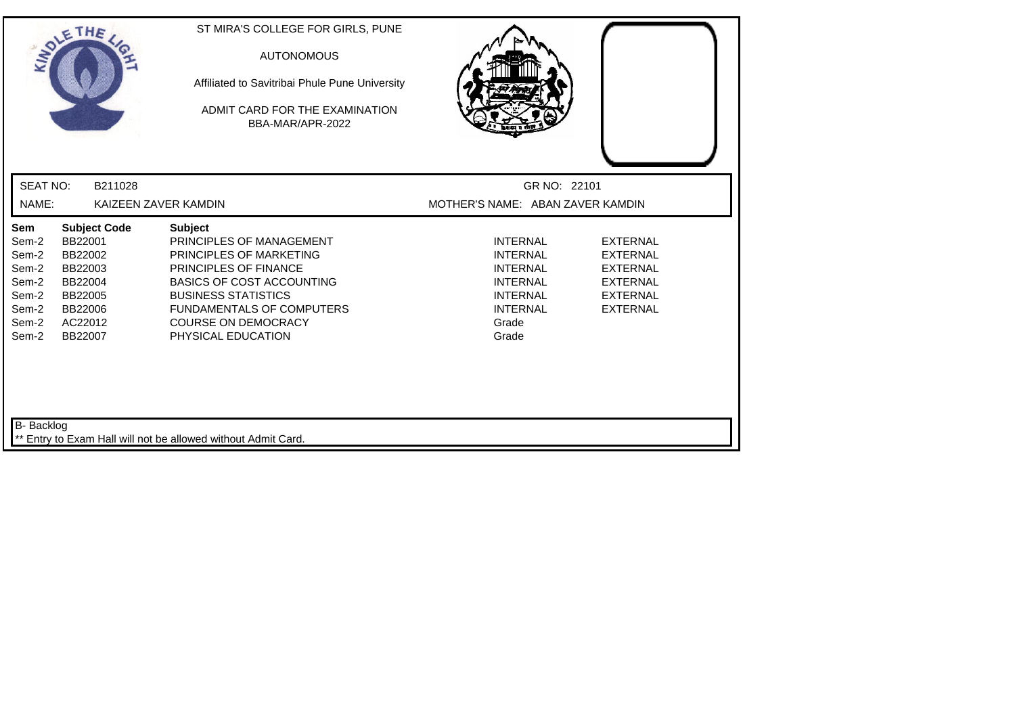| SOLETHE ,                                                                                                                                                                                  | ST MIRA'S COLLEGE FOR GIRLS, PUNE<br><b>AUTONOMOUS</b><br>Affiliated to Savitribai Phule Pune University<br>ADMIT CARD FOR THE EXAMINATION<br>BBA-MAR/APR-2022                                                                                                  |                                                                                                                                  |                                                                                                                |
|--------------------------------------------------------------------------------------------------------------------------------------------------------------------------------------------|-----------------------------------------------------------------------------------------------------------------------------------------------------------------------------------------------------------------------------------------------------------------|----------------------------------------------------------------------------------------------------------------------------------|----------------------------------------------------------------------------------------------------------------|
| <b>SEAT NO:</b>                                                                                                                                                                            | B211028                                                                                                                                                                                                                                                         | GR NO: 22101                                                                                                                     |                                                                                                                |
| NAME:                                                                                                                                                                                      | KAIZEEN ZAVER KAMDIN                                                                                                                                                                                                                                            | MOTHER'S NAME: ABAN ZAVER KAMDIN                                                                                                 |                                                                                                                |
| Sem<br><b>Subject Code</b><br>BB22001<br>Sem-2<br>Sem-2<br>BB22002<br>Sem-2<br>BB22003<br>BB22004<br>Sem-2<br>Sem-2<br>BB22005<br>Sem-2<br>BB22006<br>Sem-2<br>AC22012<br>Sem-2<br>BB22007 | <b>Subject</b><br>PRINCIPLES OF MANAGEMENT<br>PRINCIPLES OF MARKETING<br><b>PRINCIPLES OF FINANCE</b><br><b>BASICS OF COST ACCOUNTING</b><br><b>BUSINESS STATISTICS</b><br><b>FUNDAMENTALS OF COMPUTERS</b><br><b>COURSE ON DEMOCRACY</b><br>PHYSICAL EDUCATION | <b>INTERNAL</b><br><b>INTERNAL</b><br><b>INTERNAL</b><br><b>INTERNAL</b><br><b>INTERNAL</b><br><b>INTERNAL</b><br>Grade<br>Grade | <b>EXTERNAL</b><br><b>EXTERNAL</b><br><b>EXTERNAL</b><br><b>EXTERNAL</b><br><b>EXTERNAL</b><br><b>EXTERNAL</b> |
| B- Backlog                                                                                                                                                                                 | Entry to Exam Hall will not be allowed without Admit Card.                                                                                                                                                                                                      |                                                                                                                                  |                                                                                                                |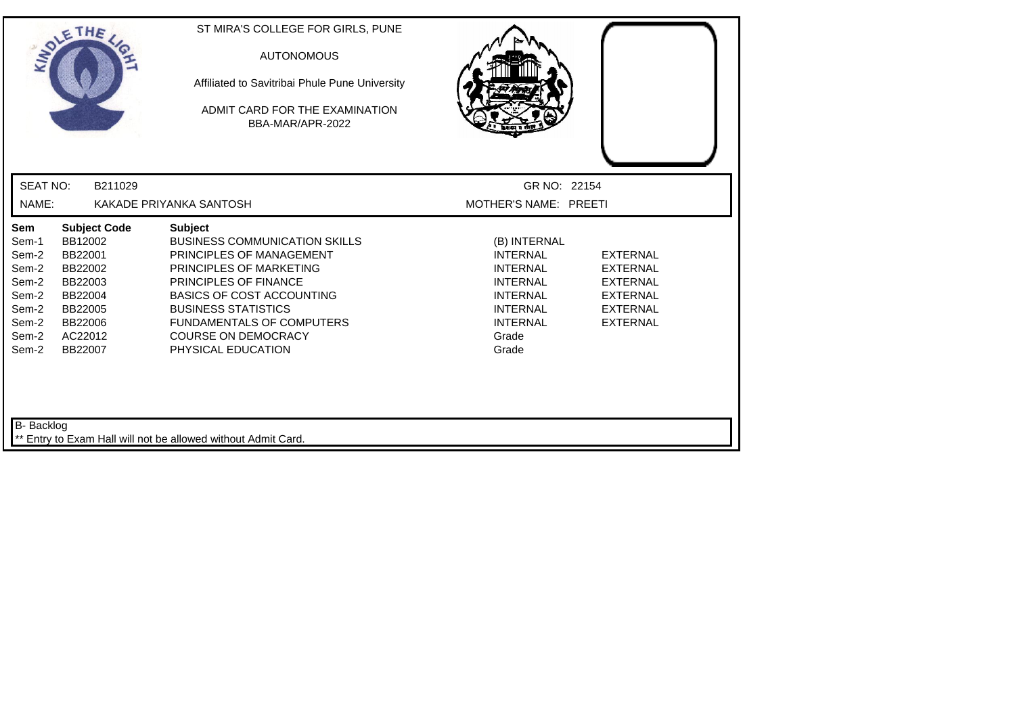| <b>INDI</b>                                                                          | THE                                                                                                                    | ST MIRA'S COLLEGE FOR GIRLS, PUNE<br><b>AUTONOMOUS</b><br>Affiliated to Savitribai Phule Pune University<br>ADMIT CARD FOR THE EXAMINATION<br>BBA-MAR/APR-2022                                                                                                                                   |                                                                                                                                                  |                                                                                                                |
|--------------------------------------------------------------------------------------|------------------------------------------------------------------------------------------------------------------------|--------------------------------------------------------------------------------------------------------------------------------------------------------------------------------------------------------------------------------------------------------------------------------------------------|--------------------------------------------------------------------------------------------------------------------------------------------------|----------------------------------------------------------------------------------------------------------------|
| <b>SEAT NO:</b>                                                                      | B211029                                                                                                                |                                                                                                                                                                                                                                                                                                  | GR NO: 22154                                                                                                                                     |                                                                                                                |
| NAME:                                                                                |                                                                                                                        | KAKADE PRIYANKA SANTOSH                                                                                                                                                                                                                                                                          | MOTHER'S NAME: PREETI                                                                                                                            |                                                                                                                |
| Sem<br>Sem-1<br>Sem-2<br>Sem-2<br>Sem-2<br>Sem-2<br>Sem-2<br>Sem-2<br>Sem-2<br>Sem-2 | <b>Subject Code</b><br>BB12002<br>BB22001<br>BB22002<br>BB22003<br>BB22004<br>BB22005<br>BB22006<br>AC22012<br>BB22007 | <b>Subject</b><br><b>BUSINESS COMMUNICATION SKILLS</b><br>PRINCIPLES OF MANAGEMENT<br>PRINCIPLES OF MARKETING<br>PRINCIPLES OF FINANCE<br><b>BASICS OF COST ACCOUNTING</b><br><b>BUSINESS STATISTICS</b><br><b>FUNDAMENTALS OF COMPUTERS</b><br><b>COURSE ON DEMOCRACY</b><br>PHYSICAL EDUCATION | (B) INTERNAL<br><b>INTERNAL</b><br><b>INTERNAL</b><br><b>INTERNAL</b><br><b>INTERNAL</b><br><b>INTERNAL</b><br><b>INTERNAL</b><br>Grade<br>Grade | <b>EXTERNAL</b><br><b>EXTERNAL</b><br><b>EXTERNAL</b><br><b>EXTERNAL</b><br><b>EXTERNAL</b><br><b>EXTERNAL</b> |
| B- Backlog                                                                           |                                                                                                                        | Entry to Exam Hall will not be allowed without Admit Card.                                                                                                                                                                                                                                       |                                                                                                                                                  |                                                                                                                |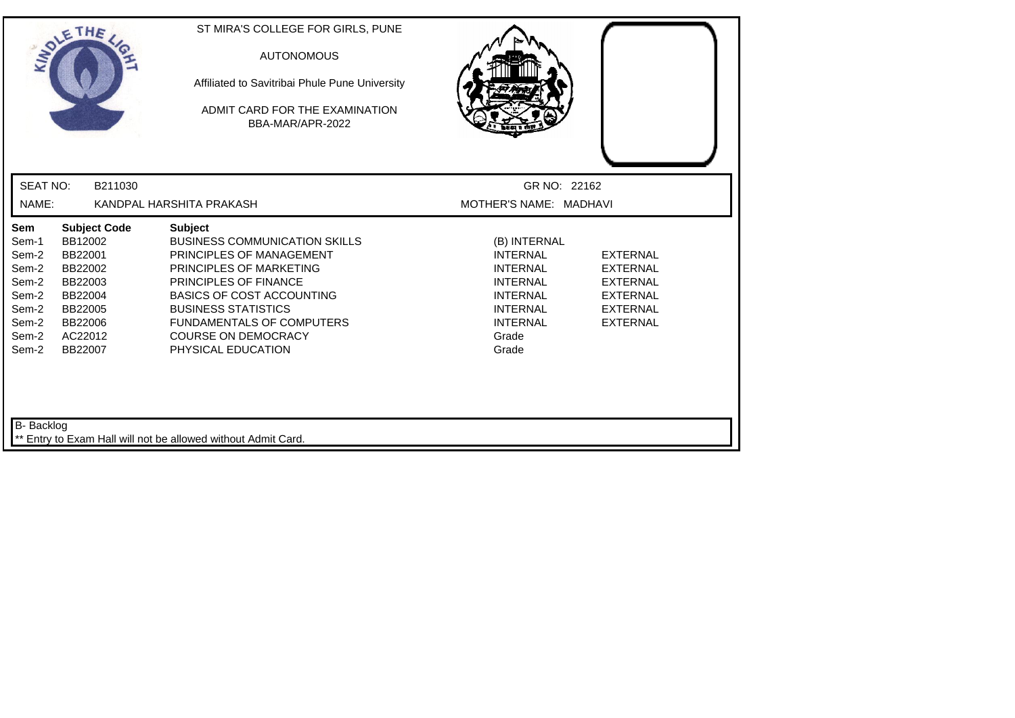| <b>SEAT NO:</b><br>B211030<br>GR NO: 22162<br>NAME:<br>KANDPAL HARSHITA PRAKASH<br>MOTHER'S NAME: MADHAVI<br>Sem<br><b>Subject Code</b><br><b>Subject</b><br>BB12002<br><b>BUSINESS COMMUNICATION SKILLS</b><br>Sem-1<br>(B) INTERNAL<br>Sem-2<br>BB22001<br>PRINCIPLES OF MANAGEMENT<br><b>EXTERNAL</b><br><b>INTERNAL</b><br>Sem-2<br>BB22002<br>PRINCIPLES OF MARKETING<br><b>INTERNAL</b><br><b>EXTERNAL</b><br>Sem-2<br><b>PRINCIPLES OF FINANCE</b><br>BB22003<br><b>INTERNAL</b><br><b>EXTERNAL</b><br>Sem-2<br><b>BASICS OF COST ACCOUNTING</b><br>BB22004<br><b>INTERNAL</b><br><b>EXTERNAL</b><br><b>BUSINESS STATISTICS</b><br><b>INTERNAL</b><br>Sem-2<br>BB22005<br><b>EXTERNAL</b><br>Sem-2<br><b>FUNDAMENTALS OF COMPUTERS</b><br><b>INTERNAL</b><br><b>EXTERNAL</b><br>BB22006<br>Sem-2<br>AC22012<br><b>COURSE ON DEMOCRACY</b><br>Grade<br>Sem-2<br>BB22007<br>PHYSICAL EDUCATION<br>Grade | ADLE | THE | ST MIRA'S COLLEGE FOR GIRLS, PUNE<br><b>AUTONOMOUS</b><br>Affiliated to Savitribai Phule Pune University<br>ADMIT CARD FOR THE EXAMINATION<br>BBA-MAR/APR-2022 |  |
|--------------------------------------------------------------------------------------------------------------------------------------------------------------------------------------------------------------------------------------------------------------------------------------------------------------------------------------------------------------------------------------------------------------------------------------------------------------------------------------------------------------------------------------------------------------------------------------------------------------------------------------------------------------------------------------------------------------------------------------------------------------------------------------------------------------------------------------------------------------------------------------------------------------|------|-----|----------------------------------------------------------------------------------------------------------------------------------------------------------------|--|
|                                                                                                                                                                                                                                                                                                                                                                                                                                                                                                                                                                                                                                                                                                                                                                                                                                                                                                              |      |     |                                                                                                                                                                |  |
|                                                                                                                                                                                                                                                                                                                                                                                                                                                                                                                                                                                                                                                                                                                                                                                                                                                                                                              |      |     |                                                                                                                                                                |  |
|                                                                                                                                                                                                                                                                                                                                                                                                                                                                                                                                                                                                                                                                                                                                                                                                                                                                                                              |      |     |                                                                                                                                                                |  |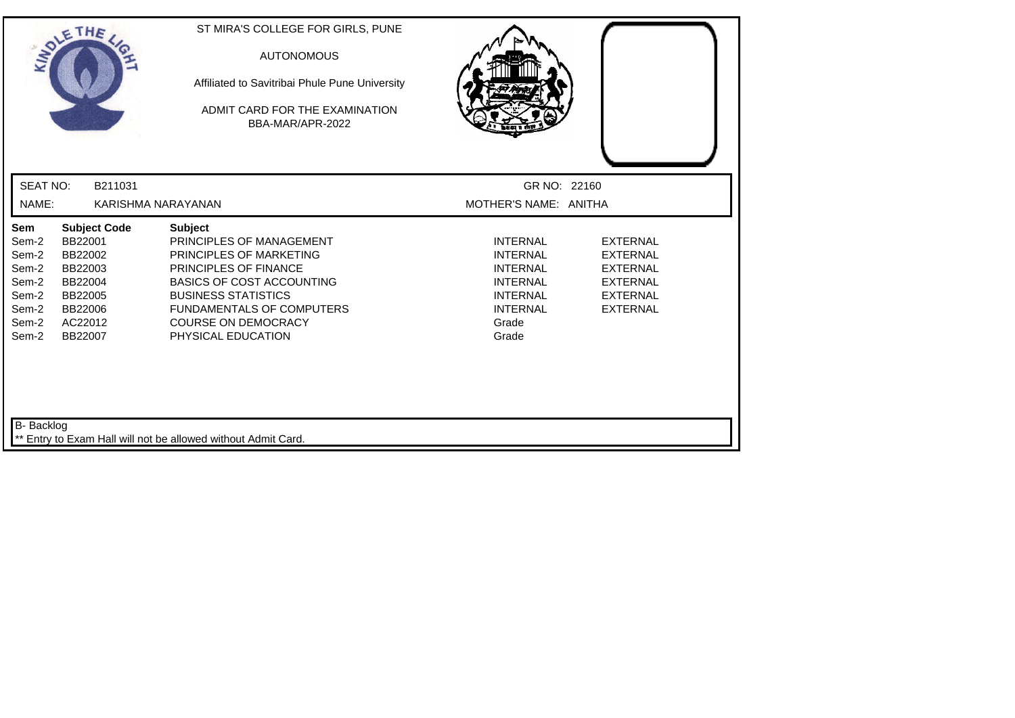| INDIE                                                                              | THE                                                                                                         | ST MIRA'S COLLEGE FOR GIRLS, PUNE<br><b>AUTONOMOUS</b><br>Affiliated to Savitribai Phule Pune University<br>ADMIT CARD FOR THE EXAMINATION<br>BBA-MAR/APR-2022                                                                                                  |                                                                                                                                  |                                                                                                                |
|------------------------------------------------------------------------------------|-------------------------------------------------------------------------------------------------------------|-----------------------------------------------------------------------------------------------------------------------------------------------------------------------------------------------------------------------------------------------------------------|----------------------------------------------------------------------------------------------------------------------------------|----------------------------------------------------------------------------------------------------------------|
| <b>SEAT NO:</b>                                                                    | B211031                                                                                                     |                                                                                                                                                                                                                                                                 | GR NO: 22160                                                                                                                     |                                                                                                                |
| NAME:                                                                              |                                                                                                             | KARISHMA NARAYANAN                                                                                                                                                                                                                                              | MOTHER'S NAME: ANITHA                                                                                                            |                                                                                                                |
| <b>Sem</b><br>Sem-2<br>Sem-2<br>Sem-2<br>Sem-2<br>Sem-2<br>Sem-2<br>Sem-2<br>Sem-2 | <b>Subject Code</b><br>BB22001<br>BB22002<br>BB22003<br>BB22004<br>BB22005<br>BB22006<br>AC22012<br>BB22007 | <b>Subject</b><br>PRINCIPLES OF MANAGEMENT<br>PRINCIPLES OF MARKETING<br><b>PRINCIPLES OF FINANCE</b><br><b>BASICS OF COST ACCOUNTING</b><br><b>BUSINESS STATISTICS</b><br><b>FUNDAMENTALS OF COMPUTERS</b><br><b>COURSE ON DEMOCRACY</b><br>PHYSICAL EDUCATION | <b>INTERNAL</b><br><b>INTERNAL</b><br><b>INTERNAL</b><br><b>INTERNAL</b><br><b>INTERNAL</b><br><b>INTERNAL</b><br>Grade<br>Grade | <b>EXTERNAL</b><br><b>EXTERNAL</b><br><b>EXTERNAL</b><br><b>EXTERNAL</b><br><b>EXTERNAL</b><br><b>EXTERNAL</b> |
| B- Backlog                                                                         |                                                                                                             | ** Entry to Exam Hall will not be allowed without Admit Card.                                                                                                                                                                                                   |                                                                                                                                  |                                                                                                                |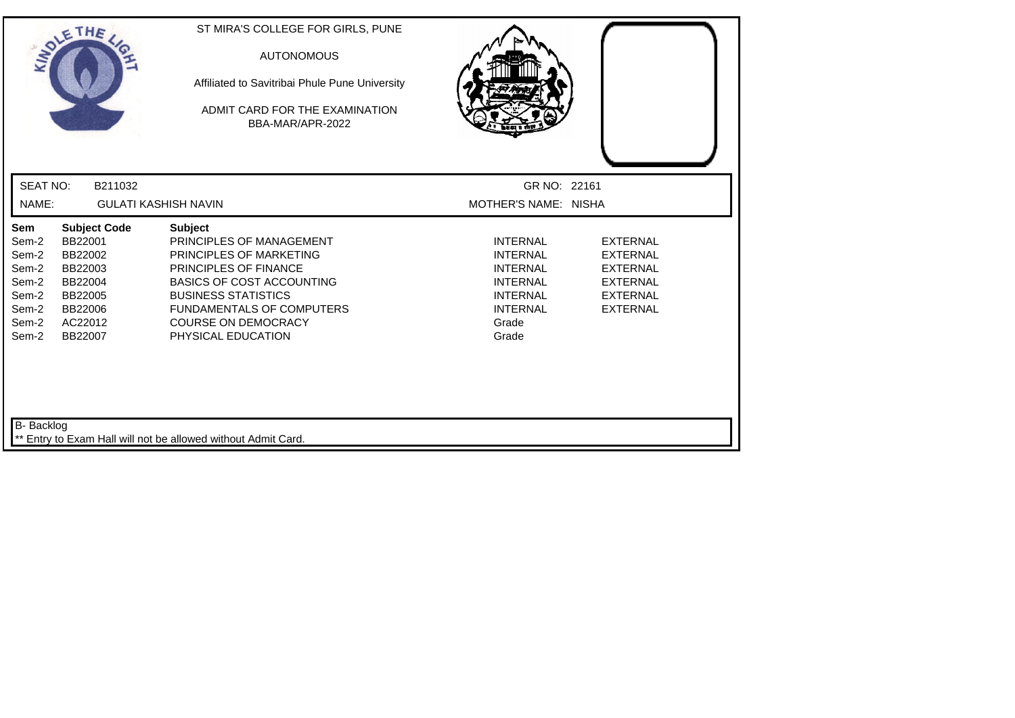| SOLETHE,                                                                                                                                                                                   | ST MIRA'S COLLEGE FOR GIRLS, PUNE<br><b>AUTONOMOUS</b><br>Affiliated to Savitribai Phule Pune University<br>ADMIT CARD FOR THE EXAMINATION.<br>BBA-MAR/APR-2022                                                                                                 |                                                                                                                                  |                                                                                                                |
|--------------------------------------------------------------------------------------------------------------------------------------------------------------------------------------------|-----------------------------------------------------------------------------------------------------------------------------------------------------------------------------------------------------------------------------------------------------------------|----------------------------------------------------------------------------------------------------------------------------------|----------------------------------------------------------------------------------------------------------------|
| <b>SEAT NO:</b><br>B211032                                                                                                                                                                 |                                                                                                                                                                                                                                                                 | GR NO: 22161                                                                                                                     |                                                                                                                |
| NAME:                                                                                                                                                                                      | <b>GULATI KASHISH NAVIN</b>                                                                                                                                                                                                                                     | MOTHER'S NAME: NISHA                                                                                                             |                                                                                                                |
| Sem<br><b>Subject Code</b><br>BB22001<br>Sem-2<br>Sem-2<br>BB22002<br>Sem-2<br>BB22003<br>Sem-2<br>BB22004<br>Sem-2<br>BB22005<br>Sem-2<br>BB22006<br>Sem-2<br>AC22012<br>Sem-2<br>BB22007 | <b>Subject</b><br>PRINCIPLES OF MANAGEMENT<br>PRINCIPLES OF MARKETING<br><b>PRINCIPLES OF FINANCE</b><br><b>BASICS OF COST ACCOUNTING</b><br><b>BUSINESS STATISTICS</b><br><b>FUNDAMENTALS OF COMPUTERS</b><br><b>COURSE ON DEMOCRACY</b><br>PHYSICAL EDUCATION | <b>INTERNAL</b><br><b>INTERNAL</b><br><b>INTERNAL</b><br><b>INTERNAL</b><br><b>INTERNAL</b><br><b>INTERNAL</b><br>Grade<br>Grade | <b>EXTERNAL</b><br><b>EXTERNAL</b><br><b>EXTERNAL</b><br><b>EXTERNAL</b><br><b>EXTERNAL</b><br><b>EXTERNAL</b> |
| B- Backlog                                                                                                                                                                                 | Entry to Exam Hall will not be allowed without Admit Card.                                                                                                                                                                                                      |                                                                                                                                  |                                                                                                                |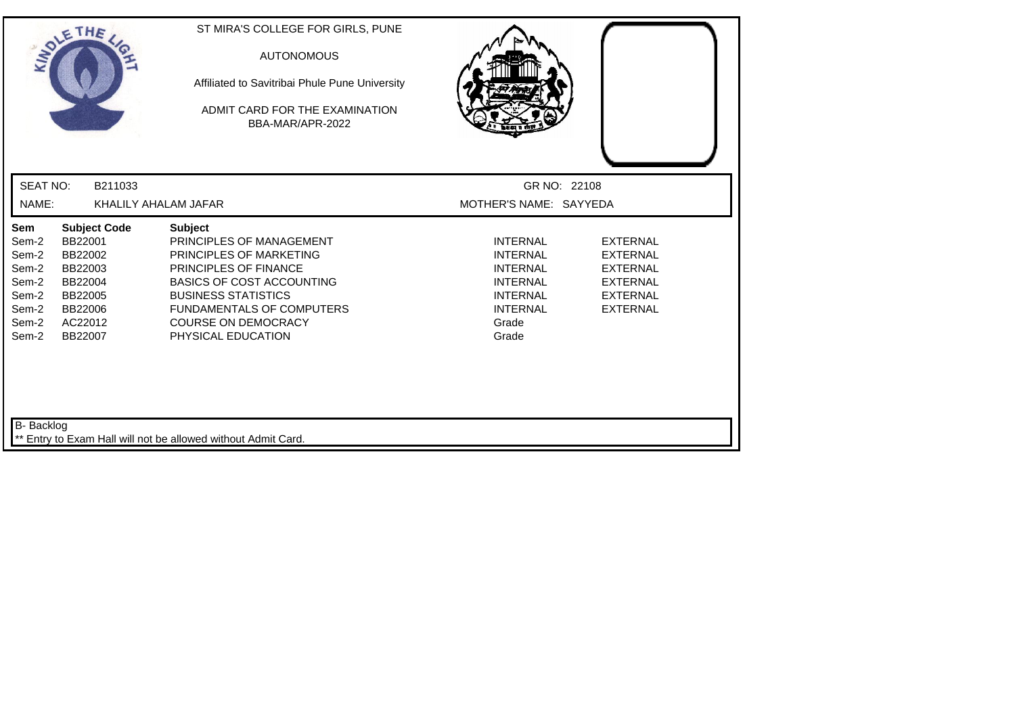|                                                                             | SOLETHE                                                                                                     | ST MIRA'S COLLEGE FOR GIRLS, PUNE<br><b>AUTONOMOUS</b><br>Affiliated to Savitribai Phule Pune University<br>ADMIT CARD FOR THE EXAMINATION<br>BBA-MAR/APR-2022                                                                                                  |                                                                                                                                  |                                                                                                                |
|-----------------------------------------------------------------------------|-------------------------------------------------------------------------------------------------------------|-----------------------------------------------------------------------------------------------------------------------------------------------------------------------------------------------------------------------------------------------------------------|----------------------------------------------------------------------------------------------------------------------------------|----------------------------------------------------------------------------------------------------------------|
| <b>SEAT NO:</b>                                                             | B211033                                                                                                     |                                                                                                                                                                                                                                                                 | GR NO: 22108                                                                                                                     |                                                                                                                |
| NAME:                                                                       |                                                                                                             | KHALILY AHALAM JAFAR                                                                                                                                                                                                                                            | MOTHER'S NAME: SAYYEDA                                                                                                           |                                                                                                                |
| Sem<br>Sem-2<br>Sem-2<br>Sem-2<br>Sem-2<br>Sem-2<br>Sem-2<br>Sem-2<br>Sem-2 | <b>Subject Code</b><br>BB22001<br>BB22002<br>BB22003<br>BB22004<br>BB22005<br>BB22006<br>AC22012<br>BB22007 | <b>Subject</b><br>PRINCIPLES OF MANAGEMENT<br>PRINCIPLES OF MARKETING<br><b>PRINCIPLES OF FINANCE</b><br><b>BASICS OF COST ACCOUNTING</b><br><b>BUSINESS STATISTICS</b><br><b>FUNDAMENTALS OF COMPUTERS</b><br><b>COURSE ON DEMOCRACY</b><br>PHYSICAL EDUCATION | <b>INTERNAL</b><br><b>INTERNAL</b><br><b>INTERNAL</b><br><b>INTERNAL</b><br><b>INTERNAL</b><br><b>INTERNAL</b><br>Grade<br>Grade | <b>EXTERNAL</b><br><b>EXTERNAL</b><br><b>EXTERNAL</b><br><b>EXTERNAL</b><br><b>EXTERNAL</b><br><b>EXTERNAL</b> |
| B- Backlog                                                                  |                                                                                                             | ** Entry to Exam Hall will not be allowed without Admit Card.                                                                                                                                                                                                   |                                                                                                                                  |                                                                                                                |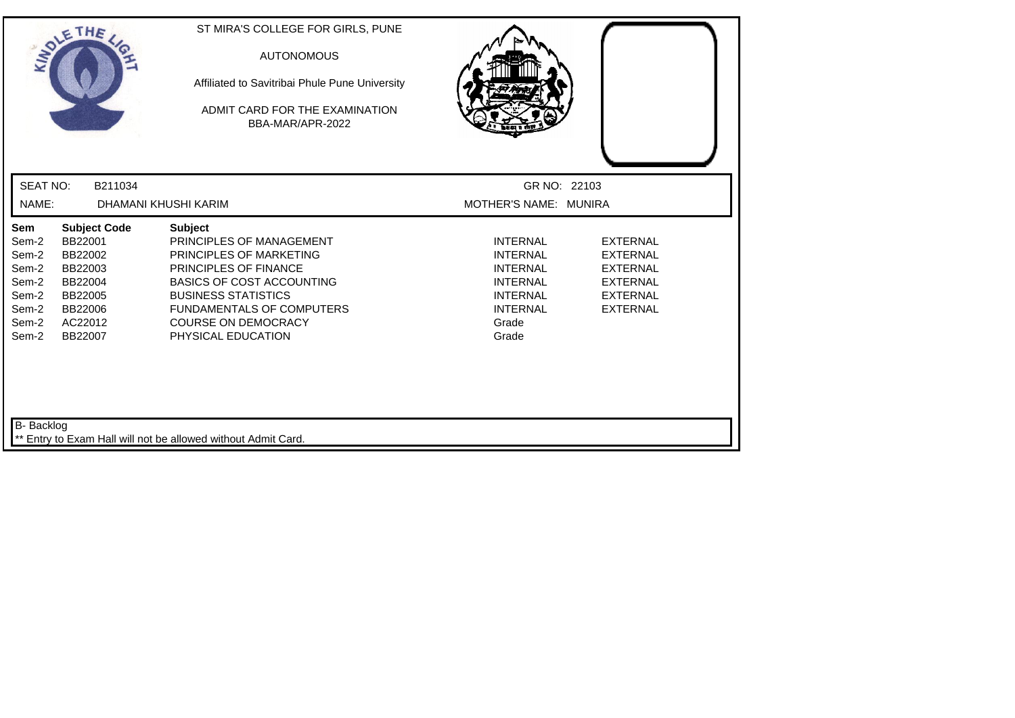| ANDLE                                                                       | <b>THE</b>                                                                                                  | ST MIRA'S COLLEGE FOR GIRLS, PUNE<br><b>AUTONOMOUS</b><br>Affiliated to Savitribai Phule Pune University<br>ADMIT CARD FOR THE EXAMINATION<br>BBA-MAR/APR-2022                                                                                           |                                                                                                                                  |                                                                                                                |
|-----------------------------------------------------------------------------|-------------------------------------------------------------------------------------------------------------|----------------------------------------------------------------------------------------------------------------------------------------------------------------------------------------------------------------------------------------------------------|----------------------------------------------------------------------------------------------------------------------------------|----------------------------------------------------------------------------------------------------------------|
| <b>SEAT NO:</b>                                                             | B211034                                                                                                     |                                                                                                                                                                                                                                                          | GR NO: 22103                                                                                                                     |                                                                                                                |
| NAME:                                                                       |                                                                                                             | DHAMANI KHUSHI KARIM                                                                                                                                                                                                                                     | MOTHER'S NAME: MUNIRA                                                                                                            |                                                                                                                |
| Sem<br>Sem-2<br>Sem-2<br>Sem-2<br>Sem-2<br>Sem-2<br>Sem-2<br>Sem-2<br>Sem-2 | <b>Subject Code</b><br>BB22001<br>BB22002<br>BB22003<br>BB22004<br>BB22005<br>BB22006<br>AC22012<br>BB22007 | <b>Subject</b><br>PRINCIPLES OF MANAGEMENT<br>PRINCIPLES OF MARKETING<br>PRINCIPLES OF FINANCE<br><b>BASICS OF COST ACCOUNTING</b><br><b>BUSINESS STATISTICS</b><br><b>FUNDAMENTALS OF COMPUTERS</b><br><b>COURSE ON DEMOCRACY</b><br>PHYSICAL EDUCATION | <b>INTERNAL</b><br><b>INTERNAL</b><br><b>INTERNAL</b><br><b>INTERNAL</b><br><b>INTERNAL</b><br><b>INTERNAL</b><br>Grade<br>Grade | <b>EXTERNAL</b><br><b>EXTERNAL</b><br><b>EXTERNAL</b><br><b>EXTERNAL</b><br><b>EXTERNAL</b><br><b>EXTERNAL</b> |
| B- Backlog                                                                  |                                                                                                             | ** Entry to Exam Hall will not be allowed without Admit Card.                                                                                                                                                                                            |                                                                                                                                  |                                                                                                                |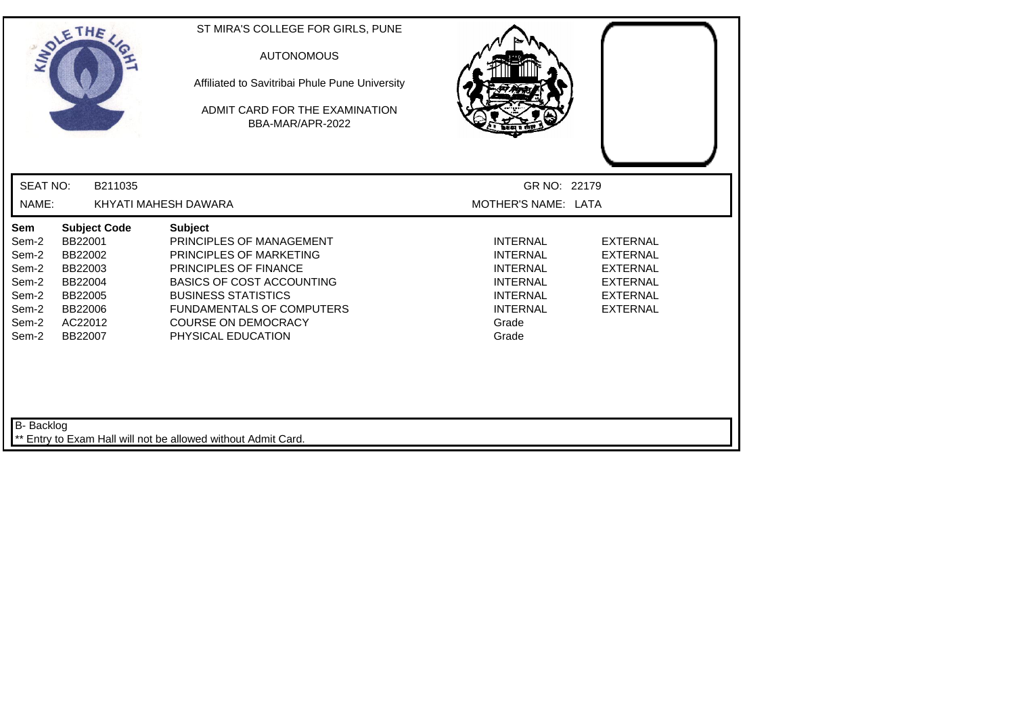| SOLETHE,                                                                    |                                                                                                             | ST MIRA'S COLLEGE FOR GIRLS, PUNE<br><b>AUTONOMOUS</b><br>Affiliated to Savitribai Phule Pune University<br>ADMIT CARD FOR THE EXAMINATION<br>BBA-MAR/APR-2022                                                                                                  |                                                                                                                                  |                                                                                                                |
|-----------------------------------------------------------------------------|-------------------------------------------------------------------------------------------------------------|-----------------------------------------------------------------------------------------------------------------------------------------------------------------------------------------------------------------------------------------------------------------|----------------------------------------------------------------------------------------------------------------------------------|----------------------------------------------------------------------------------------------------------------|
| <b>SEAT NO:</b>                                                             | B211035                                                                                                     |                                                                                                                                                                                                                                                                 | GR NO: 22179                                                                                                                     |                                                                                                                |
| NAME:                                                                       |                                                                                                             | KHYATI MAHESH DAWARA                                                                                                                                                                                                                                            | MOTHER'S NAME: LATA                                                                                                              |                                                                                                                |
| Sem<br>Sem-2<br>Sem-2<br>Sem-2<br>Sem-2<br>Sem-2<br>Sem-2<br>Sem-2<br>Sem-2 | <b>Subject Code</b><br>BB22001<br>BB22002<br>BB22003<br>BB22004<br>BB22005<br>BB22006<br>AC22012<br>BB22007 | <b>Subject</b><br>PRINCIPLES OF MANAGEMENT<br><b>PRINCIPLES OF MARKETING</b><br>PRINCIPLES OF FINANCE<br><b>BASICS OF COST ACCOUNTING</b><br><b>BUSINESS STATISTICS</b><br><b>FUNDAMENTALS OF COMPUTERS</b><br><b>COURSE ON DEMOCRACY</b><br>PHYSICAL EDUCATION | <b>INTERNAL</b><br><b>INTERNAL</b><br><b>INTERNAL</b><br><b>INTERNAL</b><br><b>INTERNAL</b><br><b>INTERNAL</b><br>Grade<br>Grade | <b>EXTERNAL</b><br><b>EXTERNAL</b><br><b>EXTERNAL</b><br><b>EXTERNAL</b><br><b>EXTERNAL</b><br><b>EXTERNAL</b> |
| B- Backlog                                                                  |                                                                                                             | Entry to Exam Hall will not be allowed without Admit Card.                                                                                                                                                                                                      |                                                                                                                                  |                                                                                                                |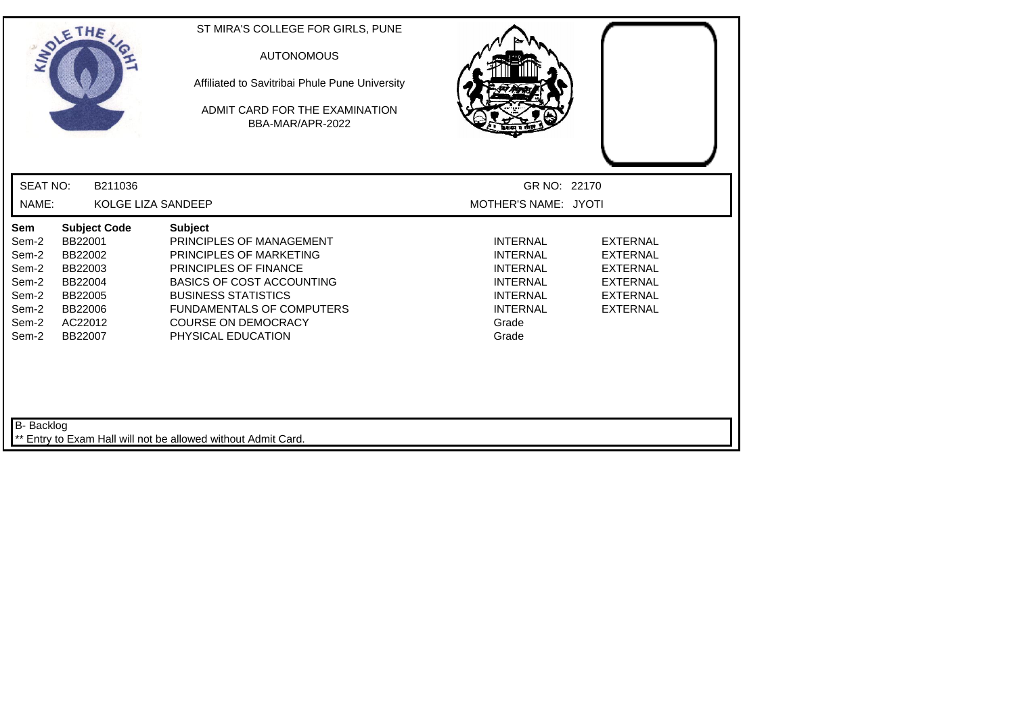|                                                                             | SOLETHE                                                                                                     | ST MIRA'S COLLEGE FOR GIRLS, PUNE<br><b>AUTONOMOUS</b><br>Affiliated to Savitribai Phule Pune University<br>ADMIT CARD FOR THE EXAMINATION<br>BBA-MAR/APR-2022                                                                                                  |                                                                                                                                  |                                                                                                                |
|-----------------------------------------------------------------------------|-------------------------------------------------------------------------------------------------------------|-----------------------------------------------------------------------------------------------------------------------------------------------------------------------------------------------------------------------------------------------------------------|----------------------------------------------------------------------------------------------------------------------------------|----------------------------------------------------------------------------------------------------------------|
| <b>SEAT NO:</b>                                                             | B211036                                                                                                     |                                                                                                                                                                                                                                                                 | GR NO: 22170                                                                                                                     |                                                                                                                |
| NAME:                                                                       | KOLGE LIZA SANDEEP                                                                                          |                                                                                                                                                                                                                                                                 | MOTHER'S NAME: JYOTI                                                                                                             |                                                                                                                |
| Sem<br>Sem-2<br>Sem-2<br>Sem-2<br>Sem-2<br>Sem-2<br>Sem-2<br>Sem-2<br>Sem-2 | <b>Subject Code</b><br>BB22001<br>BB22002<br>BB22003<br>BB22004<br>BB22005<br>BB22006<br>AC22012<br>BB22007 | <b>Subject</b><br>PRINCIPLES OF MANAGEMENT<br>PRINCIPLES OF MARKETING<br><b>PRINCIPLES OF FINANCE</b><br><b>BASICS OF COST ACCOUNTING</b><br><b>BUSINESS STATISTICS</b><br><b>FUNDAMENTALS OF COMPUTERS</b><br><b>COURSE ON DEMOCRACY</b><br>PHYSICAL EDUCATION | <b>INTERNAL</b><br><b>INTERNAL</b><br><b>INTERNAL</b><br><b>INTERNAL</b><br><b>INTERNAL</b><br><b>INTERNAL</b><br>Grade<br>Grade | <b>EXTERNAL</b><br><b>EXTERNAL</b><br><b>EXTERNAL</b><br><b>EXTERNAL</b><br><b>EXTERNAL</b><br><b>EXTERNAL</b> |
| B- Backlog                                                                  |                                                                                                             | Entry to Exam Hall will not be allowed without Admit Card.                                                                                                                                                                                                      |                                                                                                                                  |                                                                                                                |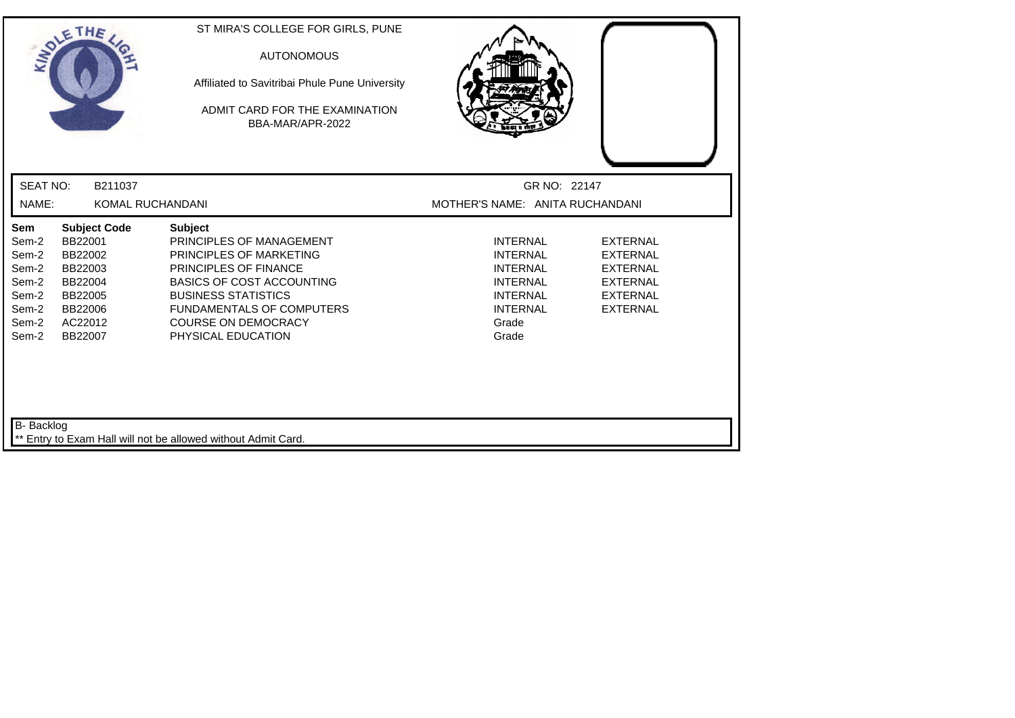|                                                                             | SOLETHE,                                                                                                    | ST MIRA'S COLLEGE FOR GIRLS, PUNE<br><b>AUTONOMOUS</b><br>Affiliated to Savitribai Phule Pune University<br>ADMIT CARD FOR THE EXAMINATION<br>BBA-MAR/APR-2022                                                                                           |                                                                                                                                  |                                                                                                                |
|-----------------------------------------------------------------------------|-------------------------------------------------------------------------------------------------------------|----------------------------------------------------------------------------------------------------------------------------------------------------------------------------------------------------------------------------------------------------------|----------------------------------------------------------------------------------------------------------------------------------|----------------------------------------------------------------------------------------------------------------|
| <b>SEAT NO:</b>                                                             | B211037                                                                                                     |                                                                                                                                                                                                                                                          | GR NO: 22147                                                                                                                     |                                                                                                                |
| NAME:                                                                       | KOMAL RUCHANDANI                                                                                            |                                                                                                                                                                                                                                                          | MOTHER'S NAME: ANITA RUCHANDANI                                                                                                  |                                                                                                                |
| Sem<br>Sem-2<br>Sem-2<br>Sem-2<br>Sem-2<br>Sem-2<br>Sem-2<br>Sem-2<br>Sem-2 | <b>Subject Code</b><br>BB22001<br>BB22002<br>BB22003<br>BB22004<br>BB22005<br>BB22006<br>AC22012<br>BB22007 | <b>Subject</b><br>PRINCIPLES OF MANAGEMENT<br>PRINCIPLES OF MARKETING<br>PRINCIPLES OF FINANCE<br><b>BASICS OF COST ACCOUNTING</b><br><b>BUSINESS STATISTICS</b><br><b>FUNDAMENTALS OF COMPUTERS</b><br><b>COURSE ON DEMOCRACY</b><br>PHYSICAL EDUCATION | <b>INTERNAL</b><br><b>INTERNAL</b><br><b>INTERNAL</b><br><b>INTERNAL</b><br><b>INTERNAL</b><br><b>INTERNAL</b><br>Grade<br>Grade | <b>EXTERNAL</b><br><b>EXTERNAL</b><br><b>EXTERNAL</b><br><b>EXTERNAL</b><br><b>EXTERNAL</b><br><b>EXTERNAL</b> |
| B- Backlog                                                                  |                                                                                                             | ** Entry to Exam Hall will not be allowed without Admit Card.                                                                                                                                                                                            |                                                                                                                                  |                                                                                                                |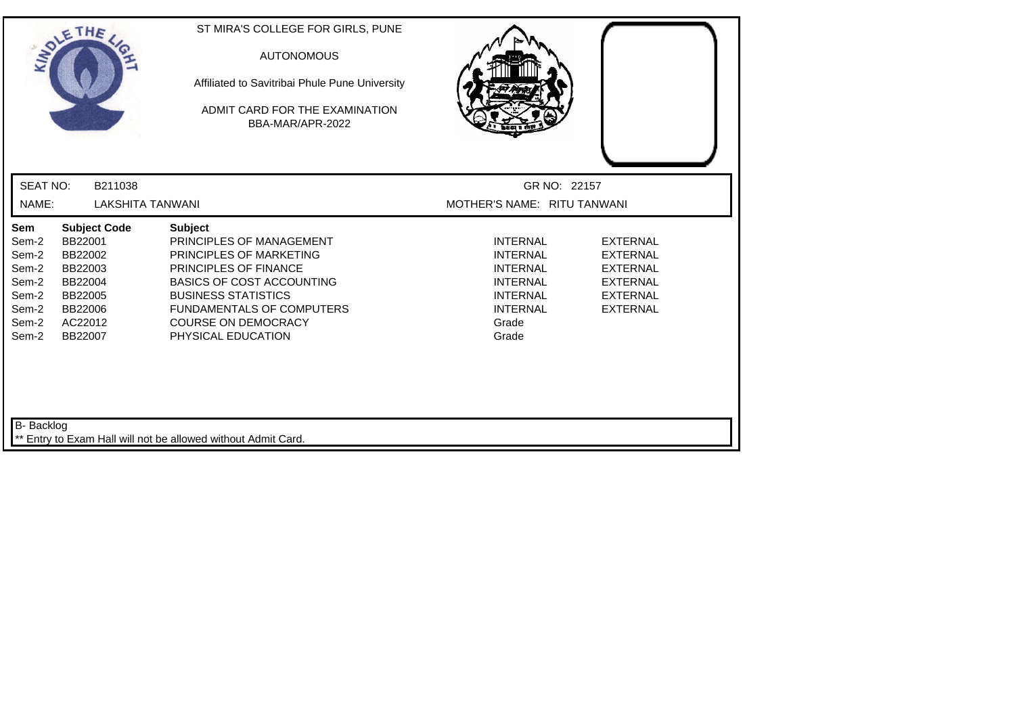| SOLETHE,                                                                                                                                                            |                                       | ST MIRA'S COLLEGE FOR GIRLS, PUNE<br><b>AUTONOMOUS</b><br>Affiliated to Savitribai Phule Pune University<br>ADMIT CARD FOR THE EXAMINATION<br>BBA-MAR/APR-2022                                                                         |                                                                                                                                  |                                                                                                                |
|---------------------------------------------------------------------------------------------------------------------------------------------------------------------|---------------------------------------|----------------------------------------------------------------------------------------------------------------------------------------------------------------------------------------------------------------------------------------|----------------------------------------------------------------------------------------------------------------------------------|----------------------------------------------------------------------------------------------------------------|
| <b>SEAT NO:</b>                                                                                                                                                     | B211038                               |                                                                                                                                                                                                                                        |                                                                                                                                  | GR NO: 22157                                                                                                   |
| NAME:                                                                                                                                                               | <b>LAKSHITA TANWANI</b>               |                                                                                                                                                                                                                                        | MOTHER'S NAME: RITU TANWANI                                                                                                      |                                                                                                                |
| Sem<br>BB22001<br>Sem-2<br>Sem-2<br>BB22002<br>Sem-2<br>BB22003<br>Sem-2<br>BB22004<br>Sem-2<br>BB22005<br>Sem-2<br>BB22006<br>Sem-2<br>AC22012<br>Sem-2<br>BB22007 | <b>Subject Code</b><br><b>Subject</b> | PRINCIPLES OF MANAGEMENT<br>PRINCIPLES OF MARKETING<br>PRINCIPLES OF FINANCE<br><b>BASICS OF COST ACCOUNTING</b><br><b>BUSINESS STATISTICS</b><br><b>FUNDAMENTALS OF COMPUTERS</b><br><b>COURSE ON DEMOCRACY</b><br>PHYSICAL EDUCATION | <b>INTERNAL</b><br><b>INTERNAL</b><br><b>INTERNAL</b><br><b>INTERNAL</b><br><b>INTERNAL</b><br><b>INTERNAL</b><br>Grade<br>Grade | <b>EXTERNAL</b><br><b>EXTERNAL</b><br><b>EXTERNAL</b><br><b>EXTERNAL</b><br><b>EXTERNAL</b><br><b>EXTERNAL</b> |
| B- Backlog                                                                                                                                                          |                                       | ** Entry to Exam Hall will not be allowed without Admit Card.                                                                                                                                                                          |                                                                                                                                  |                                                                                                                |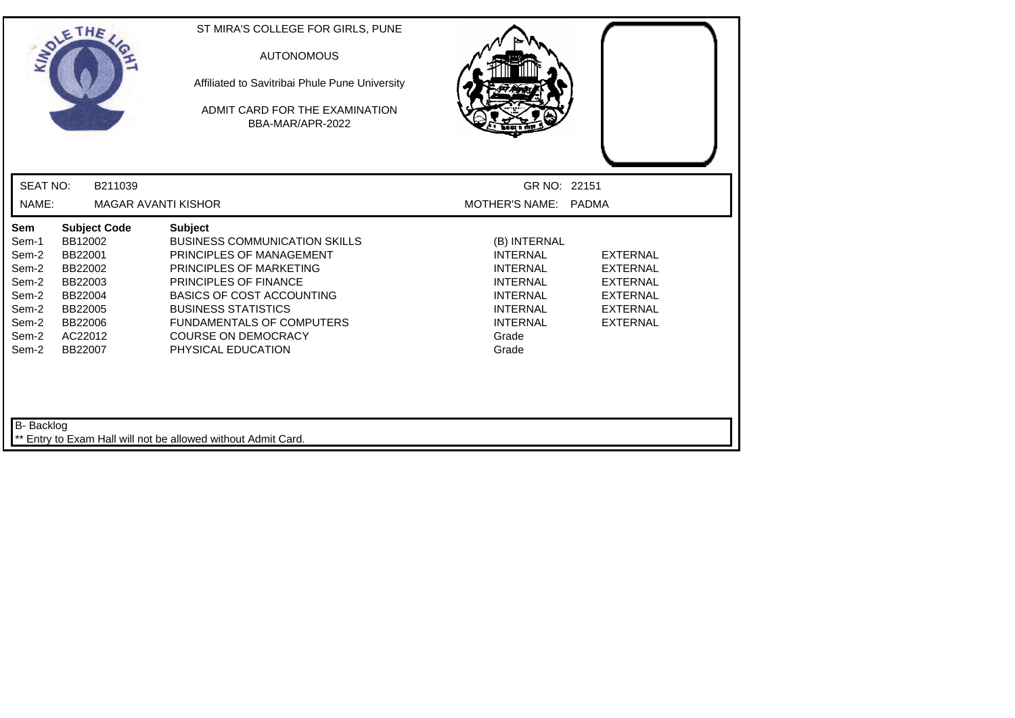| ANDLE                                                                                | THE                                                                                                                    | ST MIRA'S COLLEGE FOR GIRLS, PUNE<br><b>AUTONOMOUS</b><br>Affiliated to Savitribai Phule Pune University<br>ADMIT CARD FOR THE EXAMINATION<br>BBA-MAR/APR-2022                                                                                                                                   |                                                                                                                                                  |                                                                                                                |
|--------------------------------------------------------------------------------------|------------------------------------------------------------------------------------------------------------------------|--------------------------------------------------------------------------------------------------------------------------------------------------------------------------------------------------------------------------------------------------------------------------------------------------|--------------------------------------------------------------------------------------------------------------------------------------------------|----------------------------------------------------------------------------------------------------------------|
| <b>SEAT NO:</b>                                                                      | B211039                                                                                                                |                                                                                                                                                                                                                                                                                                  | GR NO: 22151                                                                                                                                     |                                                                                                                |
| NAME:                                                                                |                                                                                                                        | <b>MAGAR AVANTI KISHOR</b>                                                                                                                                                                                                                                                                       | MOTHER'S NAME:                                                                                                                                   | <b>PADMA</b>                                                                                                   |
| Sem<br>Sem-1<br>Sem-2<br>Sem-2<br>Sem-2<br>Sem-2<br>Sem-2<br>Sem-2<br>Sem-2<br>Sem-2 | <b>Subject Code</b><br>BB12002<br>BB22001<br>BB22002<br>BB22003<br>BB22004<br>BB22005<br>BB22006<br>AC22012<br>BB22007 | <b>Subject</b><br><b>BUSINESS COMMUNICATION SKILLS</b><br>PRINCIPLES OF MANAGEMENT<br>PRINCIPLES OF MARKETING<br>PRINCIPLES OF FINANCE<br><b>BASICS OF COST ACCOUNTING</b><br><b>BUSINESS STATISTICS</b><br><b>FUNDAMENTALS OF COMPUTERS</b><br><b>COURSE ON DEMOCRACY</b><br>PHYSICAL EDUCATION | (B) INTERNAL<br><b>INTERNAL</b><br><b>INTERNAL</b><br><b>INTERNAL</b><br><b>INTERNAL</b><br><b>INTERNAL</b><br><b>INTERNAL</b><br>Grade<br>Grade | <b>EXTERNAL</b><br><b>EXTERNAL</b><br><b>EXTERNAL</b><br><b>EXTERNAL</b><br><b>EXTERNAL</b><br><b>EXTERNAL</b> |
| B- Backlog                                                                           |                                                                                                                        | Entry to Exam Hall will not be allowed without Admit Card.                                                                                                                                                                                                                                       |                                                                                                                                                  |                                                                                                                |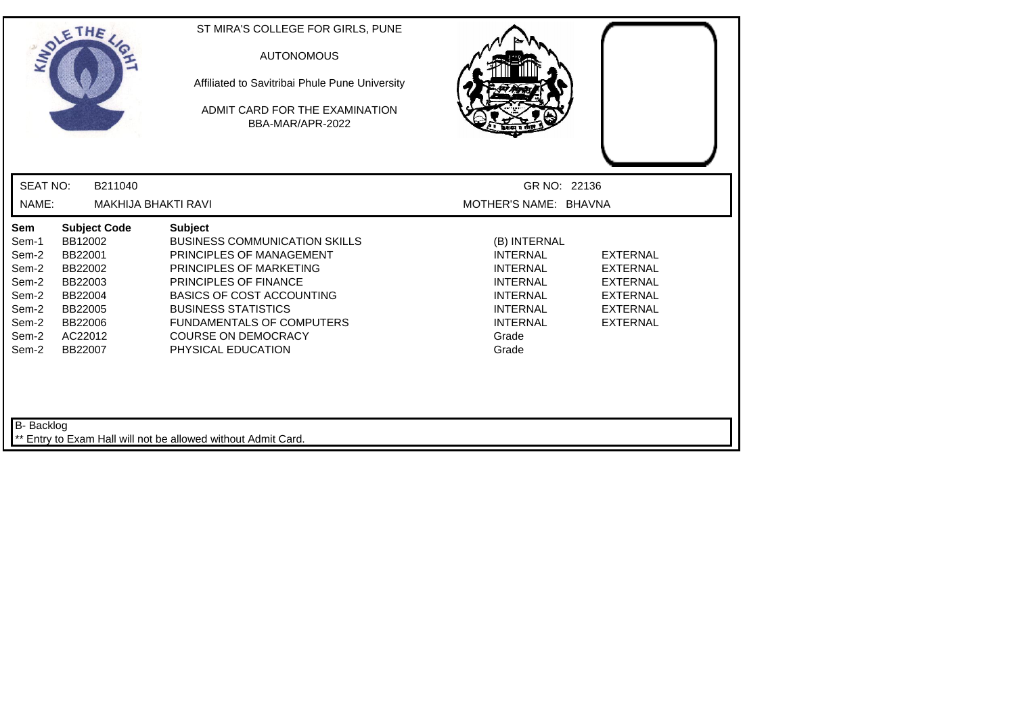| <b>INDI</b>                                                                                                                                                                             | THE                 | ST MIRA'S COLLEGE FOR GIRLS, PUNE<br><b>AUTONOMOUS</b><br>Affiliated to Savitribai Phule Pune University<br>ADMIT CARD FOR THE EXAMINATION<br>BBA-MAR/APR-2022                                                                                                                                   |                                                                                                                                                  |                                                                                                                |
|-----------------------------------------------------------------------------------------------------------------------------------------------------------------------------------------|---------------------|--------------------------------------------------------------------------------------------------------------------------------------------------------------------------------------------------------------------------------------------------------------------------------------------------|--------------------------------------------------------------------------------------------------------------------------------------------------|----------------------------------------------------------------------------------------------------------------|
| <b>SEAT NO:</b>                                                                                                                                                                         | B211040             |                                                                                                                                                                                                                                                                                                  | GR NO: 22136                                                                                                                                     |                                                                                                                |
| NAME:                                                                                                                                                                                   | MAKHIJA BHAKTI RAVI |                                                                                                                                                                                                                                                                                                  | MOTHER'S NAME: BHAVNA                                                                                                                            |                                                                                                                |
| Sem<br>BB12002<br>Sem-1<br>Sem-2<br>BB22001<br>Sem-2<br>BB22002<br>Sem-2<br>BB22003<br>Sem-2<br>BB22004<br>Sem-2<br>BB22005<br>Sem-2<br>BB22006<br>Sem-2<br>AC22012<br>BB22007<br>Sem-2 | <b>Subject Code</b> | <b>Subject</b><br><b>BUSINESS COMMUNICATION SKILLS</b><br>PRINCIPLES OF MANAGEMENT<br>PRINCIPLES OF MARKETING<br>PRINCIPLES OF FINANCE<br><b>BASICS OF COST ACCOUNTING</b><br><b>BUSINESS STATISTICS</b><br><b>FUNDAMENTALS OF COMPUTERS</b><br><b>COURSE ON DEMOCRACY</b><br>PHYSICAL EDUCATION | (B) INTERNAL<br><b>INTERNAL</b><br><b>INTERNAL</b><br><b>INTERNAL</b><br><b>INTERNAL</b><br><b>INTERNAL</b><br><b>INTERNAL</b><br>Grade<br>Grade | <b>EXTERNAL</b><br><b>EXTERNAL</b><br><b>EXTERNAL</b><br><b>EXTERNAL</b><br><b>EXTERNAL</b><br><b>EXTERNAL</b> |
| B- Backlog                                                                                                                                                                              |                     | Entry to Exam Hall will not be allowed without Admit Card.                                                                                                                                                                                                                                       |                                                                                                                                                  |                                                                                                                |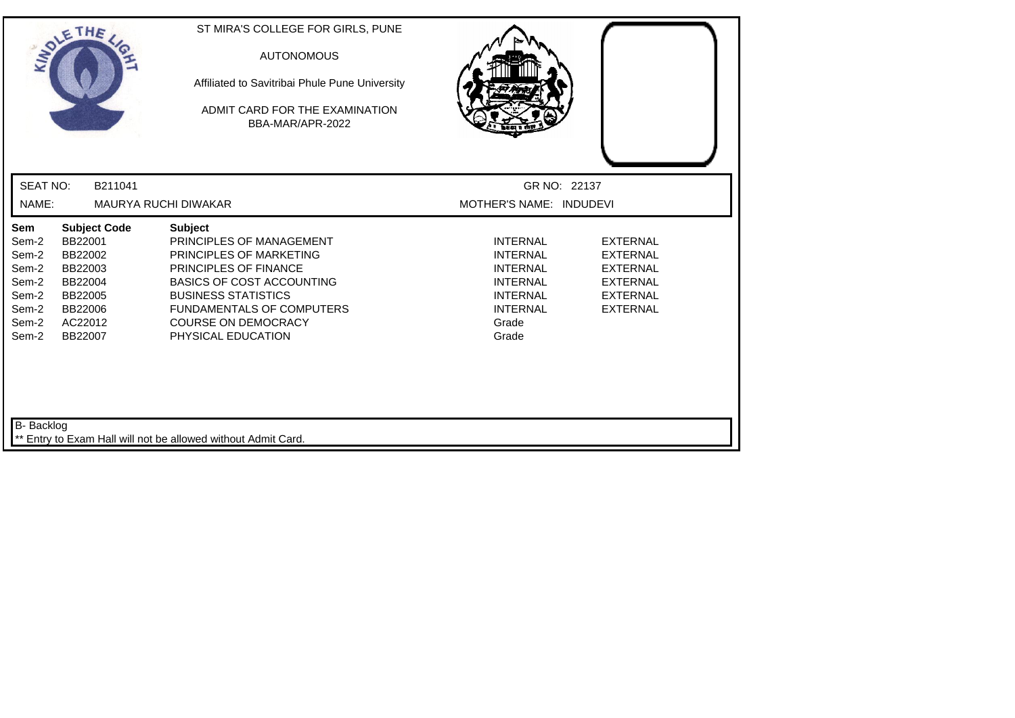| SOLETHE,                                                                    |                                                                                                             | ST MIRA'S COLLEGE FOR GIRLS, PUNE<br><b>AUTONOMOUS</b><br>Affiliated to Savitribai Phule Pune University<br>ADMIT CARD FOR THE EXAMINATION<br>BBA-MAR/APR-2022                                                                                    |                                                                                                                                  |                                                                                                                |
|-----------------------------------------------------------------------------|-------------------------------------------------------------------------------------------------------------|---------------------------------------------------------------------------------------------------------------------------------------------------------------------------------------------------------------------------------------------------|----------------------------------------------------------------------------------------------------------------------------------|----------------------------------------------------------------------------------------------------------------|
| <b>SEAT NO:</b>                                                             | B211041                                                                                                     |                                                                                                                                                                                                                                                   | GR NO: 22137                                                                                                                     |                                                                                                                |
| NAME:                                                                       |                                                                                                             | <b>MAURYA RUCHI DIWAKAR</b>                                                                                                                                                                                                                       | MOTHER'S NAME: INDUDEVI                                                                                                          |                                                                                                                |
| Sem<br>Sem-2<br>Sem-2<br>Sem-2<br>Sem-2<br>Sem-2<br>Sem-2<br>Sem-2<br>Sem-2 | <b>Subject Code</b><br>BB22001<br>BB22002<br>BB22003<br>BB22004<br>BB22005<br>BB22006<br>AC22012<br>BB22007 | <b>Subject</b><br>PRINCIPLES OF MANAGEMENT<br>PRINCIPLES OF MARKETING<br>PRINCIPLES OF FINANCE<br><b>BASICS OF COST ACCOUNTING</b><br><b>BUSINESS STATISTICS</b><br>FUNDAMENTALS OF COMPUTERS<br><b>COURSE ON DEMOCRACY</b><br>PHYSICAL EDUCATION | <b>INTERNAL</b><br><b>INTERNAL</b><br><b>INTERNAL</b><br><b>INTERNAL</b><br><b>INTERNAL</b><br><b>INTERNAL</b><br>Grade<br>Grade | <b>EXTERNAL</b><br><b>EXTERNAL</b><br><b>EXTERNAL</b><br><b>EXTERNAL</b><br><b>EXTERNAL</b><br><b>EXTERNAL</b> |
| B- Backlog                                                                  |                                                                                                             | ** Entry to Exam Hall will not be allowed without Admit Card.                                                                                                                                                                                     |                                                                                                                                  |                                                                                                                |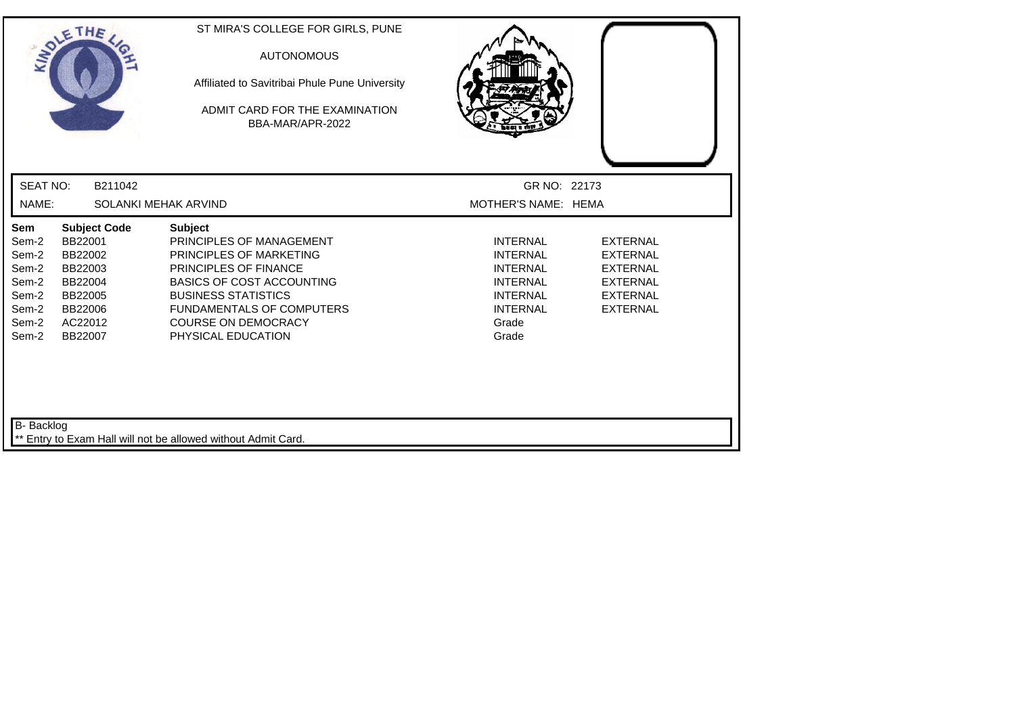| SOLETHE                                                                     |                                                                                                             | ST MIRA'S COLLEGE FOR GIRLS, PUNE<br><b>AUTONOMOUS</b><br>Affiliated to Savitribai Phule Pune University<br>ADMIT CARD FOR THE EXAMINATION<br>BBA-MAR/APR-2022                                                                                           |                                                                                                                                  |                                                                                                                |
|-----------------------------------------------------------------------------|-------------------------------------------------------------------------------------------------------------|----------------------------------------------------------------------------------------------------------------------------------------------------------------------------------------------------------------------------------------------------------|----------------------------------------------------------------------------------------------------------------------------------|----------------------------------------------------------------------------------------------------------------|
| <b>SEAT NO:</b>                                                             | B211042                                                                                                     |                                                                                                                                                                                                                                                          | GR NO: 22173                                                                                                                     |                                                                                                                |
| NAME:                                                                       |                                                                                                             | SOLANKI MEHAK ARVIND                                                                                                                                                                                                                                     | MOTHER'S NAME: HEMA                                                                                                              |                                                                                                                |
| Sem<br>Sem-2<br>Sem-2<br>Sem-2<br>Sem-2<br>Sem-2<br>Sem-2<br>Sem-2<br>Sem-2 | <b>Subject Code</b><br>BB22001<br>BB22002<br>BB22003<br>BB22004<br>BB22005<br>BB22006<br>AC22012<br>BB22007 | <b>Subject</b><br>PRINCIPLES OF MANAGEMENT<br>PRINCIPLES OF MARKETING<br>PRINCIPLES OF FINANCE<br><b>BASICS OF COST ACCOUNTING</b><br><b>BUSINESS STATISTICS</b><br><b>FUNDAMENTALS OF COMPUTERS</b><br><b>COURSE ON DEMOCRACY</b><br>PHYSICAL EDUCATION | <b>INTERNAL</b><br><b>INTERNAL</b><br><b>INTERNAL</b><br><b>INTERNAL</b><br><b>INTERNAL</b><br><b>INTERNAL</b><br>Grade<br>Grade | <b>EXTERNAL</b><br><b>EXTERNAL</b><br><b>EXTERNAL</b><br><b>EXTERNAL</b><br><b>EXTERNAL</b><br><b>EXTERNAL</b> |
| B- Backlog                                                                  |                                                                                                             | Entry to Exam Hall will not be allowed without Admit Card.                                                                                                                                                                                               |                                                                                                                                  |                                                                                                                |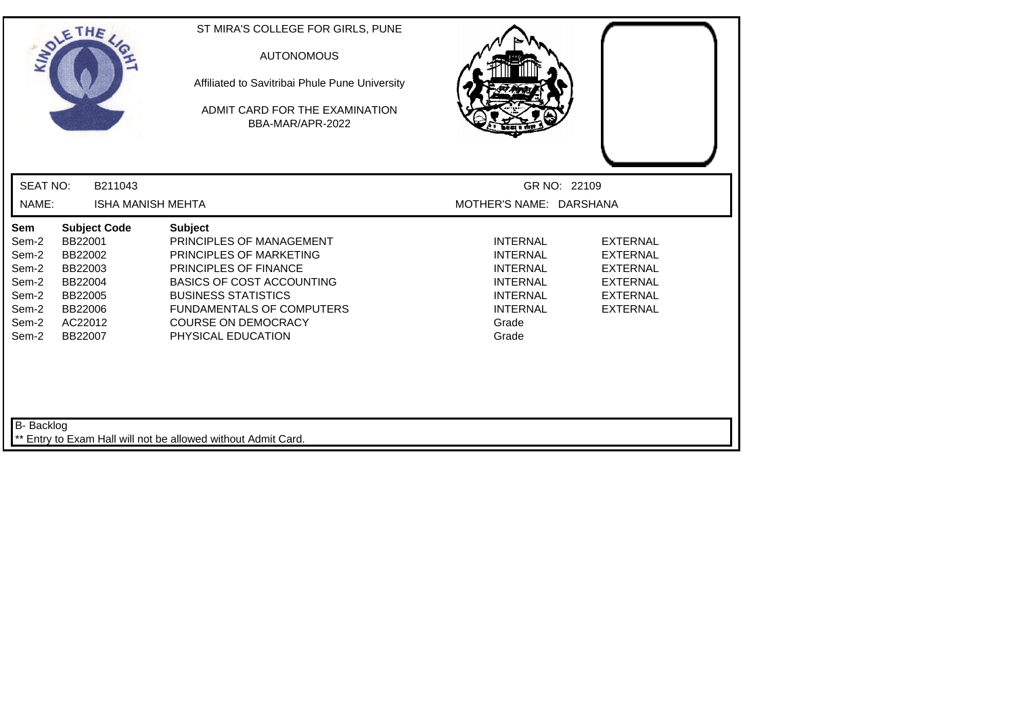| SOLETHE ,                                                                                                                                                                                  | ST MIRA'S COLLEGE FOR GIRLS, PUNE<br><b>AUTONOMOUS</b><br>Affiliated to Savitribai Phule Pune University<br>ADMIT CARD FOR THE EXAMINATION<br>BBA-MAR/APR-2022                                                                                                         |                                                                                                                                  |                                                                                                                |
|--------------------------------------------------------------------------------------------------------------------------------------------------------------------------------------------|------------------------------------------------------------------------------------------------------------------------------------------------------------------------------------------------------------------------------------------------------------------------|----------------------------------------------------------------------------------------------------------------------------------|----------------------------------------------------------------------------------------------------------------|
| <b>SEAT NO:</b><br>B211043                                                                                                                                                                 |                                                                                                                                                                                                                                                                        |                                                                                                                                  | GR NO: 22109                                                                                                   |
| NAME:                                                                                                                                                                                      | <b>ISHA MANISH MEHTA</b>                                                                                                                                                                                                                                               | MOTHER'S NAME: DARSHANA                                                                                                          |                                                                                                                |
| Sem<br><b>Subject Code</b><br>BB22001<br>Sem-2<br>Sem-2<br>BB22002<br>Sem-2<br>BB22003<br>Sem-2<br>BB22004<br>Sem-2<br>BB22005<br>Sem-2<br>BB22006<br>Sem-2<br>AC22012<br>Sem-2<br>BB22007 | <b>Subject</b><br>PRINCIPLES OF MANAGEMENT<br><b>PRINCIPLES OF MARKETING</b><br><b>PRINCIPLES OF FINANCE</b><br><b>BASICS OF COST ACCOUNTING</b><br><b>BUSINESS STATISTICS</b><br><b>FUNDAMENTALS OF COMPUTERS</b><br><b>COURSE ON DEMOCRACY</b><br>PHYSICAL EDUCATION | <b>INTERNAL</b><br><b>INTERNAL</b><br><b>INTERNAL</b><br><b>INTERNAL</b><br><b>INTERNAL</b><br><b>INTERNAL</b><br>Grade<br>Grade | <b>EXTERNAL</b><br><b>EXTERNAL</b><br><b>EXTERNAL</b><br><b>EXTERNAL</b><br><b>EXTERNAL</b><br><b>EXTERNAL</b> |
| B- Backlog                                                                                                                                                                                 | Entry to Exam Hall will not be allowed without Admit Card.                                                                                                                                                                                                             |                                                                                                                                  |                                                                                                                |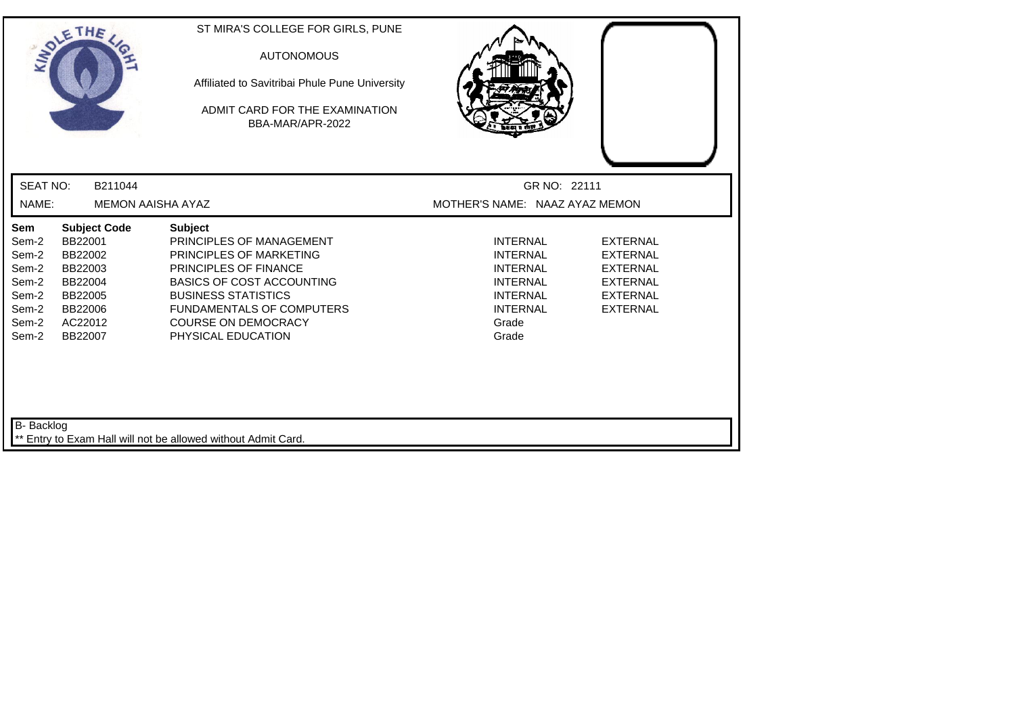| THE<br>ANDLE                                                                                                                                                        |                                                                                                                                                                                                                                                    | ST MIRA'S COLLEGE FOR GIRLS, PUNE<br><b>AUTONOMOUS</b><br>Affiliated to Savitribai Phule Pune University<br>ADMIT CARD FOR THE EXAMINATION<br>BBA-MAR/APR-2022 |                                                                                                                                  |                                                                                                                |  |
|---------------------------------------------------------------------------------------------------------------------------------------------------------------------|----------------------------------------------------------------------------------------------------------------------------------------------------------------------------------------------------------------------------------------------------|----------------------------------------------------------------------------------------------------------------------------------------------------------------|----------------------------------------------------------------------------------------------------------------------------------|----------------------------------------------------------------------------------------------------------------|--|
| <b>SEAT NO:</b>                                                                                                                                                     | B211044                                                                                                                                                                                                                                            |                                                                                                                                                                |                                                                                                                                  | GR NO: 22111                                                                                                   |  |
| NAME:                                                                                                                                                               | <b>MEMON AAISHA AYAZ</b>                                                                                                                                                                                                                           |                                                                                                                                                                | MOTHER'S NAME: NAAZ AYAZ MEMON                                                                                                   |                                                                                                                |  |
| Sem<br>BB22001<br>Sem-2<br>Sem-2<br>BB22002<br>Sem-2<br>BB22003<br>Sem-2<br>BB22004<br>Sem-2<br>BB22005<br>Sem-2<br>BB22006<br>Sem-2<br>AC22012<br>Sem-2<br>BB22007 | <b>Subject Code</b><br><b>Subject</b><br>PRINCIPLES OF MANAGEMENT<br>PRINCIPLES OF MARKETING<br><b>PRINCIPLES OF FINANCE</b><br><b>BASICS OF COST ACCOUNTING</b><br><b>BUSINESS STATISTICS</b><br><b>COURSE ON DEMOCRACY</b><br>PHYSICAL EDUCATION | <b>FUNDAMENTALS OF COMPUTERS</b>                                                                                                                               | <b>INTERNAL</b><br><b>INTERNAL</b><br><b>INTERNAL</b><br><b>INTERNAL</b><br><b>INTERNAL</b><br><b>INTERNAL</b><br>Grade<br>Grade | <b>EXTERNAL</b><br><b>EXTERNAL</b><br><b>EXTERNAL</b><br><b>EXTERNAL</b><br><b>EXTERNAL</b><br><b>EXTERNAL</b> |  |
| B- Backlog                                                                                                                                                          | Entry to Exam Hall will not be allowed without Admit Card.                                                                                                                                                                                         |                                                                                                                                                                |                                                                                                                                  |                                                                                                                |  |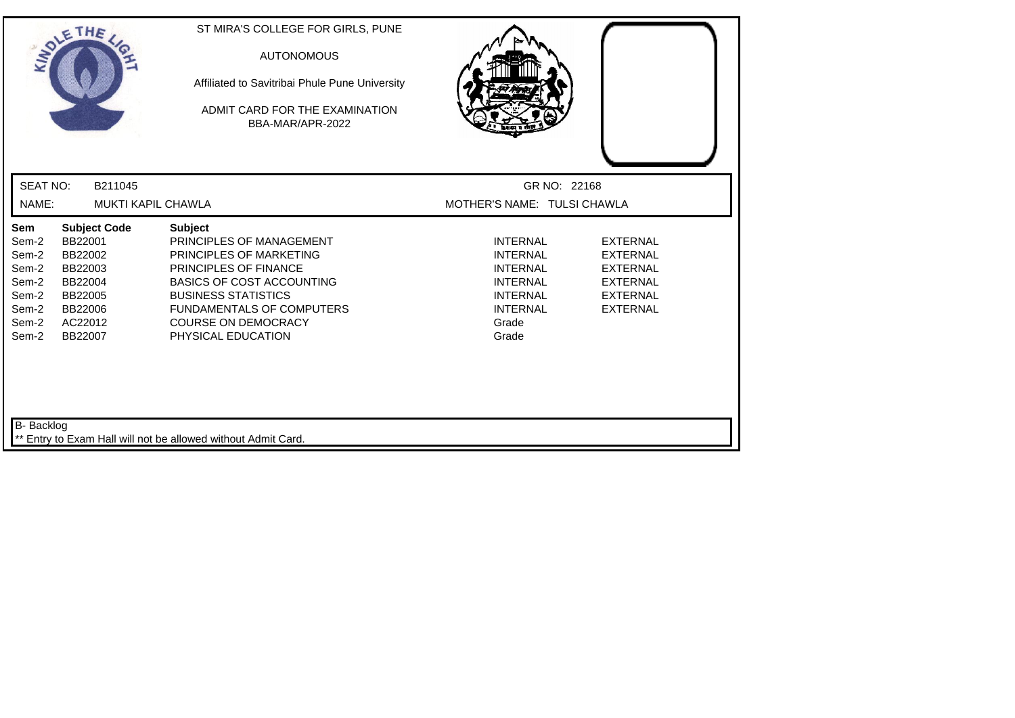| INDIE                                                                              | THE                                                                                                         | ST MIRA'S COLLEGE FOR GIRLS, PUNE<br><b>AUTONOMOUS</b><br>Affiliated to Savitribai Phule Pune University<br>ADMIT CARD FOR THE EXAMINATION<br>BBA-MAR/APR-2022                                                                                                  |                                                                                                                                  |                                                                                                                |
|------------------------------------------------------------------------------------|-------------------------------------------------------------------------------------------------------------|-----------------------------------------------------------------------------------------------------------------------------------------------------------------------------------------------------------------------------------------------------------------|----------------------------------------------------------------------------------------------------------------------------------|----------------------------------------------------------------------------------------------------------------|
| <b>SEAT NO:</b>                                                                    | B211045                                                                                                     |                                                                                                                                                                                                                                                                 | GR NO: 22168                                                                                                                     |                                                                                                                |
| NAME:                                                                              |                                                                                                             | MUKTI KAPIL CHAWLA                                                                                                                                                                                                                                              | MOTHER'S NAME: TULSI CHAWLA                                                                                                      |                                                                                                                |
| <b>Sem</b><br>Sem-2<br>Sem-2<br>Sem-2<br>Sem-2<br>Sem-2<br>Sem-2<br>Sem-2<br>Sem-2 | <b>Subject Code</b><br>BB22001<br>BB22002<br>BB22003<br>BB22004<br>BB22005<br>BB22006<br>AC22012<br>BB22007 | <b>Subject</b><br>PRINCIPLES OF MANAGEMENT<br>PRINCIPLES OF MARKETING<br><b>PRINCIPLES OF FINANCE</b><br><b>BASICS OF COST ACCOUNTING</b><br><b>BUSINESS STATISTICS</b><br><b>FUNDAMENTALS OF COMPUTERS</b><br><b>COURSE ON DEMOCRACY</b><br>PHYSICAL EDUCATION | <b>INTERNAL</b><br><b>INTERNAL</b><br><b>INTERNAL</b><br><b>INTERNAL</b><br><b>INTERNAL</b><br><b>INTERNAL</b><br>Grade<br>Grade | <b>EXTERNAL</b><br><b>EXTERNAL</b><br><b>EXTERNAL</b><br><b>EXTERNAL</b><br><b>EXTERNAL</b><br><b>EXTERNAL</b> |
| B- Backlog                                                                         |                                                                                                             | ** Entry to Exam Hall will not be allowed without Admit Card.                                                                                                                                                                                                   |                                                                                                                                  |                                                                                                                |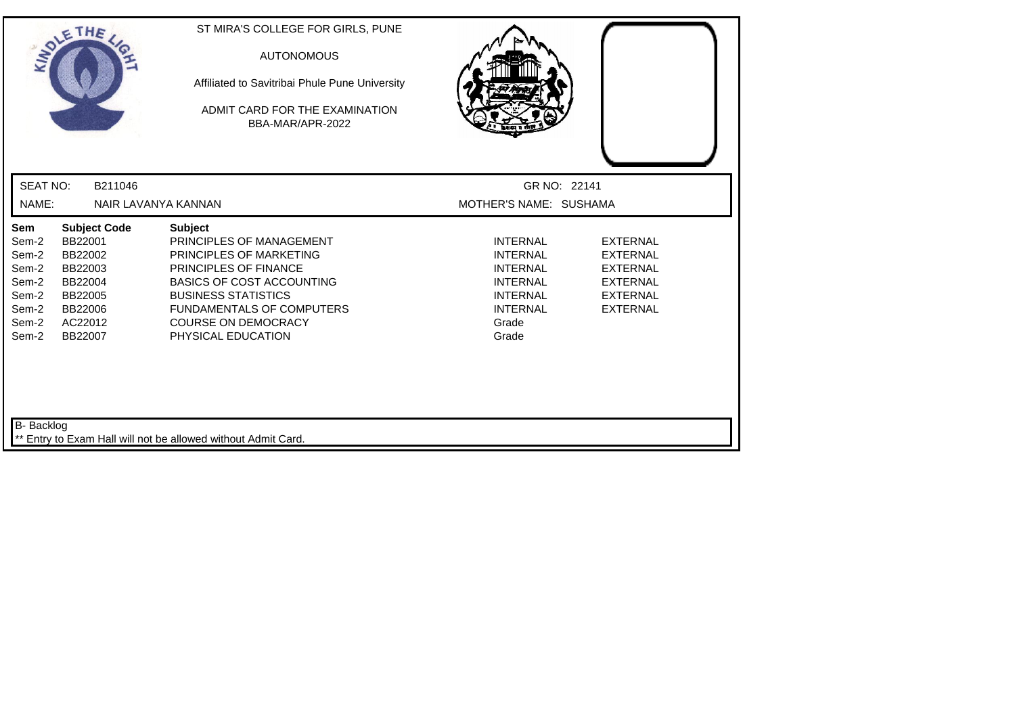| SOLETHE,                                                                    |                                                                                                             | ST MIRA'S COLLEGE FOR GIRLS, PUNE<br><b>AUTONOMOUS</b><br>Affiliated to Savitribai Phule Pune University<br>ADMIT CARD FOR THE EXAMINATION<br>BBA-MAR/APR-2022                                                                                           |                                                                                                                                  |                                                                                                                |
|-----------------------------------------------------------------------------|-------------------------------------------------------------------------------------------------------------|----------------------------------------------------------------------------------------------------------------------------------------------------------------------------------------------------------------------------------------------------------|----------------------------------------------------------------------------------------------------------------------------------|----------------------------------------------------------------------------------------------------------------|
| <b>SEAT NO:</b>                                                             | B211046                                                                                                     |                                                                                                                                                                                                                                                          | GR NO: 22141                                                                                                                     |                                                                                                                |
| NAME:                                                                       | NAIR LAVANYA KANNAN                                                                                         |                                                                                                                                                                                                                                                          | MOTHER'S NAME: SUSHAMA                                                                                                           |                                                                                                                |
| Sem<br>Sem-2<br>Sem-2<br>Sem-2<br>Sem-2<br>Sem-2<br>Sem-2<br>Sem-2<br>Sem-2 | <b>Subject Code</b><br>BB22001<br>BB22002<br>BB22003<br>BB22004<br>BB22005<br>BB22006<br>AC22012<br>BB22007 | <b>Subject</b><br>PRINCIPLES OF MANAGEMENT<br>PRINCIPLES OF MARKETING<br>PRINCIPLES OF FINANCE<br><b>BASICS OF COST ACCOUNTING</b><br><b>BUSINESS STATISTICS</b><br><b>FUNDAMENTALS OF COMPUTERS</b><br><b>COURSE ON DEMOCRACY</b><br>PHYSICAL EDUCATION | <b>INTERNAL</b><br><b>INTERNAL</b><br><b>INTERNAL</b><br><b>INTERNAL</b><br><b>INTERNAL</b><br><b>INTERNAL</b><br>Grade<br>Grade | <b>EXTERNAL</b><br><b>EXTERNAL</b><br><b>EXTERNAL</b><br><b>EXTERNAL</b><br><b>EXTERNAL</b><br><b>EXTERNAL</b> |
| B- Backlog                                                                  |                                                                                                             | ** Entry to Exam Hall will not be allowed without Admit Card.                                                                                                                                                                                            |                                                                                                                                  |                                                                                                                |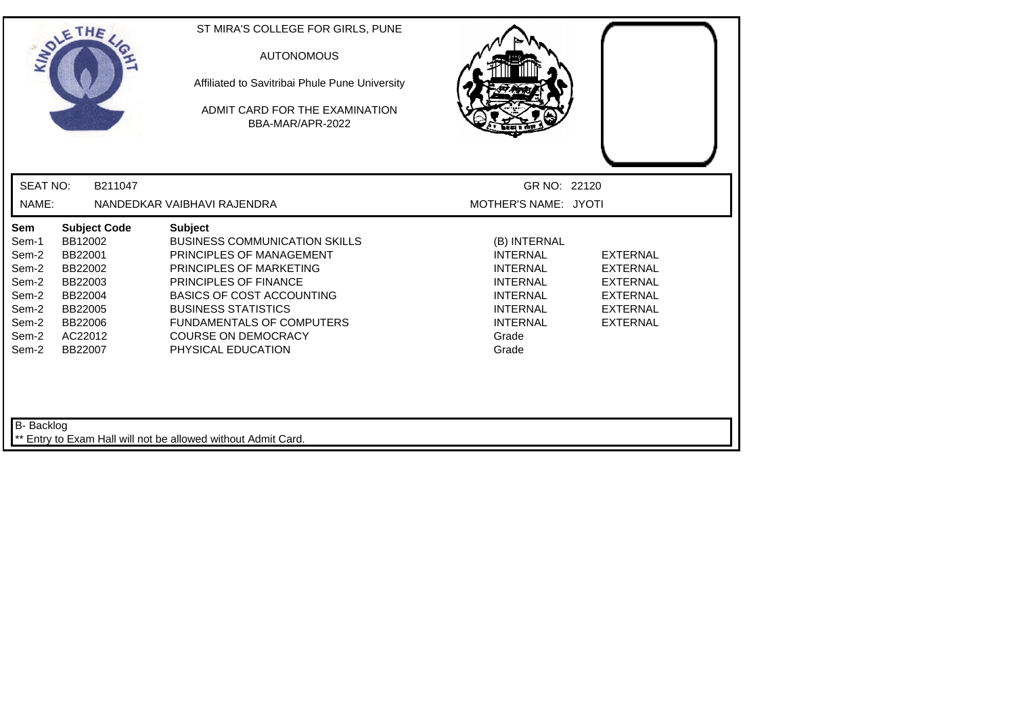| <b>INDI</b>                                                                          | THE                                                                                                                    | ST MIRA'S COLLEGE FOR GIRLS, PUNE<br><b>AUTONOMOUS</b><br>Affiliated to Savitribai Phule Pune University<br>ADMIT CARD FOR THE EXAMINATION<br>BBA-MAR/APR-2022                                                                                                                                   |                                                                                                                                                  |                                                                                                                |
|--------------------------------------------------------------------------------------|------------------------------------------------------------------------------------------------------------------------|--------------------------------------------------------------------------------------------------------------------------------------------------------------------------------------------------------------------------------------------------------------------------------------------------|--------------------------------------------------------------------------------------------------------------------------------------------------|----------------------------------------------------------------------------------------------------------------|
| <b>SEAT NO:</b>                                                                      | B211047                                                                                                                |                                                                                                                                                                                                                                                                                                  | GR NO: 22120                                                                                                                                     |                                                                                                                |
| NAME:                                                                                |                                                                                                                        | NANDEDKAR VAIBHAVI RAJENDRA                                                                                                                                                                                                                                                                      | MOTHER'S NAME: JYOTI                                                                                                                             |                                                                                                                |
| Sem<br>Sem-1<br>Sem-2<br>Sem-2<br>Sem-2<br>Sem-2<br>Sem-2<br>Sem-2<br>Sem-2<br>Sem-2 | <b>Subject Code</b><br>BB12002<br>BB22001<br>BB22002<br>BB22003<br>BB22004<br>BB22005<br>BB22006<br>AC22012<br>BB22007 | <b>Subject</b><br><b>BUSINESS COMMUNICATION SKILLS</b><br>PRINCIPLES OF MANAGEMENT<br>PRINCIPLES OF MARKETING<br>PRINCIPLES OF FINANCE<br><b>BASICS OF COST ACCOUNTING</b><br><b>BUSINESS STATISTICS</b><br><b>FUNDAMENTALS OF COMPUTERS</b><br><b>COURSE ON DEMOCRACY</b><br>PHYSICAL EDUCATION | (B) INTERNAL<br><b>INTERNAL</b><br><b>INTERNAL</b><br><b>INTERNAL</b><br><b>INTERNAL</b><br><b>INTERNAL</b><br><b>INTERNAL</b><br>Grade<br>Grade | <b>EXTERNAL</b><br><b>EXTERNAL</b><br><b>EXTERNAL</b><br><b>EXTERNAL</b><br><b>EXTERNAL</b><br><b>EXTERNAL</b> |
| B- Backlog                                                                           |                                                                                                                        | Entry to Exam Hall will not be allowed without Admit Card.                                                                                                                                                                                                                                       |                                                                                                                                                  |                                                                                                                |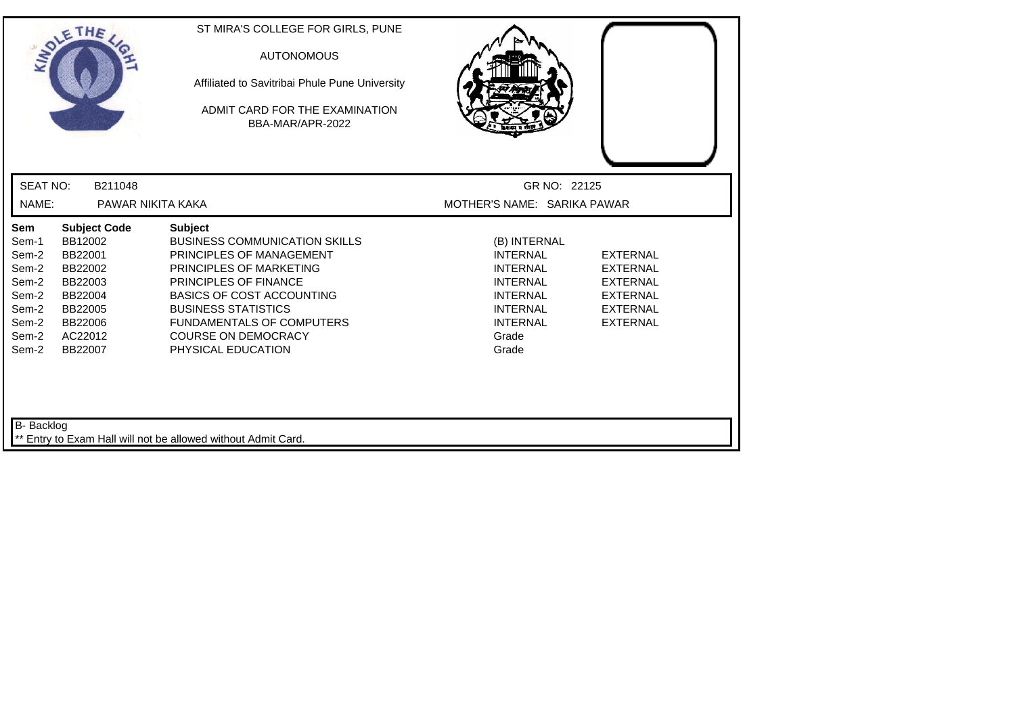| <b>SEAT NO:</b><br>B211048<br>GR NO: 22125<br>NAME:<br>PAWAR NIKITA KAKA<br>MOTHER'S NAME: SARIKA PAWAR<br>Sem<br><b>Subject Code</b><br><b>Subject</b><br>BB12002<br><b>BUSINESS COMMUNICATION SKILLS</b><br>Sem-1<br>(B) INTERNAL<br>Sem-2<br>BB22001<br>PRINCIPLES OF MANAGEMENT<br><b>INTERNAL</b><br><b>EXTERNAL</b><br>Sem-2<br>BB22002<br>PRINCIPLES OF MARKETING<br><b>INTERNAL</b><br><b>EXTERNAL</b><br>PRINCIPLES OF FINANCE<br>Sem-2<br><b>INTERNAL</b><br><b>EXTERNAL</b><br>BB22003<br>Sem-2<br><b>BASICS OF COST ACCOUNTING</b><br><b>INTERNAL</b><br>BB22004<br><b>EXTERNAL</b><br>Sem-2<br><b>BUSINESS STATISTICS</b><br><b>INTERNAL</b><br>BB22005<br><b>EXTERNAL</b><br>Sem-2<br>BB22006<br><b>FUNDAMENTALS OF COMPUTERS</b><br><b>INTERNAL</b><br><b>EXTERNAL</b><br>Sem-2<br>AC22012<br><b>COURSE ON DEMOCRACY</b><br>Grade<br>BB22007 | ADLE  | THE | ST MIRA'S COLLEGE FOR GIRLS, PUNE<br><b>AUTONOMOUS</b><br>Affiliated to Savitribai Phule Pune University<br>ADMIT CARD FOR THE EXAMINATION<br>BBA-MAR/APR-2022 |       |  |
|-------------------------------------------------------------------------------------------------------------------------------------------------------------------------------------------------------------------------------------------------------------------------------------------------------------------------------------------------------------------------------------------------------------------------------------------------------------------------------------------------------------------------------------------------------------------------------------------------------------------------------------------------------------------------------------------------------------------------------------------------------------------------------------------------------------------------------------------------------------|-------|-----|----------------------------------------------------------------------------------------------------------------------------------------------------------------|-------|--|
|                                                                                                                                                                                                                                                                                                                                                                                                                                                                                                                                                                                                                                                                                                                                                                                                                                                             |       |     |                                                                                                                                                                |       |  |
|                                                                                                                                                                                                                                                                                                                                                                                                                                                                                                                                                                                                                                                                                                                                                                                                                                                             |       |     |                                                                                                                                                                |       |  |
|                                                                                                                                                                                                                                                                                                                                                                                                                                                                                                                                                                                                                                                                                                                                                                                                                                                             | Sem-2 |     | PHYSICAL EDUCATION                                                                                                                                             | Grade |  |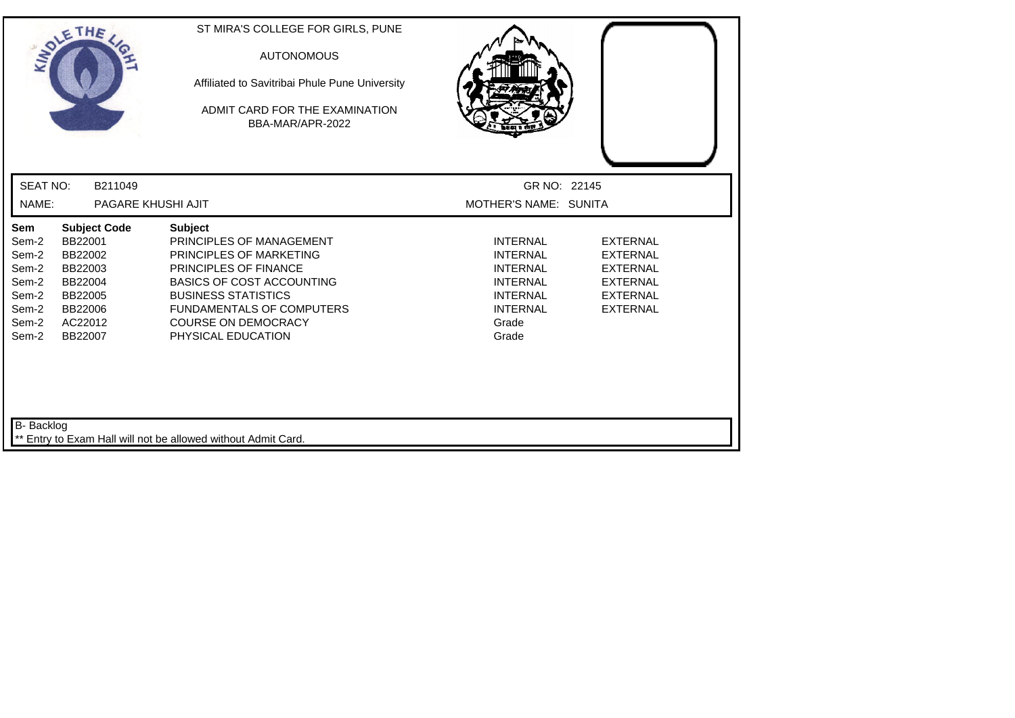|                                                                             | SOLETHE                                                                                                     | ST MIRA'S COLLEGE FOR GIRLS, PUNE<br><b>AUTONOMOUS</b><br>Affiliated to Savitribai Phule Pune University<br>ADMIT CARD FOR THE EXAMINATION<br>BBA-MAR/APR-2022                                                                                                  |                                                                                                                                  |                                                                                                                |
|-----------------------------------------------------------------------------|-------------------------------------------------------------------------------------------------------------|-----------------------------------------------------------------------------------------------------------------------------------------------------------------------------------------------------------------------------------------------------------------|----------------------------------------------------------------------------------------------------------------------------------|----------------------------------------------------------------------------------------------------------------|
| <b>SEAT NO:</b>                                                             | B211049                                                                                                     |                                                                                                                                                                                                                                                                 | GR NO: 22145                                                                                                                     |                                                                                                                |
| NAME:                                                                       | PAGARE KHUSHI AJIT                                                                                          |                                                                                                                                                                                                                                                                 | MOTHER'S NAME: SUNITA                                                                                                            |                                                                                                                |
| Sem<br>Sem-2<br>Sem-2<br>Sem-2<br>Sem-2<br>Sem-2<br>Sem-2<br>Sem-2<br>Sem-2 | <b>Subject Code</b><br>BB22001<br>BB22002<br>BB22003<br>BB22004<br>BB22005<br>BB22006<br>AC22012<br>BB22007 | <b>Subject</b><br>PRINCIPLES OF MANAGEMENT<br>PRINCIPLES OF MARKETING<br><b>PRINCIPLES OF FINANCE</b><br><b>BASICS OF COST ACCOUNTING</b><br><b>BUSINESS STATISTICS</b><br><b>FUNDAMENTALS OF COMPUTERS</b><br><b>COURSE ON DEMOCRACY</b><br>PHYSICAL EDUCATION | <b>INTERNAL</b><br><b>INTERNAL</b><br><b>INTERNAL</b><br><b>INTERNAL</b><br><b>INTERNAL</b><br><b>INTERNAL</b><br>Grade<br>Grade | <b>EXTERNAL</b><br><b>EXTERNAL</b><br><b>EXTERNAL</b><br><b>EXTERNAL</b><br><b>EXTERNAL</b><br><b>EXTERNAL</b> |
| B- Backlog                                                                  |                                                                                                             | Entry to Exam Hall will not be allowed without Admit Card.                                                                                                                                                                                                      |                                                                                                                                  |                                                                                                                |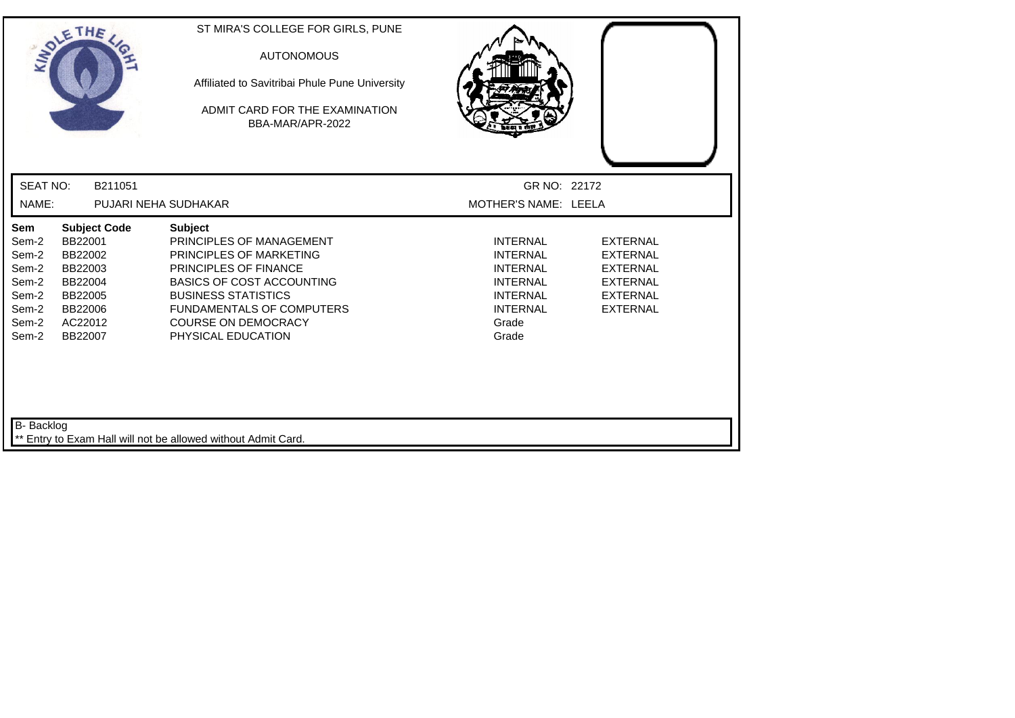|                                                                             | SOLETHE,                                                                                                    | ST MIRA'S COLLEGE FOR GIRLS, PUNE<br><b>AUTONOMOUS</b><br>Affiliated to Savitribai Phule Pune University<br>ADMIT CARD FOR THE EXAMINATION.<br>BBA-MAR/APR-2022                                                                                                 |                                                                                                                                  |                                                                                                                |
|-----------------------------------------------------------------------------|-------------------------------------------------------------------------------------------------------------|-----------------------------------------------------------------------------------------------------------------------------------------------------------------------------------------------------------------------------------------------------------------|----------------------------------------------------------------------------------------------------------------------------------|----------------------------------------------------------------------------------------------------------------|
| <b>SEAT NO:</b>                                                             | B211051                                                                                                     |                                                                                                                                                                                                                                                                 | GR NO: 22172                                                                                                                     |                                                                                                                |
| NAME:                                                                       |                                                                                                             | PUJARI NEHA SUDHAKAR                                                                                                                                                                                                                                            | MOTHER'S NAME: LEELA                                                                                                             |                                                                                                                |
| Sem<br>Sem-2<br>Sem-2<br>Sem-2<br>Sem-2<br>Sem-2<br>Sem-2<br>Sem-2<br>Sem-2 | <b>Subject Code</b><br>BB22001<br>BB22002<br>BB22003<br>BB22004<br>BB22005<br>BB22006<br>AC22012<br>BB22007 | <b>Subject</b><br>PRINCIPLES OF MANAGEMENT<br>PRINCIPLES OF MARKETING<br><b>PRINCIPLES OF FINANCE</b><br><b>BASICS OF COST ACCOUNTING</b><br><b>BUSINESS STATISTICS</b><br><b>FUNDAMENTALS OF COMPUTERS</b><br><b>COURSE ON DEMOCRACY</b><br>PHYSICAL EDUCATION | <b>INTERNAL</b><br><b>INTERNAL</b><br><b>INTERNAL</b><br><b>INTERNAL</b><br><b>INTERNAL</b><br><b>INTERNAL</b><br>Grade<br>Grade | <b>EXTERNAL</b><br><b>EXTERNAL</b><br><b>EXTERNAL</b><br><b>EXTERNAL</b><br><b>EXTERNAL</b><br><b>EXTERNAL</b> |
| B- Backlog                                                                  |                                                                                                             | Entry to Exam Hall will not be allowed without Admit Card.                                                                                                                                                                                                      |                                                                                                                                  |                                                                                                                |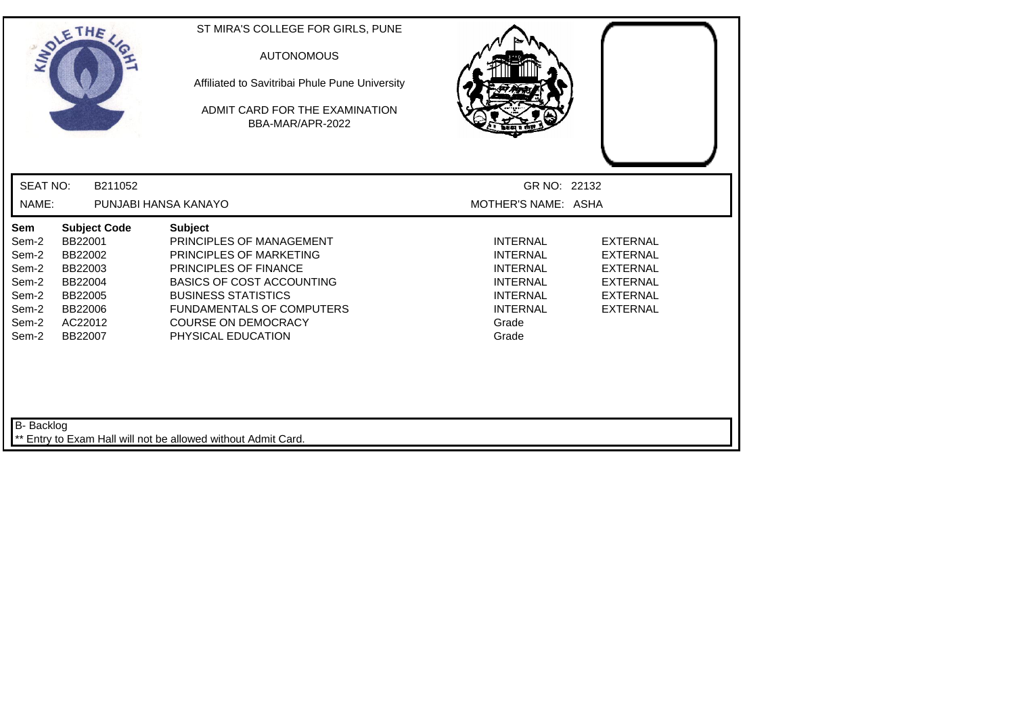| THE<br>INDIE                                                                                                                                                                               | ST MIRA'S COLLEGE FOR GIRLS, PUNE<br><b>AUTONOMOUS</b><br>Affiliated to Savitribai Phule Pune University<br>ADMIT CARD FOR THE EXAMINATION<br>BBA-MAR/APR-2022                                                                                           |                                                                                                                                  |                                                                                                                |
|--------------------------------------------------------------------------------------------------------------------------------------------------------------------------------------------|----------------------------------------------------------------------------------------------------------------------------------------------------------------------------------------------------------------------------------------------------------|----------------------------------------------------------------------------------------------------------------------------------|----------------------------------------------------------------------------------------------------------------|
| <b>SEAT NO:</b><br>B211052                                                                                                                                                                 |                                                                                                                                                                                                                                                          | GR NO: 22132                                                                                                                     |                                                                                                                |
| NAME:                                                                                                                                                                                      | PUNJABI HANSA KANAYO                                                                                                                                                                                                                                     | MOTHER'S NAME: ASHA                                                                                                              |                                                                                                                |
| <b>Subject Code</b><br>Sem<br>BB22001<br>Sem-2<br>Sem-2<br>BB22002<br>Sem-2<br>BB22003<br>Sem-2<br>BB22004<br>Sem-2<br>BB22005<br>BB22006<br>Sem-2<br>Sem-2<br>AC22012<br>Sem-2<br>BB22007 | <b>Subject</b><br>PRINCIPLES OF MANAGEMENT<br>PRINCIPLES OF MARKETING<br>PRINCIPLES OF FINANCE<br><b>BASICS OF COST ACCOUNTING</b><br><b>BUSINESS STATISTICS</b><br><b>FUNDAMENTALS OF COMPUTERS</b><br><b>COURSE ON DEMOCRACY</b><br>PHYSICAL EDUCATION | <b>INTERNAL</b><br><b>INTERNAL</b><br><b>INTERNAL</b><br><b>INTERNAL</b><br><b>INTERNAL</b><br><b>INTERNAL</b><br>Grade<br>Grade | <b>EXTERNAL</b><br><b>EXTERNAL</b><br><b>EXTERNAL</b><br><b>EXTERNAL</b><br><b>EXTERNAL</b><br><b>EXTERNAL</b> |
| B- Backlog                                                                                                                                                                                 | Entry to Exam Hall will not be allowed without Admit Card.                                                                                                                                                                                               |                                                                                                                                  |                                                                                                                |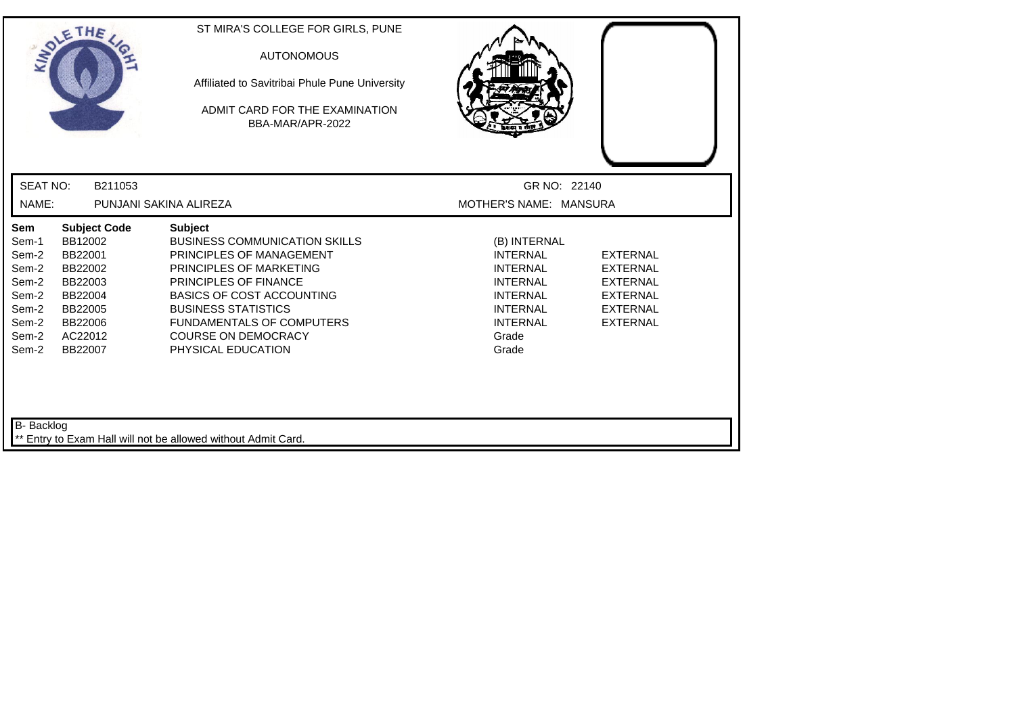| <b>SEAT NO:</b><br>B211053<br>GR NO: 22140<br>NAME:<br>PUNJANI SAKINA ALIREZA<br>MOTHER'S NAME: MANSURA<br>Sem<br><b>Subject Code</b><br><b>Subject</b><br>BB12002<br><b>BUSINESS COMMUNICATION SKILLS</b><br>Sem-1<br>(B) INTERNAL<br>Sem-2<br>BB22001<br>PRINCIPLES OF MANAGEMENT<br><b>INTERNAL</b><br><b>EXTERNAL</b><br>Sem-2<br>BB22002<br>PRINCIPLES OF MARKETING<br><b>INTERNAL</b><br><b>EXTERNAL</b><br>PRINCIPLES OF FINANCE<br><b>INTERNAL</b><br>Sem-2<br>BB22003<br><b>EXTERNAL</b><br>Sem-2<br><b>BASICS OF COST ACCOUNTING</b><br>BB22004<br><b>INTERNAL</b><br><b>EXTERNAL</b><br><b>BUSINESS STATISTICS</b><br><b>INTERNAL</b><br><b>EXTERNAL</b><br>Sem-2<br>BB22005<br><b>INTERNAL</b><br>Sem-2<br>BB22006<br><b>FUNDAMENTALS OF COMPUTERS</b><br><b>EXTERNAL</b><br>Sem-2<br>AC22012<br><b>COURSE ON DEMOCRACY</b><br>Grade<br>BB22007<br>Sem-2<br>PHYSICAL EDUCATION<br>Grade | THE<br>LADLE | ST MIRA'S COLLEGE FOR GIRLS, PUNE<br><b>AUTONOMOUS</b><br>Affiliated to Savitribai Phule Pune University<br>ADMIT CARD FOR THE EXAMINATION<br>BBA-MAR/APR-2022 |  |
|-----------------------------------------------------------------------------------------------------------------------------------------------------------------------------------------------------------------------------------------------------------------------------------------------------------------------------------------------------------------------------------------------------------------------------------------------------------------------------------------------------------------------------------------------------------------------------------------------------------------------------------------------------------------------------------------------------------------------------------------------------------------------------------------------------------------------------------------------------------------------------------------------------|--------------|----------------------------------------------------------------------------------------------------------------------------------------------------------------|--|
|                                                                                                                                                                                                                                                                                                                                                                                                                                                                                                                                                                                                                                                                                                                                                                                                                                                                                                     |              |                                                                                                                                                                |  |
|                                                                                                                                                                                                                                                                                                                                                                                                                                                                                                                                                                                                                                                                                                                                                                                                                                                                                                     |              |                                                                                                                                                                |  |
|                                                                                                                                                                                                                                                                                                                                                                                                                                                                                                                                                                                                                                                                                                                                                                                                                                                                                                     |              |                                                                                                                                                                |  |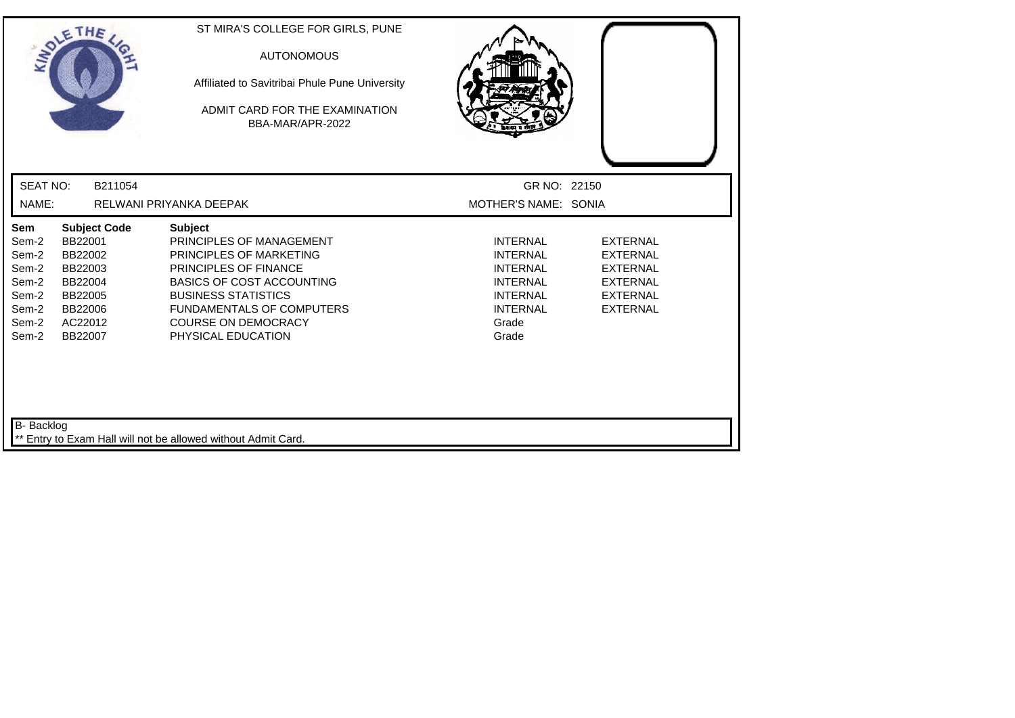|                                                                             | SOLETHE                                                                                                     | ST MIRA'S COLLEGE FOR GIRLS, PUNE<br><b>AUTONOMOUS</b><br>Affiliated to Savitribai Phule Pune University<br>ADMIT CARD FOR THE EXAMINATION<br>BBA-MAR/APR-2022                                                                                                  |                                                                                                                                                                                                                                                    |  |
|-----------------------------------------------------------------------------|-------------------------------------------------------------------------------------------------------------|-----------------------------------------------------------------------------------------------------------------------------------------------------------------------------------------------------------------------------------------------------------------|----------------------------------------------------------------------------------------------------------------------------------------------------------------------------------------------------------------------------------------------------|--|
| <b>SEAT NO:</b>                                                             | B211054                                                                                                     |                                                                                                                                                                                                                                                                 | GR NO: 22150                                                                                                                                                                                                                                       |  |
| NAME:                                                                       |                                                                                                             | RELWANI PRIYANKA DEEPAK                                                                                                                                                                                                                                         | MOTHER'S NAME: SONIA                                                                                                                                                                                                                               |  |
| Sem<br>Sem-2<br>Sem-2<br>Sem-2<br>Sem-2<br>Sem-2<br>Sem-2<br>Sem-2<br>Sem-2 | <b>Subject Code</b><br>BB22001<br>BB22002<br>BB22003<br>BB22004<br>BB22005<br>BB22006<br>AC22012<br>BB22007 | <b>Subject</b><br>PRINCIPLES OF MANAGEMENT<br>PRINCIPLES OF MARKETING<br><b>PRINCIPLES OF FINANCE</b><br><b>BASICS OF COST ACCOUNTING</b><br><b>BUSINESS STATISTICS</b><br><b>FUNDAMENTALS OF COMPUTERS</b><br><b>COURSE ON DEMOCRACY</b><br>PHYSICAL EDUCATION | <b>INTERNAL</b><br><b>EXTERNAL</b><br><b>INTERNAL</b><br><b>EXTERNAL</b><br><b>INTERNAL</b><br><b>EXTERNAL</b><br><b>INTERNAL</b><br><b>EXTERNAL</b><br><b>INTERNAL</b><br><b>EXTERNAL</b><br><b>INTERNAL</b><br><b>EXTERNAL</b><br>Grade<br>Grade |  |
| B- Backlog                                                                  |                                                                                                             | ** Entry to Exam Hall will not be allowed without Admit Card.                                                                                                                                                                                                   |                                                                                                                                                                                                                                                    |  |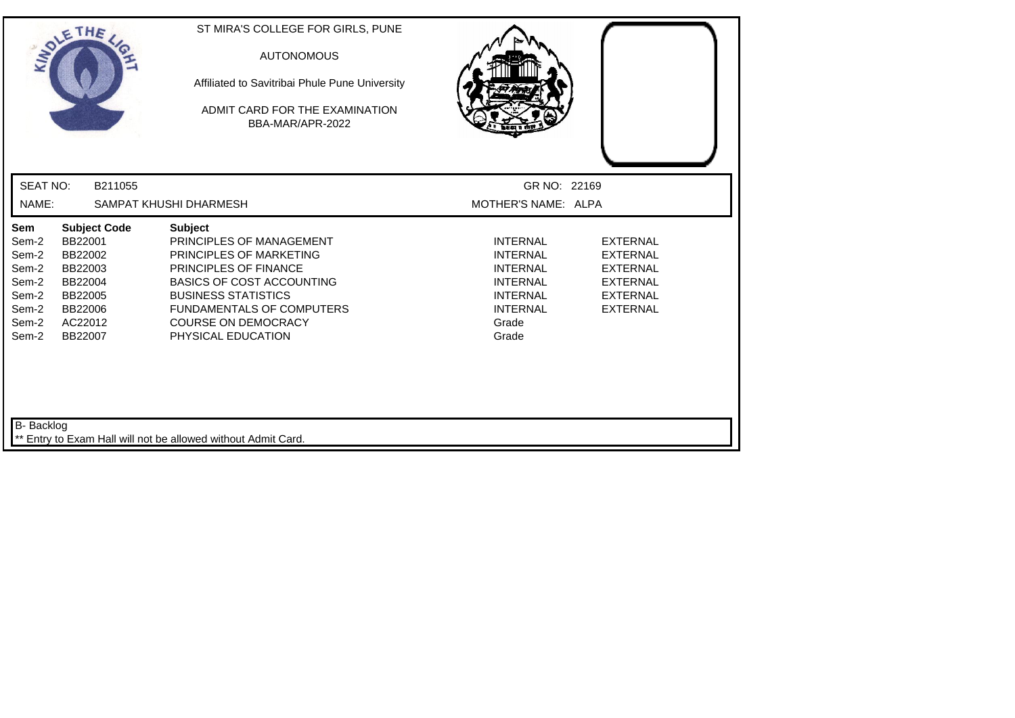|                                                                             | SOLETHE                                                                                                     | ST MIRA'S COLLEGE FOR GIRLS, PUNE<br><b>AUTONOMOUS</b><br>Affiliated to Savitribai Phule Pune University<br>ADMIT CARD FOR THE EXAMINATION<br>BBA-MAR/APR-2022                                                                                                  |                                                                                                                                  |                                                                                                                |
|-----------------------------------------------------------------------------|-------------------------------------------------------------------------------------------------------------|-----------------------------------------------------------------------------------------------------------------------------------------------------------------------------------------------------------------------------------------------------------------|----------------------------------------------------------------------------------------------------------------------------------|----------------------------------------------------------------------------------------------------------------|
| <b>SEAT NO:</b>                                                             | B211055                                                                                                     |                                                                                                                                                                                                                                                                 | GR NO: 22169                                                                                                                     |                                                                                                                |
| NAME:                                                                       |                                                                                                             | SAMPAT KHUSHI DHARMESH                                                                                                                                                                                                                                          | MOTHER'S NAME: ALPA                                                                                                              |                                                                                                                |
| Sem<br>Sem-2<br>Sem-2<br>Sem-2<br>Sem-2<br>Sem-2<br>Sem-2<br>Sem-2<br>Sem-2 | <b>Subject Code</b><br>BB22001<br>BB22002<br>BB22003<br>BB22004<br>BB22005<br>BB22006<br>AC22012<br>BB22007 | <b>Subject</b><br>PRINCIPLES OF MANAGEMENT<br>PRINCIPLES OF MARKETING<br><b>PRINCIPLES OF FINANCE</b><br><b>BASICS OF COST ACCOUNTING</b><br><b>BUSINESS STATISTICS</b><br><b>FUNDAMENTALS OF COMPUTERS</b><br><b>COURSE ON DEMOCRACY</b><br>PHYSICAL EDUCATION | <b>INTERNAL</b><br><b>INTERNAL</b><br><b>INTERNAL</b><br><b>INTERNAL</b><br><b>INTERNAL</b><br><b>INTERNAL</b><br>Grade<br>Grade | <b>EXTERNAL</b><br><b>EXTERNAL</b><br><b>EXTERNAL</b><br><b>EXTERNAL</b><br><b>EXTERNAL</b><br><b>EXTERNAL</b> |
| B- Backlog                                                                  |                                                                                                             | ** Entry to Exam Hall will not be allowed without Admit Card.                                                                                                                                                                                                   |                                                                                                                                  |                                                                                                                |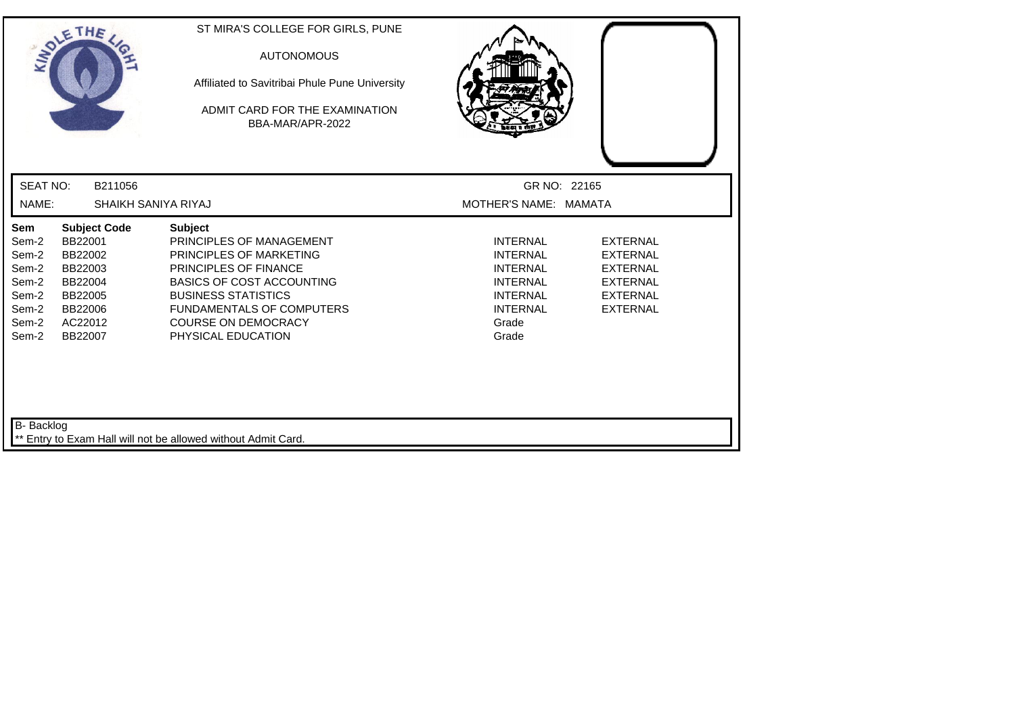|                                                                             | SOLETHE ,                                                                                                   | ST MIRA'S COLLEGE FOR GIRLS, PUNE<br><b>AUTONOMOUS</b><br>Affiliated to Savitribai Phule Pune University<br>ADMIT CARD FOR THE EXAMINATION<br>BBA-MAR/APR-2022                                                                                                  |                                                                                                                                  |                                                                                                                |
|-----------------------------------------------------------------------------|-------------------------------------------------------------------------------------------------------------|-----------------------------------------------------------------------------------------------------------------------------------------------------------------------------------------------------------------------------------------------------------------|----------------------------------------------------------------------------------------------------------------------------------|----------------------------------------------------------------------------------------------------------------|
| <b>SEAT NO:</b>                                                             | B211056                                                                                                     |                                                                                                                                                                                                                                                                 | GR NO: 22165                                                                                                                     |                                                                                                                |
| NAME:                                                                       | SHAIKH SANIYA RIYAJ                                                                                         |                                                                                                                                                                                                                                                                 | MOTHER'S NAME: MAMATA                                                                                                            |                                                                                                                |
| Sem<br>Sem-2<br>Sem-2<br>Sem-2<br>Sem-2<br>Sem-2<br>Sem-2<br>Sem-2<br>Sem-2 | <b>Subject Code</b><br>BB22001<br>BB22002<br>BB22003<br>BB22004<br>BB22005<br>BB22006<br>AC22012<br>BB22007 | <b>Subject</b><br>PRINCIPLES OF MANAGEMENT<br>PRINCIPLES OF MARKETING<br><b>PRINCIPLES OF FINANCE</b><br><b>BASICS OF COST ACCOUNTING</b><br><b>BUSINESS STATISTICS</b><br><b>FUNDAMENTALS OF COMPUTERS</b><br><b>COURSE ON DEMOCRACY</b><br>PHYSICAL EDUCATION | <b>INTERNAL</b><br><b>INTERNAL</b><br><b>INTERNAL</b><br><b>INTERNAL</b><br><b>INTERNAL</b><br><b>INTERNAL</b><br>Grade<br>Grade | <b>EXTERNAL</b><br><b>EXTERNAL</b><br><b>EXTERNAL</b><br><b>EXTERNAL</b><br><b>EXTERNAL</b><br><b>EXTERNAL</b> |
| B- Backlog                                                                  |                                                                                                             | ** Entry to Exam Hall will not be allowed without Admit Card.                                                                                                                                                                                                   |                                                                                                                                  |                                                                                                                |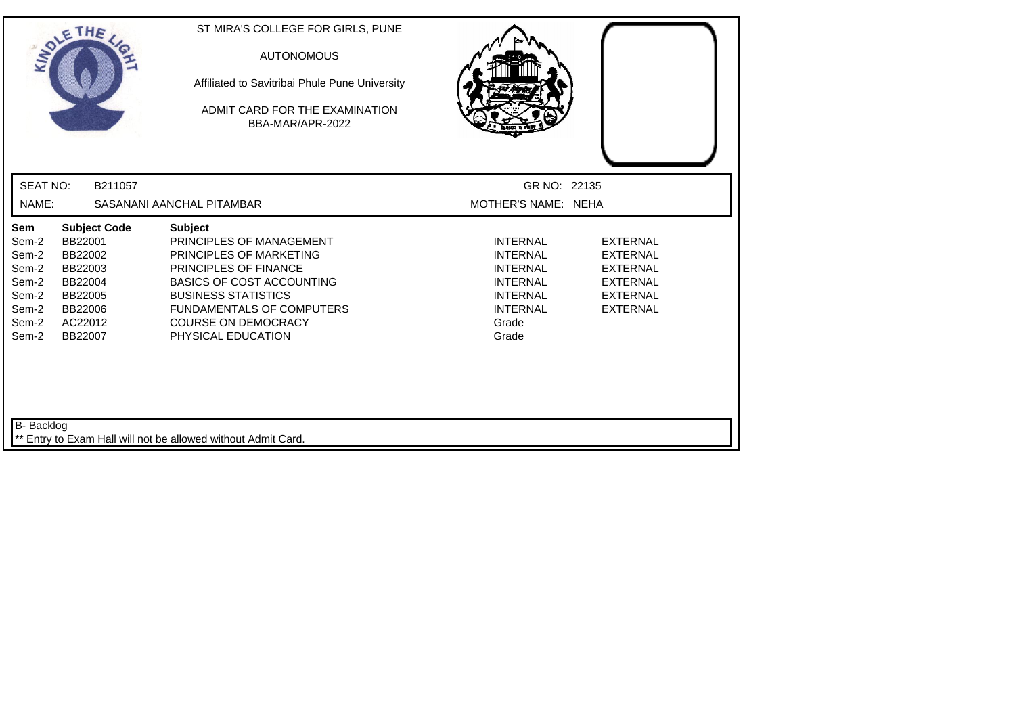|                                                                             | SOLETHE                                                                                                     | ST MIRA'S COLLEGE FOR GIRLS, PUNE<br><b>AUTONOMOUS</b><br>Affiliated to Savitribai Phule Pune University<br>ADMIT CARD FOR THE EXAMINATION<br>BBA-MAR/APR-2022                                                                                                  |                                                                                                                                  |                                                                                                                |
|-----------------------------------------------------------------------------|-------------------------------------------------------------------------------------------------------------|-----------------------------------------------------------------------------------------------------------------------------------------------------------------------------------------------------------------------------------------------------------------|----------------------------------------------------------------------------------------------------------------------------------|----------------------------------------------------------------------------------------------------------------|
| <b>SEAT NO:</b>                                                             | B211057                                                                                                     |                                                                                                                                                                                                                                                                 | GR NO: 22135                                                                                                                     |                                                                                                                |
| NAME:                                                                       |                                                                                                             | SASANANI AANCHAL PITAMBAR                                                                                                                                                                                                                                       | MOTHER'S NAME: NEHA                                                                                                              |                                                                                                                |
| Sem<br>Sem-2<br>Sem-2<br>Sem-2<br>Sem-2<br>Sem-2<br>Sem-2<br>Sem-2<br>Sem-2 | <b>Subject Code</b><br>BB22001<br>BB22002<br>BB22003<br>BB22004<br>BB22005<br>BB22006<br>AC22012<br>BB22007 | <b>Subject</b><br>PRINCIPLES OF MANAGEMENT<br>PRINCIPLES OF MARKETING<br><b>PRINCIPLES OF FINANCE</b><br><b>BASICS OF COST ACCOUNTING</b><br><b>BUSINESS STATISTICS</b><br><b>FUNDAMENTALS OF COMPUTERS</b><br><b>COURSE ON DEMOCRACY</b><br>PHYSICAL EDUCATION | <b>INTERNAL</b><br><b>INTERNAL</b><br><b>INTERNAL</b><br><b>INTERNAL</b><br><b>INTERNAL</b><br><b>INTERNAL</b><br>Grade<br>Grade | <b>EXTERNAL</b><br><b>EXTERNAL</b><br><b>EXTERNAL</b><br><b>EXTERNAL</b><br><b>EXTERNAL</b><br><b>EXTERNAL</b> |
| B- Backlog                                                                  |                                                                                                             | Entry to Exam Hall will not be allowed without Admit Card.                                                                                                                                                                                                      |                                                                                                                                  |                                                                                                                |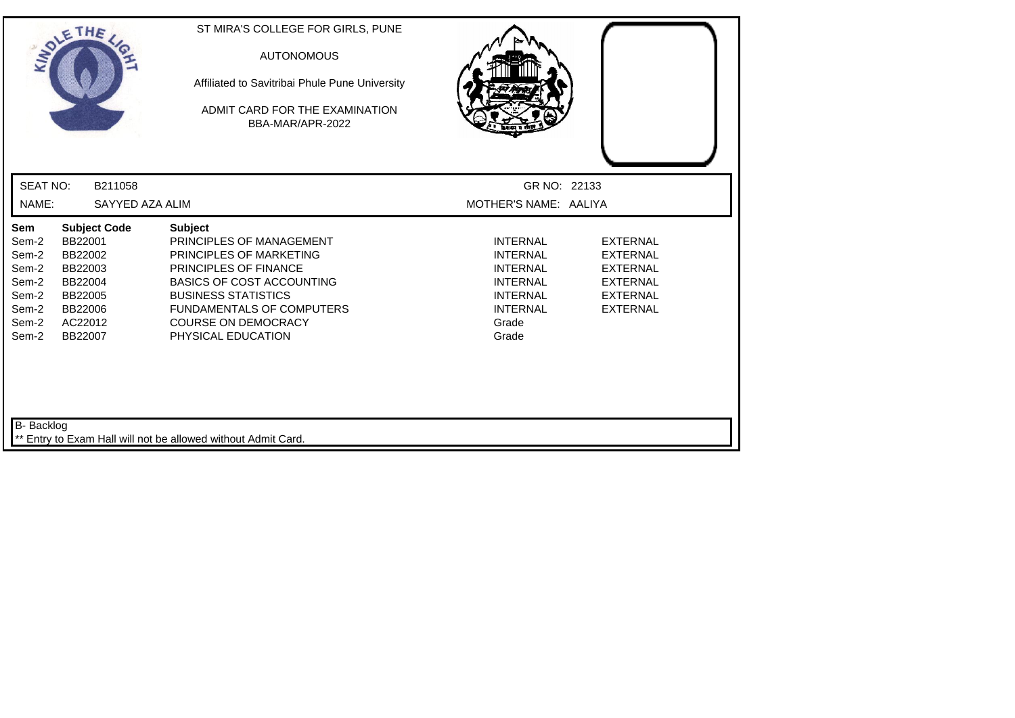|                                                                             | SOLETHE                                                                                                     | ST MIRA'S COLLEGE FOR GIRLS, PUNE<br><b>AUTONOMOUS</b><br>Affiliated to Savitribai Phule Pune University<br>ADMIT CARD FOR THE EXAMINATION<br>BBA-MAR/APR-2022                                                                                                  |                                                                                                                                  |                                                                                                                |
|-----------------------------------------------------------------------------|-------------------------------------------------------------------------------------------------------------|-----------------------------------------------------------------------------------------------------------------------------------------------------------------------------------------------------------------------------------------------------------------|----------------------------------------------------------------------------------------------------------------------------------|----------------------------------------------------------------------------------------------------------------|
| <b>SEAT NO:</b>                                                             | B211058                                                                                                     |                                                                                                                                                                                                                                                                 | GR NO: 22133                                                                                                                     |                                                                                                                |
| NAME:                                                                       | SAYYED AZA ALIM                                                                                             |                                                                                                                                                                                                                                                                 | MOTHER'S NAME: AALIYA                                                                                                            |                                                                                                                |
| Sem<br>Sem-2<br>Sem-2<br>Sem-2<br>Sem-2<br>Sem-2<br>Sem-2<br>Sem-2<br>Sem-2 | <b>Subject Code</b><br>BB22001<br>BB22002<br>BB22003<br>BB22004<br>BB22005<br>BB22006<br>AC22012<br>BB22007 | <b>Subject</b><br>PRINCIPLES OF MANAGEMENT<br>PRINCIPLES OF MARKETING<br><b>PRINCIPLES OF FINANCE</b><br><b>BASICS OF COST ACCOUNTING</b><br><b>BUSINESS STATISTICS</b><br><b>FUNDAMENTALS OF COMPUTERS</b><br><b>COURSE ON DEMOCRACY</b><br>PHYSICAL EDUCATION | <b>INTERNAL</b><br><b>INTERNAL</b><br><b>INTERNAL</b><br><b>INTERNAL</b><br><b>INTERNAL</b><br><b>INTERNAL</b><br>Grade<br>Grade | <b>EXTERNAL</b><br><b>EXTERNAL</b><br><b>EXTERNAL</b><br><b>EXTERNAL</b><br><b>EXTERNAL</b><br><b>EXTERNAL</b> |
| B- Backlog                                                                  |                                                                                                             | ** Entry to Exam Hall will not be allowed without Admit Card.                                                                                                                                                                                                   |                                                                                                                                  |                                                                                                                |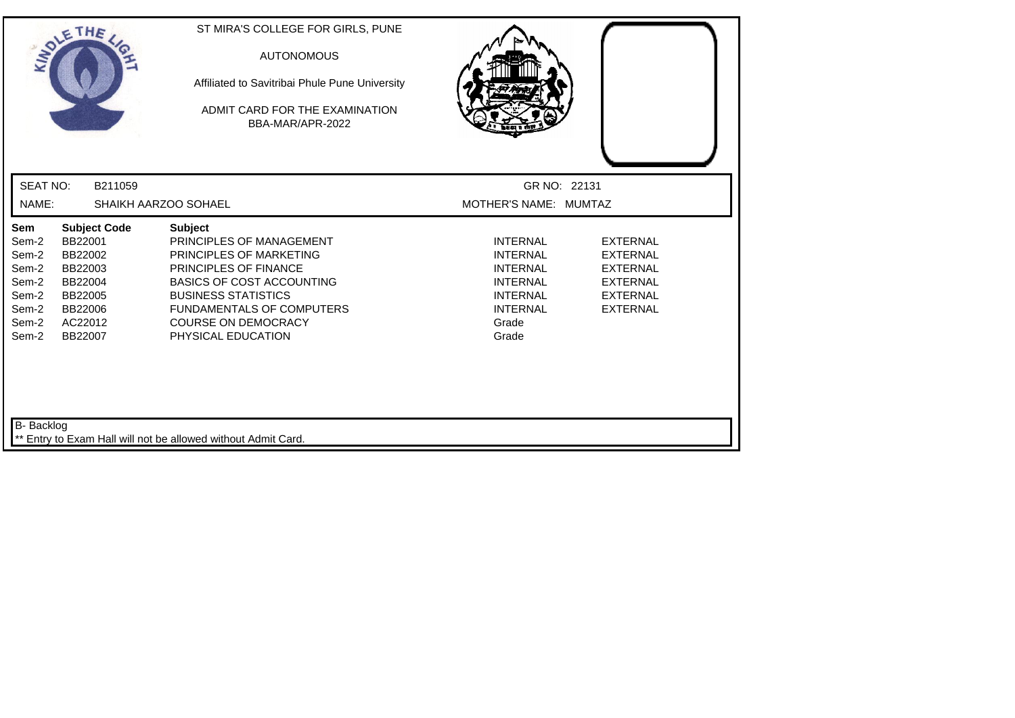|                                                                             | SOLETHE,                                                                                                    | ST MIRA'S COLLEGE FOR GIRLS, PUNE<br><b>AUTONOMOUS</b><br>Affiliated to Savitribai Phule Pune University<br>ADMIT CARD FOR THE EXAMINATION<br>BBA-MAR/APR-2022                                                                                                  |                                                                                                                                  |                                                                                                                |
|-----------------------------------------------------------------------------|-------------------------------------------------------------------------------------------------------------|-----------------------------------------------------------------------------------------------------------------------------------------------------------------------------------------------------------------------------------------------------------------|----------------------------------------------------------------------------------------------------------------------------------|----------------------------------------------------------------------------------------------------------------|
| <b>SEAT NO:</b>                                                             | B211059                                                                                                     |                                                                                                                                                                                                                                                                 | GR NO: 22131                                                                                                                     |                                                                                                                |
| NAME:                                                                       |                                                                                                             | SHAIKH AARZOO SOHAEL                                                                                                                                                                                                                                            | MOTHER'S NAME: MUMTAZ                                                                                                            |                                                                                                                |
| Sem<br>Sem-2<br>Sem-2<br>Sem-2<br>Sem-2<br>Sem-2<br>Sem-2<br>Sem-2<br>Sem-2 | <b>Subject Code</b><br>BB22001<br>BB22002<br>BB22003<br>BB22004<br>BB22005<br>BB22006<br>AC22012<br>BB22007 | <b>Subject</b><br>PRINCIPLES OF MANAGEMENT<br><b>PRINCIPLES OF MARKETING</b><br>PRINCIPLES OF FINANCE<br><b>BASICS OF COST ACCOUNTING</b><br><b>BUSINESS STATISTICS</b><br><b>FUNDAMENTALS OF COMPUTERS</b><br><b>COURSE ON DEMOCRACY</b><br>PHYSICAL EDUCATION | <b>INTERNAL</b><br><b>INTERNAL</b><br><b>INTERNAL</b><br><b>INTERNAL</b><br><b>INTERNAL</b><br><b>INTERNAL</b><br>Grade<br>Grade | <b>EXTERNAL</b><br><b>EXTERNAL</b><br><b>EXTERNAL</b><br><b>EXTERNAL</b><br><b>EXTERNAL</b><br><b>EXTERNAL</b> |
| B- Backlog                                                                  |                                                                                                             | Entry to Exam Hall will not be allowed without Admit Card.                                                                                                                                                                                                      |                                                                                                                                  |                                                                                                                |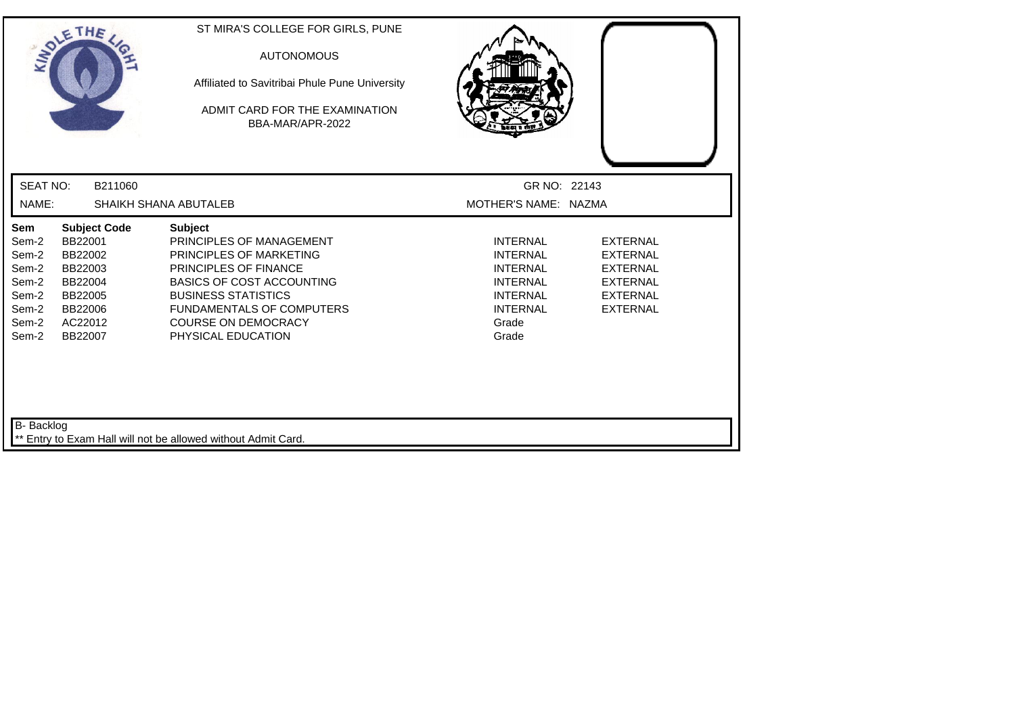| SOLETHE ,                                                                   |                                                                                                             | ST MIRA'S COLLEGE FOR GIRLS, PUNE<br><b>AUTONOMOUS</b><br>Affiliated to Savitribai Phule Pune University<br>ADMIT CARD FOR THE EXAMINATION<br>BBA-MAR/APR-2022                                                                                           |                                                                                                                                  |                                                                                                                |
|-----------------------------------------------------------------------------|-------------------------------------------------------------------------------------------------------------|----------------------------------------------------------------------------------------------------------------------------------------------------------------------------------------------------------------------------------------------------------|----------------------------------------------------------------------------------------------------------------------------------|----------------------------------------------------------------------------------------------------------------|
| <b>SEAT NO:</b>                                                             | B211060                                                                                                     |                                                                                                                                                                                                                                                          | GR NO: 22143                                                                                                                     |                                                                                                                |
| NAME:                                                                       |                                                                                                             | SHAIKH SHANA ABUTALEB                                                                                                                                                                                                                                    | MOTHER'S NAME: NAZMA                                                                                                             |                                                                                                                |
| Sem<br>Sem-2<br>Sem-2<br>Sem-2<br>Sem-2<br>Sem-2<br>Sem-2<br>Sem-2<br>Sem-2 | <b>Subject Code</b><br>BB22001<br>BB22002<br>BB22003<br>BB22004<br>BB22005<br>BB22006<br>AC22012<br>BB22007 | <b>Subject</b><br>PRINCIPLES OF MANAGEMENT<br>PRINCIPLES OF MARKETING<br>PRINCIPLES OF FINANCE<br><b>BASICS OF COST ACCOUNTING</b><br><b>BUSINESS STATISTICS</b><br><b>FUNDAMENTALS OF COMPUTERS</b><br><b>COURSE ON DEMOCRACY</b><br>PHYSICAL EDUCATION | <b>INTERNAL</b><br><b>INTERNAL</b><br><b>INTERNAL</b><br><b>INTERNAL</b><br><b>INTERNAL</b><br><b>INTERNAL</b><br>Grade<br>Grade | <b>EXTERNAL</b><br><b>EXTERNAL</b><br><b>EXTERNAL</b><br><b>EXTERNAL</b><br><b>EXTERNAL</b><br><b>EXTERNAL</b> |
| B- Backlog                                                                  |                                                                                                             | Entry to Exam Hall will not be allowed without Admit Card.                                                                                                                                                                                               |                                                                                                                                  |                                                                                                                |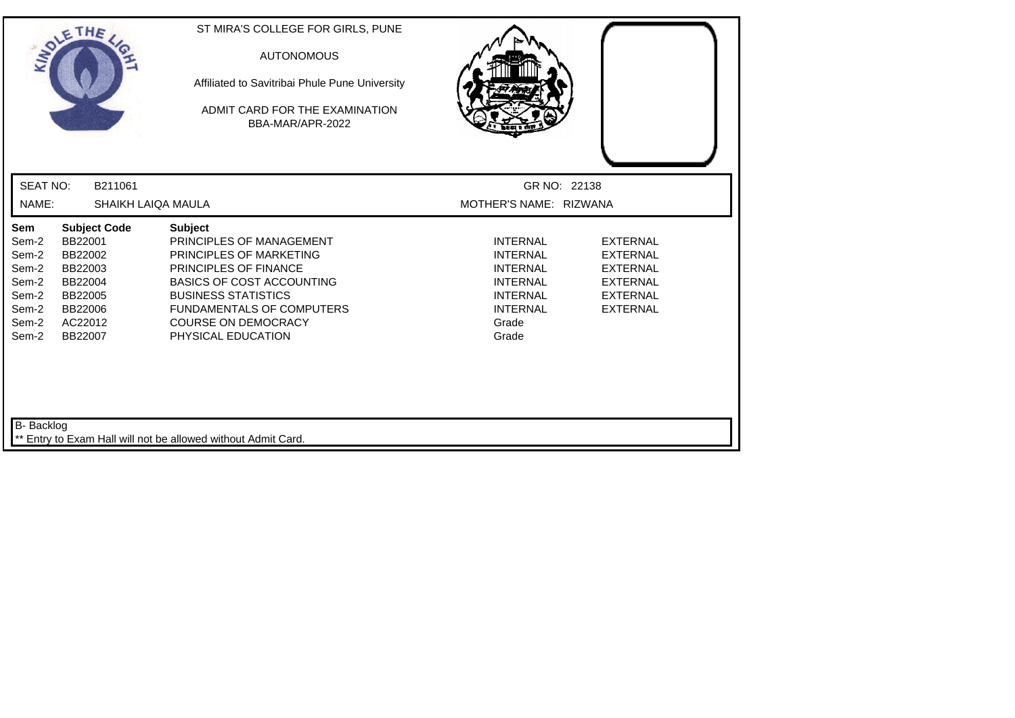|                                                                             | SOLETHE ,                                                                                                   | ST MIRA'S COLLEGE FOR GIRLS, PUNE<br><b>AUTONOMOUS</b><br>Affiliated to Savitribai Phule Pune University<br>ADMIT CARD FOR THE EXAMINATION<br>BBA-MAR/APR-2022                                                                                                  |                                                                                                                                  |                                                                                                                |
|-----------------------------------------------------------------------------|-------------------------------------------------------------------------------------------------------------|-----------------------------------------------------------------------------------------------------------------------------------------------------------------------------------------------------------------------------------------------------------------|----------------------------------------------------------------------------------------------------------------------------------|----------------------------------------------------------------------------------------------------------------|
| <b>SEAT NO:</b>                                                             | B211061                                                                                                     |                                                                                                                                                                                                                                                                 | GR NO: 22138                                                                                                                     |                                                                                                                |
| NAME:                                                                       | SHAIKH LAIQA MAULA                                                                                          |                                                                                                                                                                                                                                                                 | MOTHER'S NAME: RIZWANA                                                                                                           |                                                                                                                |
| Sem<br>Sem-2<br>Sem-2<br>Sem-2<br>Sem-2<br>Sem-2<br>Sem-2<br>Sem-2<br>Sem-2 | <b>Subject Code</b><br>BB22001<br>BB22002<br>BB22003<br>BB22004<br>BB22005<br>BB22006<br>AC22012<br>BB22007 | <b>Subject</b><br>PRINCIPLES OF MANAGEMENT<br>PRINCIPLES OF MARKETING<br><b>PRINCIPLES OF FINANCE</b><br><b>BASICS OF COST ACCOUNTING</b><br><b>BUSINESS STATISTICS</b><br><b>FUNDAMENTALS OF COMPUTERS</b><br><b>COURSE ON DEMOCRACY</b><br>PHYSICAL EDUCATION | <b>INTERNAL</b><br><b>INTERNAL</b><br><b>INTERNAL</b><br><b>INTERNAL</b><br><b>INTERNAL</b><br><b>INTERNAL</b><br>Grade<br>Grade | <b>EXTERNAL</b><br><b>EXTERNAL</b><br><b>EXTERNAL</b><br><b>EXTERNAL</b><br><b>EXTERNAL</b><br><b>EXTERNAL</b> |
| B- Backlog                                                                  |                                                                                                             | Entry to Exam Hall will not be allowed without Admit Card.                                                                                                                                                                                                      |                                                                                                                                  |                                                                                                                |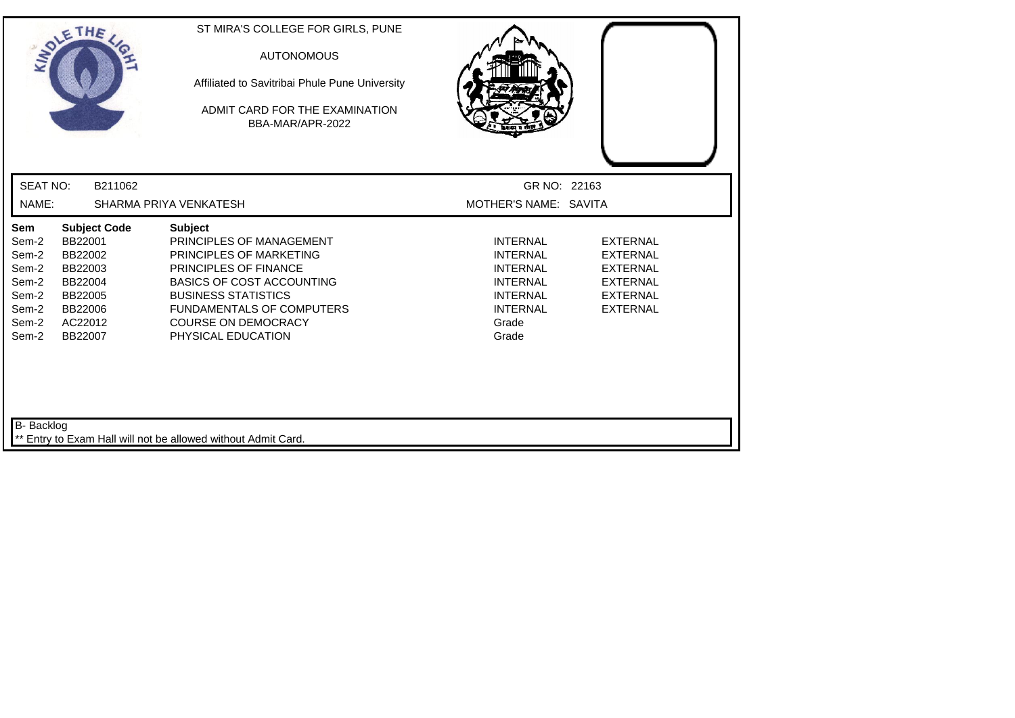|                                                                             | SOLETHE                                                                                                     | ST MIRA'S COLLEGE FOR GIRLS, PUNE<br><b>AUTONOMOUS</b><br>Affiliated to Savitribai Phule Pune University<br>ADMIT CARD FOR THE EXAMINATION<br>BBA-MAR/APR-2022                                                                                                  |                                                                                                                                  |                                                                                                                |
|-----------------------------------------------------------------------------|-------------------------------------------------------------------------------------------------------------|-----------------------------------------------------------------------------------------------------------------------------------------------------------------------------------------------------------------------------------------------------------------|----------------------------------------------------------------------------------------------------------------------------------|----------------------------------------------------------------------------------------------------------------|
| <b>SEAT NO:</b>                                                             | B211062                                                                                                     |                                                                                                                                                                                                                                                                 | GR NO: 22163                                                                                                                     |                                                                                                                |
| NAME:                                                                       |                                                                                                             | SHARMA PRIYA VENKATESH                                                                                                                                                                                                                                          | MOTHER'S NAME: SAVITA                                                                                                            |                                                                                                                |
| Sem<br>Sem-2<br>Sem-2<br>Sem-2<br>Sem-2<br>Sem-2<br>Sem-2<br>Sem-2<br>Sem-2 | <b>Subject Code</b><br>BB22001<br>BB22002<br>BB22003<br>BB22004<br>BB22005<br>BB22006<br>AC22012<br>BB22007 | <b>Subject</b><br>PRINCIPLES OF MANAGEMENT<br>PRINCIPLES OF MARKETING<br><b>PRINCIPLES OF FINANCE</b><br><b>BASICS OF COST ACCOUNTING</b><br><b>BUSINESS STATISTICS</b><br><b>FUNDAMENTALS OF COMPUTERS</b><br><b>COURSE ON DEMOCRACY</b><br>PHYSICAL EDUCATION | <b>INTERNAL</b><br><b>INTERNAL</b><br><b>INTERNAL</b><br><b>INTERNAL</b><br><b>INTERNAL</b><br><b>INTERNAL</b><br>Grade<br>Grade | <b>EXTERNAL</b><br><b>EXTERNAL</b><br><b>EXTERNAL</b><br><b>EXTERNAL</b><br><b>EXTERNAL</b><br><b>EXTERNAL</b> |
| B- Backlog                                                                  |                                                                                                             | ** Entry to Exam Hall will not be allowed without Admit Card.                                                                                                                                                                                                   |                                                                                                                                  |                                                                                                                |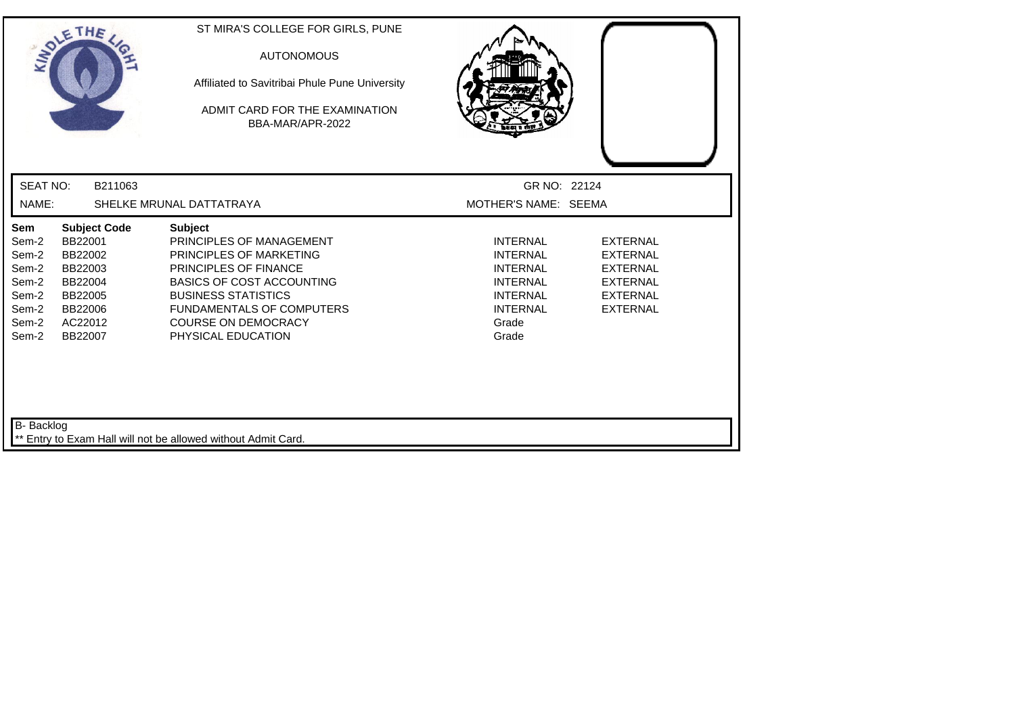| SOLETHE,                                                                                                                                                                                   | ST MIRA'S COLLEGE FOR GIRLS, PUNE<br><b>AUTONOMOUS</b><br>Affiliated to Savitribai Phule Pune University<br>ADMIT CARD FOR THE EXAMINATION<br>BBA-MAR/APR-2022                                                                                           |                                                                                                                                  |                                                                                                                |
|--------------------------------------------------------------------------------------------------------------------------------------------------------------------------------------------|----------------------------------------------------------------------------------------------------------------------------------------------------------------------------------------------------------------------------------------------------------|----------------------------------------------------------------------------------------------------------------------------------|----------------------------------------------------------------------------------------------------------------|
| <b>SEAT NO:</b><br>B211063                                                                                                                                                                 |                                                                                                                                                                                                                                                          | GR NO: 22124                                                                                                                     |                                                                                                                |
| NAME:                                                                                                                                                                                      | SHELKE MRUNAL DATTATRAYA                                                                                                                                                                                                                                 | MOTHER'S NAME: SEEMA                                                                                                             |                                                                                                                |
| Sem<br><b>Subject Code</b><br>BB22001<br>Sem-2<br>Sem-2<br>BB22002<br>Sem-2<br>BB22003<br>Sem-2<br>BB22004<br>Sem-2<br>BB22005<br>Sem-2<br>BB22006<br>Sem-2<br>AC22012<br>Sem-2<br>BB22007 | <b>Subject</b><br>PRINCIPLES OF MANAGEMENT<br>PRINCIPLES OF MARKETING<br>PRINCIPLES OF FINANCE<br><b>BASICS OF COST ACCOUNTING</b><br><b>BUSINESS STATISTICS</b><br><b>FUNDAMENTALS OF COMPUTERS</b><br><b>COURSE ON DEMOCRACY</b><br>PHYSICAL EDUCATION | <b>INTERNAL</b><br><b>INTERNAL</b><br><b>INTERNAL</b><br><b>INTERNAL</b><br><b>INTERNAL</b><br><b>INTERNAL</b><br>Grade<br>Grade | <b>EXTERNAL</b><br><b>EXTERNAL</b><br><b>EXTERNAL</b><br><b>EXTERNAL</b><br><b>EXTERNAL</b><br><b>EXTERNAL</b> |
| B- Backlog                                                                                                                                                                                 | ** Entry to Exam Hall will not be allowed without Admit Card.                                                                                                                                                                                            |                                                                                                                                  |                                                                                                                |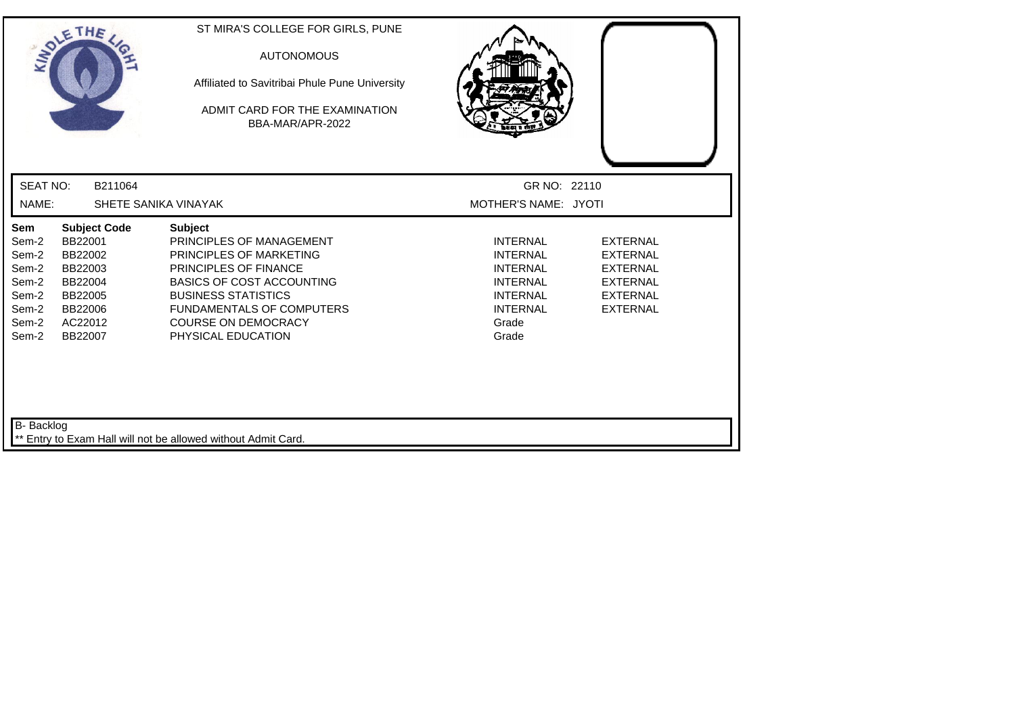| SOLETHE ,                                                                   |                                                                                                             | ST MIRA'S COLLEGE FOR GIRLS, PUNE<br><b>AUTONOMOUS</b><br>Affiliated to Savitribai Phule Pune University<br>ADMIT CARD FOR THE EXAMINATION<br>BBA-MAR/APR-2022                                                                                                  |                                                                                                                                  |                                                                                                                |
|-----------------------------------------------------------------------------|-------------------------------------------------------------------------------------------------------------|-----------------------------------------------------------------------------------------------------------------------------------------------------------------------------------------------------------------------------------------------------------------|----------------------------------------------------------------------------------------------------------------------------------|----------------------------------------------------------------------------------------------------------------|
| <b>SEAT NO:</b>                                                             | B211064                                                                                                     |                                                                                                                                                                                                                                                                 | GR NO: 22110                                                                                                                     |                                                                                                                |
| NAME:                                                                       |                                                                                                             | SHETE SANIKA VINAYAK                                                                                                                                                                                                                                            | MOTHER'S NAME: JYOTI                                                                                                             |                                                                                                                |
| Sem<br>Sem-2<br>Sem-2<br>Sem-2<br>Sem-2<br>Sem-2<br>Sem-2<br>Sem-2<br>Sem-2 | <b>Subject Code</b><br>BB22001<br>BB22002<br>BB22003<br>BB22004<br>BB22005<br>BB22006<br>AC22012<br>BB22007 | <b>Subject</b><br>PRINCIPLES OF MANAGEMENT<br>PRINCIPLES OF MARKETING<br><b>PRINCIPLES OF FINANCE</b><br><b>BASICS OF COST ACCOUNTING</b><br><b>BUSINESS STATISTICS</b><br><b>FUNDAMENTALS OF COMPUTERS</b><br><b>COURSE ON DEMOCRACY</b><br>PHYSICAL EDUCATION | <b>INTERNAL</b><br><b>INTERNAL</b><br><b>INTERNAL</b><br><b>INTERNAL</b><br><b>INTERNAL</b><br><b>INTERNAL</b><br>Grade<br>Grade | <b>EXTERNAL</b><br><b>EXTERNAL</b><br><b>EXTERNAL</b><br><b>EXTERNAL</b><br><b>EXTERNAL</b><br><b>EXTERNAL</b> |
| B- Backlog                                                                  |                                                                                                             | Entry to Exam Hall will not be allowed without Admit Card.                                                                                                                                                                                                      |                                                                                                                                  |                                                                                                                |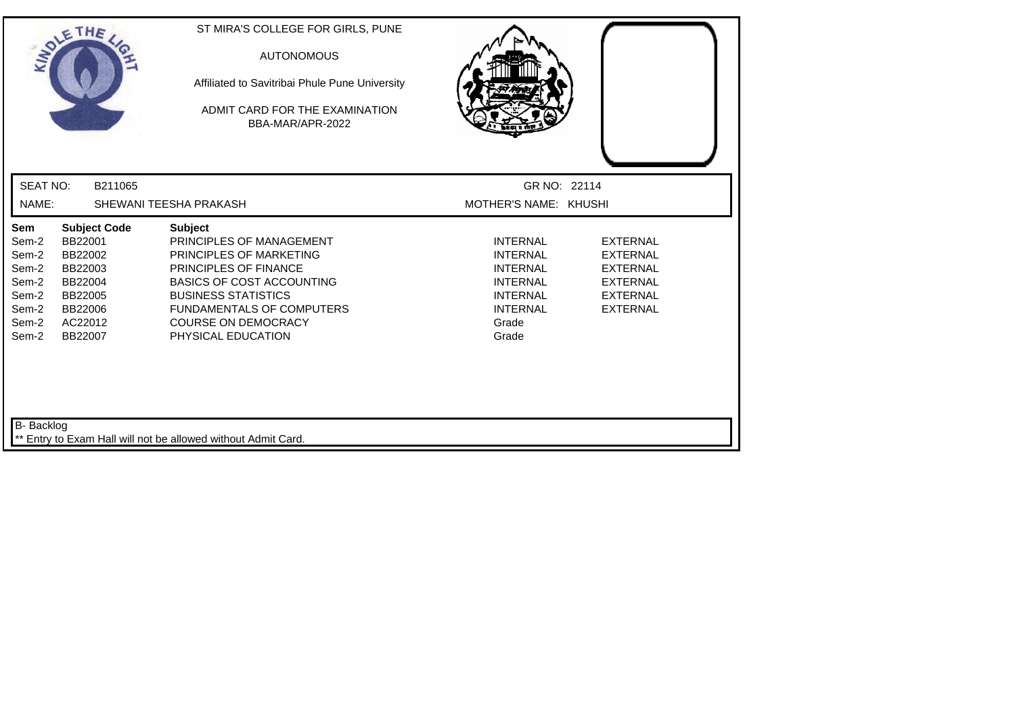|                                                                             | SOLETHE ,                                                                                                   | ST MIRA'S COLLEGE FOR GIRLS, PUNE<br><b>AUTONOMOUS</b><br>Affiliated to Savitribai Phule Pune University<br>ADMIT CARD FOR THE EXAMINATION<br>BBA-MAR/APR-2022                                                                                                  |                                                                                                                                  |                                                                                                                |
|-----------------------------------------------------------------------------|-------------------------------------------------------------------------------------------------------------|-----------------------------------------------------------------------------------------------------------------------------------------------------------------------------------------------------------------------------------------------------------------|----------------------------------------------------------------------------------------------------------------------------------|----------------------------------------------------------------------------------------------------------------|
| <b>SEAT NO:</b>                                                             | B211065                                                                                                     |                                                                                                                                                                                                                                                                 | GR NO: 22114                                                                                                                     |                                                                                                                |
| NAME:                                                                       |                                                                                                             | SHEWANI TEESHA PRAKASH                                                                                                                                                                                                                                          | MOTHER'S NAME: KHUSHI                                                                                                            |                                                                                                                |
| Sem<br>Sem-2<br>Sem-2<br>Sem-2<br>Sem-2<br>Sem-2<br>Sem-2<br>Sem-2<br>Sem-2 | <b>Subject Code</b><br>BB22001<br>BB22002<br>BB22003<br>BB22004<br>BB22005<br>BB22006<br>AC22012<br>BB22007 | <b>Subject</b><br>PRINCIPLES OF MANAGEMENT<br>PRINCIPLES OF MARKETING<br><b>PRINCIPLES OF FINANCE</b><br><b>BASICS OF COST ACCOUNTING</b><br><b>BUSINESS STATISTICS</b><br><b>FUNDAMENTALS OF COMPUTERS</b><br><b>COURSE ON DEMOCRACY</b><br>PHYSICAL EDUCATION | <b>INTERNAL</b><br><b>INTERNAL</b><br><b>INTERNAL</b><br><b>INTERNAL</b><br><b>INTERNAL</b><br><b>INTERNAL</b><br>Grade<br>Grade | <b>EXTERNAL</b><br><b>EXTERNAL</b><br><b>EXTERNAL</b><br><b>EXTERNAL</b><br><b>EXTERNAL</b><br><b>EXTERNAL</b> |
| B- Backlog                                                                  |                                                                                                             | Entry to Exam Hall will not be allowed without Admit Card.                                                                                                                                                                                                      |                                                                                                                                  |                                                                                                                |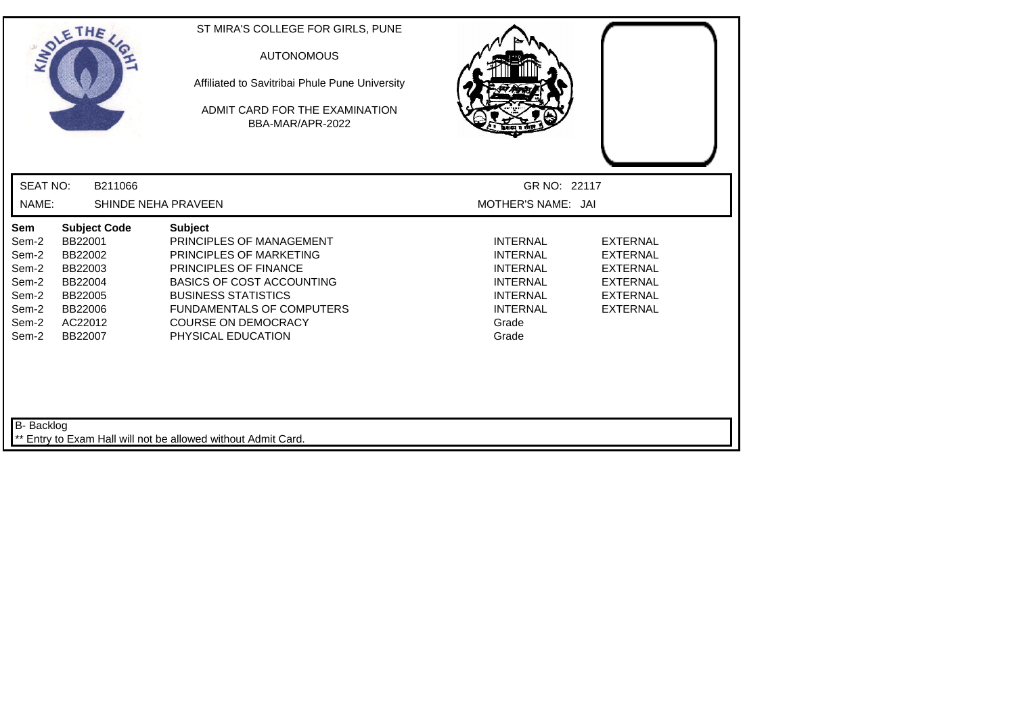| SOLETHE,                                                                                                                                                            |                                                                                           | ST MIRA'S COLLEGE FOR GIRLS, PUNE<br><b>AUTONOMOUS</b><br>Affiliated to Savitribai Phule Pune University<br>ADMIT CARD FOR THE EXAMINATION<br>BBA-MAR/APR-2022                            |                |                                                                                                                |                                                                                                                |
|---------------------------------------------------------------------------------------------------------------------------------------------------------------------|-------------------------------------------------------------------------------------------|-------------------------------------------------------------------------------------------------------------------------------------------------------------------------------------------|----------------|----------------------------------------------------------------------------------------------------------------|----------------------------------------------------------------------------------------------------------------|
| <b>SEAT NO:</b>                                                                                                                                                     | B211066                                                                                   |                                                                                                                                                                                           |                | GR NO: 22117                                                                                                   |                                                                                                                |
| NAME:                                                                                                                                                               | SHINDE NEHA PRAVEEN                                                                       |                                                                                                                                                                                           |                | MOTHER'S NAME: JAI                                                                                             |                                                                                                                |
| Sem<br>BB22001<br>Sem-2<br>Sem-2<br>BB22002<br>Sem-2<br>BB22003<br>Sem-2<br>BB22004<br>Sem-2<br>BB22005<br>Sem-2<br>BB22006<br>Sem-2<br>AC22012<br>Sem-2<br>BB22007 | <b>Subject Code</b><br><b>Subject</b><br><b>BUSINESS STATISTICS</b><br>PHYSICAL EDUCATION | PRINCIPLES OF MANAGEMENT<br><b>PRINCIPLES OF MARKETING</b><br>PRINCIPLES OF FINANCE<br><b>BASICS OF COST ACCOUNTING</b><br><b>FUNDAMENTALS OF COMPUTERS</b><br><b>COURSE ON DEMOCRACY</b> | Grade<br>Grade | <b>INTERNAL</b><br><b>INTERNAL</b><br><b>INTERNAL</b><br><b>INTERNAL</b><br><b>INTERNAL</b><br><b>INTERNAL</b> | <b>EXTERNAL</b><br><b>EXTERNAL</b><br><b>EXTERNAL</b><br><b>EXTERNAL</b><br><b>EXTERNAL</b><br><b>EXTERNAL</b> |
| B- Backlog                                                                                                                                                          | Entry to Exam Hall will not be allowed without Admit Card.                                |                                                                                                                                                                                           |                |                                                                                                                |                                                                                                                |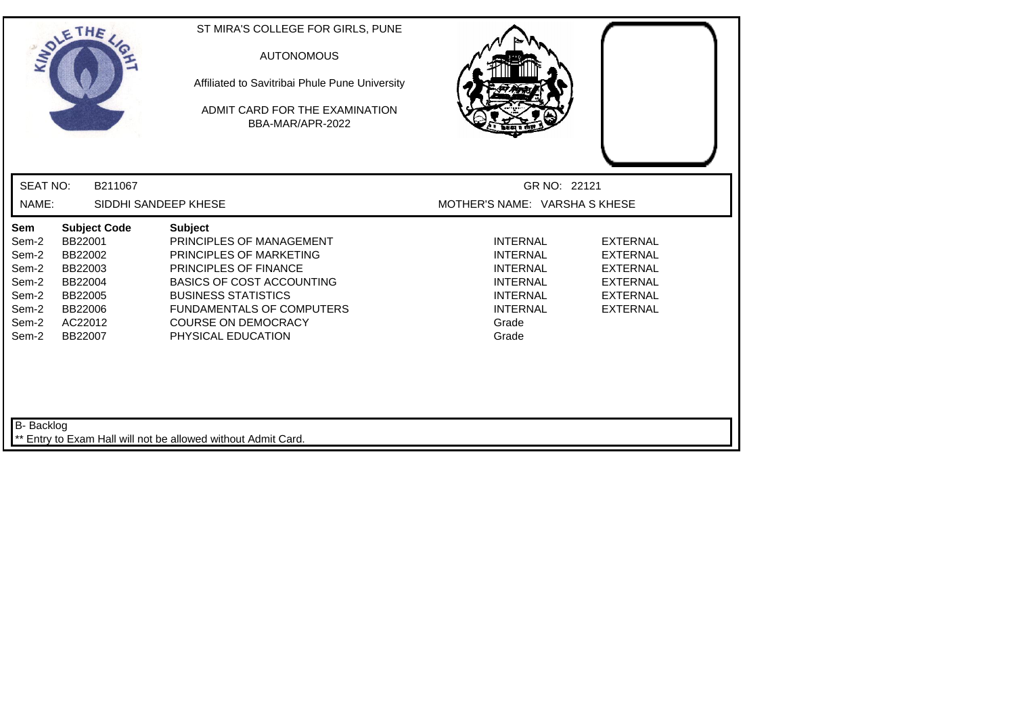|                                                                             | SOLETHE ,                                                                                                   | ST MIRA'S COLLEGE FOR GIRLS, PUNE<br><b>AUTONOMOUS</b><br>Affiliated to Savitribai Phule Pune University<br>ADMIT CARD FOR THE EXAMINATION<br>BBA-MAR/APR-2022                                                                                           |                                                                                                                                  |                                                                                                                |
|-----------------------------------------------------------------------------|-------------------------------------------------------------------------------------------------------------|----------------------------------------------------------------------------------------------------------------------------------------------------------------------------------------------------------------------------------------------------------|----------------------------------------------------------------------------------------------------------------------------------|----------------------------------------------------------------------------------------------------------------|
| <b>SEAT NO:</b>                                                             | B211067                                                                                                     |                                                                                                                                                                                                                                                          | GR NO: 22121                                                                                                                     |                                                                                                                |
| NAME:                                                                       |                                                                                                             | SIDDHI SANDEEP KHESE                                                                                                                                                                                                                                     | MOTHER'S NAME: VARSHA S KHESE                                                                                                    |                                                                                                                |
| Sem<br>Sem-2<br>Sem-2<br>Sem-2<br>Sem-2<br>Sem-2<br>Sem-2<br>Sem-2<br>Sem-2 | <b>Subject Code</b><br>BB22001<br>BB22002<br>BB22003<br>BB22004<br>BB22005<br>BB22006<br>AC22012<br>BB22007 | <b>Subject</b><br>PRINCIPLES OF MANAGEMENT<br>PRINCIPLES OF MARKETING<br>PRINCIPLES OF FINANCE<br><b>BASICS OF COST ACCOUNTING</b><br><b>BUSINESS STATISTICS</b><br><b>FUNDAMENTALS OF COMPUTERS</b><br><b>COURSE ON DEMOCRACY</b><br>PHYSICAL EDUCATION | <b>INTERNAL</b><br><b>INTERNAL</b><br><b>INTERNAL</b><br><b>INTERNAL</b><br><b>INTERNAL</b><br><b>INTERNAL</b><br>Grade<br>Grade | <b>EXTERNAL</b><br><b>EXTERNAL</b><br><b>EXTERNAL</b><br><b>EXTERNAL</b><br><b>EXTERNAL</b><br><b>EXTERNAL</b> |
| B- Backlog                                                                  |                                                                                                             | ** Entry to Exam Hall will not be allowed without Admit Card.                                                                                                                                                                                            |                                                                                                                                  |                                                                                                                |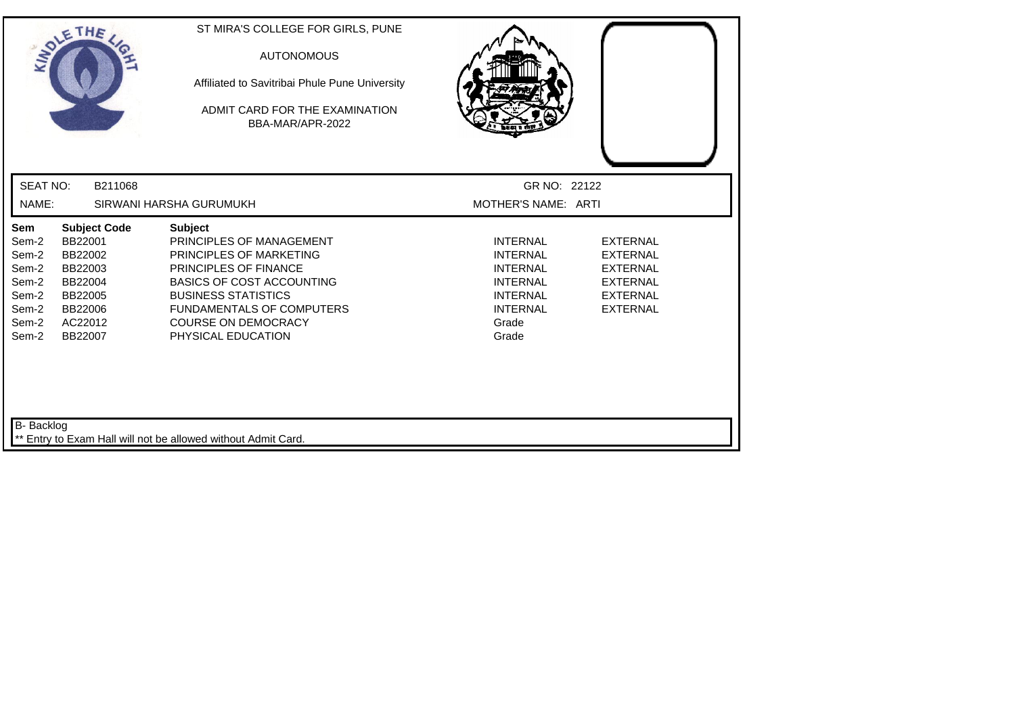| SOLETHE,                                                                                                                                                                                   | ST MIRA'S COLLEGE FOR GIRLS, PUNE<br><b>AUTONOMOUS</b><br>Affiliated to Savitribai Phule Pune University<br>ADMIT CARD FOR THE EXAMINATION<br>BBA-MAR/APR-2022                                                                                                  |                                                                                                                                  |                                                                                                                |
|--------------------------------------------------------------------------------------------------------------------------------------------------------------------------------------------|-----------------------------------------------------------------------------------------------------------------------------------------------------------------------------------------------------------------------------------------------------------------|----------------------------------------------------------------------------------------------------------------------------------|----------------------------------------------------------------------------------------------------------------|
| <b>SEAT NO:</b><br>B211068                                                                                                                                                                 |                                                                                                                                                                                                                                                                 | GR NO: 22122                                                                                                                     |                                                                                                                |
| NAME:                                                                                                                                                                                      | SIRWANI HARSHA GURUMUKH                                                                                                                                                                                                                                         | MOTHER'S NAME: ARTI                                                                                                              |                                                                                                                |
| Sem<br><b>Subject Code</b><br>BB22001<br>Sem-2<br>Sem-2<br>BB22002<br>Sem-2<br>BB22003<br>Sem-2<br>BB22004<br>Sem-2<br>BB22005<br>Sem-2<br>BB22006<br>Sem-2<br>AC22012<br>Sem-2<br>BB22007 | <b>Subject</b><br>PRINCIPLES OF MANAGEMENT<br>PRINCIPLES OF MARKETING<br><b>PRINCIPLES OF FINANCE</b><br><b>BASICS OF COST ACCOUNTING</b><br><b>BUSINESS STATISTICS</b><br><b>FUNDAMENTALS OF COMPUTERS</b><br><b>COURSE ON DEMOCRACY</b><br>PHYSICAL EDUCATION | <b>INTERNAL</b><br><b>INTERNAL</b><br><b>INTERNAL</b><br><b>INTERNAL</b><br><b>INTERNAL</b><br><b>INTERNAL</b><br>Grade<br>Grade | <b>EXTERNAL</b><br><b>EXTERNAL</b><br><b>EXTERNAL</b><br><b>EXTERNAL</b><br><b>EXTERNAL</b><br><b>EXTERNAL</b> |
| B- Backlog                                                                                                                                                                                 | ** Entry to Exam Hall will not be allowed without Admit Card.                                                                                                                                                                                                   |                                                                                                                                  |                                                                                                                |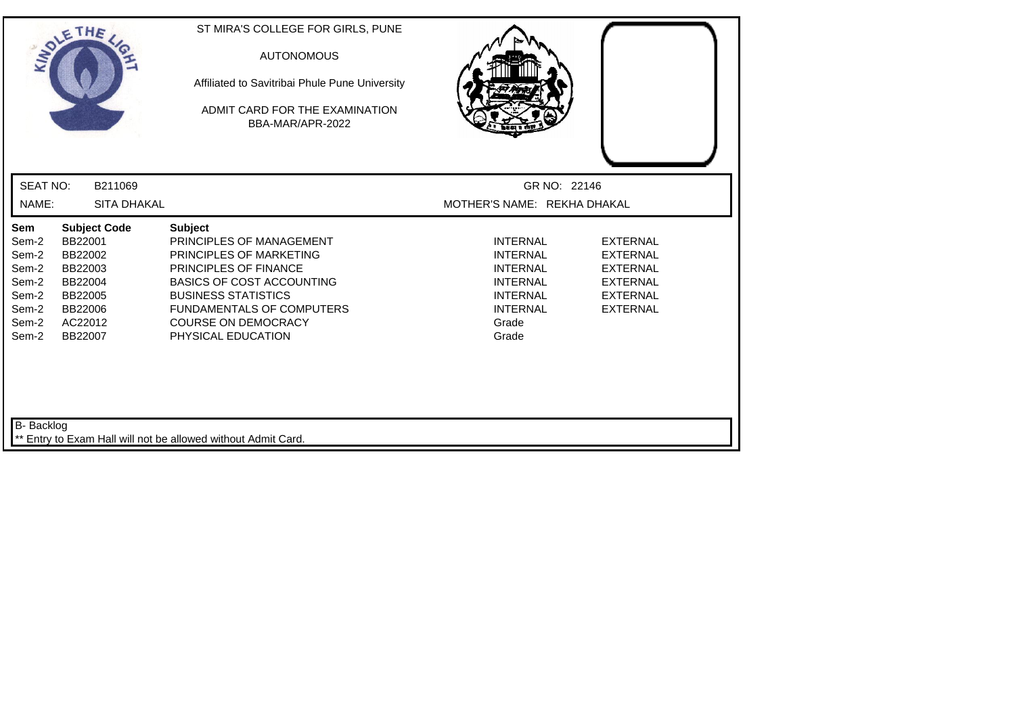| LADLE                                                                       | THE                                                                                                         | ST MIRA'S COLLEGE FOR GIRLS, PUNE<br><b>AUTONOMOUS</b><br>Affiliated to Savitribai Phule Pune University<br>ADMIT CARD FOR THE EXAMINATION<br>BBA-MAR/APR-2022                                                                                           |                                                                                                                                  |                                                                                                                |
|-----------------------------------------------------------------------------|-------------------------------------------------------------------------------------------------------------|----------------------------------------------------------------------------------------------------------------------------------------------------------------------------------------------------------------------------------------------------------|----------------------------------------------------------------------------------------------------------------------------------|----------------------------------------------------------------------------------------------------------------|
| <b>SEAT NO:</b>                                                             | B211069                                                                                                     |                                                                                                                                                                                                                                                          | GR NO: 22146                                                                                                                     |                                                                                                                |
| NAME:                                                                       | SITA DHAKAL                                                                                                 |                                                                                                                                                                                                                                                          | MOTHER'S NAME: REKHA DHAKAL                                                                                                      |                                                                                                                |
| Sem<br>Sem-2<br>Sem-2<br>Sem-2<br>Sem-2<br>Sem-2<br>Sem-2<br>Sem-2<br>Sem-2 | <b>Subject Code</b><br>BB22001<br>BB22002<br>BB22003<br>BB22004<br>BB22005<br>BB22006<br>AC22012<br>BB22007 | <b>Subject</b><br>PRINCIPLES OF MANAGEMENT<br>PRINCIPLES OF MARKETING<br>PRINCIPLES OF FINANCE<br><b>BASICS OF COST ACCOUNTING</b><br><b>BUSINESS STATISTICS</b><br><b>FUNDAMENTALS OF COMPUTERS</b><br><b>COURSE ON DEMOCRACY</b><br>PHYSICAL EDUCATION | <b>INTERNAL</b><br><b>INTERNAL</b><br><b>INTERNAL</b><br><b>INTERNAL</b><br><b>INTERNAL</b><br><b>INTERNAL</b><br>Grade<br>Grade | <b>EXTERNAL</b><br><b>EXTERNAL</b><br><b>EXTERNAL</b><br><b>EXTERNAL</b><br><b>EXTERNAL</b><br><b>EXTERNAL</b> |
| B- Backlog                                                                  |                                                                                                             | ** Entry to Exam Hall will not be allowed without Admit Card.                                                                                                                                                                                            |                                                                                                                                  |                                                                                                                |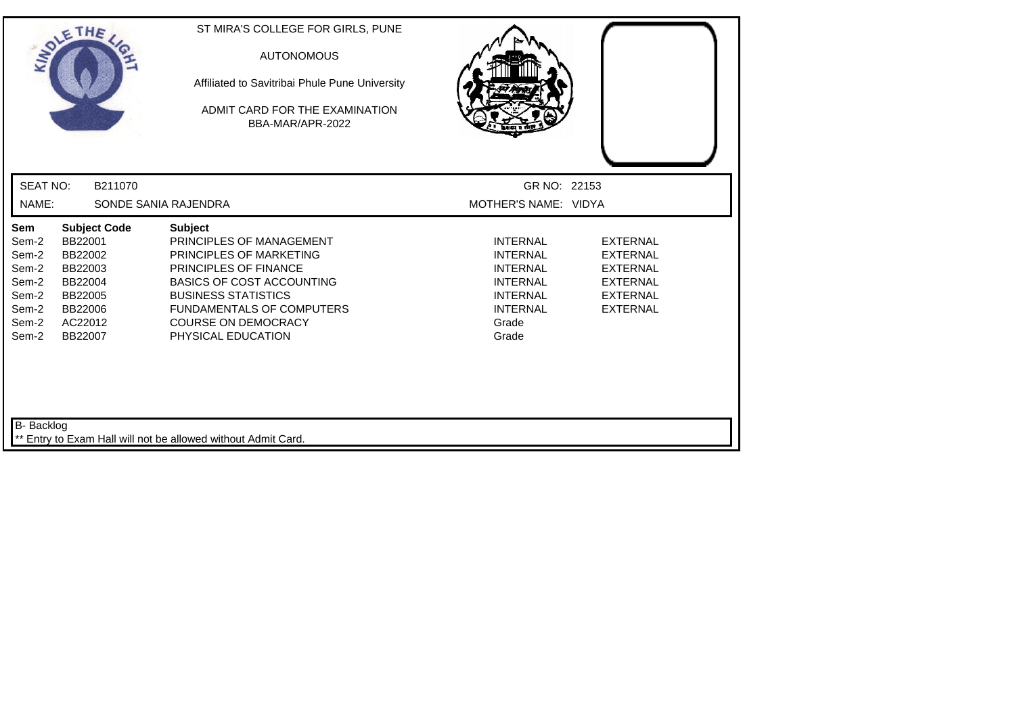| SOLETHE ,                                                                   |                                                                                                             | ST MIRA'S COLLEGE FOR GIRLS, PUNE<br><b>AUTONOMOUS</b><br>Affiliated to Savitribai Phule Pune University<br>ADMIT CARD FOR THE EXAMINATION<br>BBA-MAR/APR-2022                                                                                                  |                                                                                                                                  |                                                                                                                |
|-----------------------------------------------------------------------------|-------------------------------------------------------------------------------------------------------------|-----------------------------------------------------------------------------------------------------------------------------------------------------------------------------------------------------------------------------------------------------------------|----------------------------------------------------------------------------------------------------------------------------------|----------------------------------------------------------------------------------------------------------------|
| <b>SEAT NO:</b>                                                             | B211070                                                                                                     |                                                                                                                                                                                                                                                                 | GR NO: 22153                                                                                                                     |                                                                                                                |
| NAME:                                                                       |                                                                                                             | SONDE SANIA RAJENDRA                                                                                                                                                                                                                                            | MOTHER'S NAME: VIDYA                                                                                                             |                                                                                                                |
| Sem<br>Sem-2<br>Sem-2<br>Sem-2<br>Sem-2<br>Sem-2<br>Sem-2<br>Sem-2<br>Sem-2 | <b>Subject Code</b><br>BB22001<br>BB22002<br>BB22003<br>BB22004<br>BB22005<br>BB22006<br>AC22012<br>BB22007 | <b>Subject</b><br>PRINCIPLES OF MANAGEMENT<br>PRINCIPLES OF MARKETING<br><b>PRINCIPLES OF FINANCE</b><br><b>BASICS OF COST ACCOUNTING</b><br><b>BUSINESS STATISTICS</b><br><b>FUNDAMENTALS OF COMPUTERS</b><br><b>COURSE ON DEMOCRACY</b><br>PHYSICAL EDUCATION | <b>INTERNAL</b><br><b>INTERNAL</b><br><b>INTERNAL</b><br><b>INTERNAL</b><br><b>INTERNAL</b><br><b>INTERNAL</b><br>Grade<br>Grade | <b>EXTERNAL</b><br><b>EXTERNAL</b><br><b>EXTERNAL</b><br><b>EXTERNAL</b><br><b>EXTERNAL</b><br><b>EXTERNAL</b> |
| B- Backlog                                                                  |                                                                                                             | Entry to Exam Hall will not be allowed without Admit Card.                                                                                                                                                                                                      |                                                                                                                                  |                                                                                                                |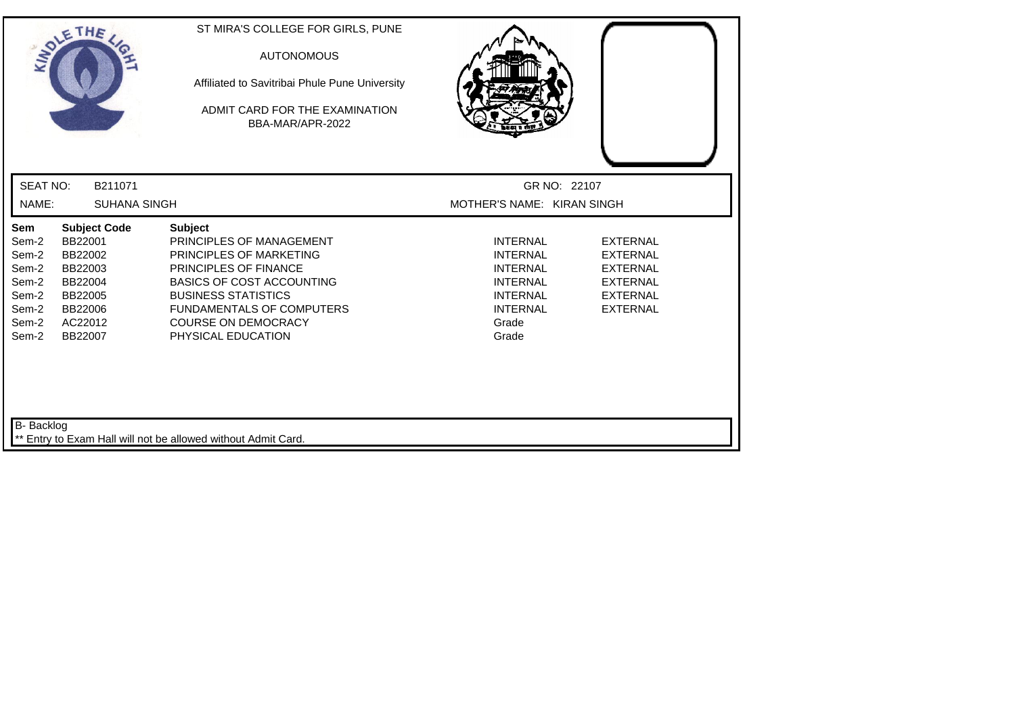|                                                                             | SOLETHE,                                                                                                    | ST MIRA'S COLLEGE FOR GIRLS, PUNE<br><b>AUTONOMOUS</b><br>Affiliated to Savitribai Phule Pune University<br>ADMIT CARD FOR THE EXAMINATION<br>BBA-MAR/APR-2022                                                                                                  |                                                                                                                                  |                                                                                                                |
|-----------------------------------------------------------------------------|-------------------------------------------------------------------------------------------------------------|-----------------------------------------------------------------------------------------------------------------------------------------------------------------------------------------------------------------------------------------------------------------|----------------------------------------------------------------------------------------------------------------------------------|----------------------------------------------------------------------------------------------------------------|
| <b>SEAT NO:</b>                                                             | B211071                                                                                                     |                                                                                                                                                                                                                                                                 | GR NO: 22107                                                                                                                     |                                                                                                                |
| NAME:                                                                       | <b>SUHANA SINGH</b>                                                                                         |                                                                                                                                                                                                                                                                 | MOTHER'S NAME: KIRAN SINGH                                                                                                       |                                                                                                                |
| Sem<br>Sem-2<br>Sem-2<br>Sem-2<br>Sem-2<br>Sem-2<br>Sem-2<br>Sem-2<br>Sem-2 | <b>Subject Code</b><br>BB22001<br>BB22002<br>BB22003<br>BB22004<br>BB22005<br>BB22006<br>AC22012<br>BB22007 | <b>Subject</b><br>PRINCIPLES OF MANAGEMENT<br>PRINCIPLES OF MARKETING<br><b>PRINCIPLES OF FINANCE</b><br><b>BASICS OF COST ACCOUNTING</b><br><b>BUSINESS STATISTICS</b><br><b>FUNDAMENTALS OF COMPUTERS</b><br><b>COURSE ON DEMOCRACY</b><br>PHYSICAL EDUCATION | <b>INTERNAL</b><br><b>INTERNAL</b><br><b>INTERNAL</b><br><b>INTERNAL</b><br><b>INTERNAL</b><br><b>INTERNAL</b><br>Grade<br>Grade | <b>EXTERNAL</b><br><b>EXTERNAL</b><br><b>EXTERNAL</b><br><b>EXTERNAL</b><br><b>EXTERNAL</b><br><b>EXTERNAL</b> |
| B- Backlog                                                                  |                                                                                                             | ** Entry to Exam Hall will not be allowed without Admit Card.                                                                                                                                                                                                   |                                                                                                                                  |                                                                                                                |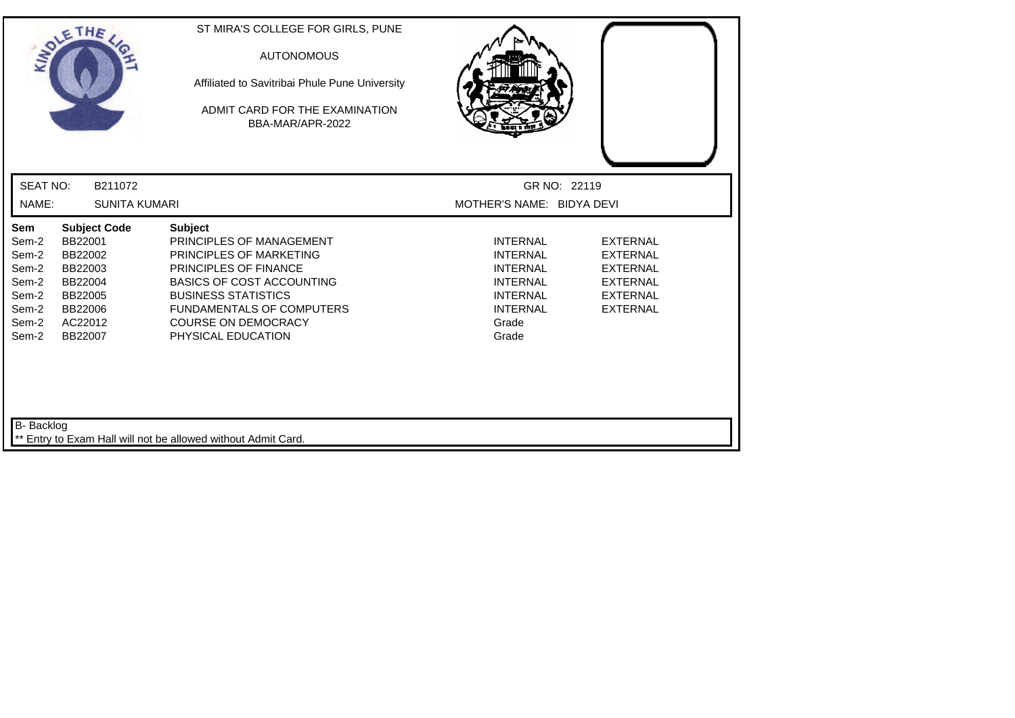| SOLETHE,                                                                    |                                                                                                             | ST MIRA'S COLLEGE FOR GIRLS, PUNE<br><b>AUTONOMOUS</b><br>Affiliated to Savitribai Phule Pune University<br>ADMIT CARD FOR THE EXAMINATION<br>BBA-MAR/APR-2022                                                                                           |                                                                                                                                  |                                                                                                                |
|-----------------------------------------------------------------------------|-------------------------------------------------------------------------------------------------------------|----------------------------------------------------------------------------------------------------------------------------------------------------------------------------------------------------------------------------------------------------------|----------------------------------------------------------------------------------------------------------------------------------|----------------------------------------------------------------------------------------------------------------|
| <b>SEAT NO:</b>                                                             | B211072                                                                                                     |                                                                                                                                                                                                                                                          | GR NO: 22119                                                                                                                     |                                                                                                                |
| NAME:                                                                       | <b>SUNITA KUMARI</b>                                                                                        |                                                                                                                                                                                                                                                          | MOTHER'S NAME: BIDYA DEVI                                                                                                        |                                                                                                                |
| Sem<br>Sem-2<br>Sem-2<br>Sem-2<br>Sem-2<br>Sem-2<br>Sem-2<br>Sem-2<br>Sem-2 | <b>Subject Code</b><br>BB22001<br>BB22002<br>BB22003<br>BB22004<br>BB22005<br>BB22006<br>AC22012<br>BB22007 | <b>Subject</b><br>PRINCIPLES OF MANAGEMENT<br>PRINCIPLES OF MARKETING<br>PRINCIPLES OF FINANCE<br><b>BASICS OF COST ACCOUNTING</b><br><b>BUSINESS STATISTICS</b><br><b>FUNDAMENTALS OF COMPUTERS</b><br><b>COURSE ON DEMOCRACY</b><br>PHYSICAL EDUCATION | <b>INTERNAL</b><br><b>INTERNAL</b><br><b>INTERNAL</b><br><b>INTERNAL</b><br><b>INTERNAL</b><br><b>INTERNAL</b><br>Grade<br>Grade | <b>EXTERNAL</b><br><b>EXTERNAL</b><br><b>EXTERNAL</b><br><b>EXTERNAL</b><br><b>EXTERNAL</b><br><b>EXTERNAL</b> |
| B- Backlog                                                                  |                                                                                                             | ** Entry to Exam Hall will not be allowed without Admit Card.                                                                                                                                                                                            |                                                                                                                                  |                                                                                                                |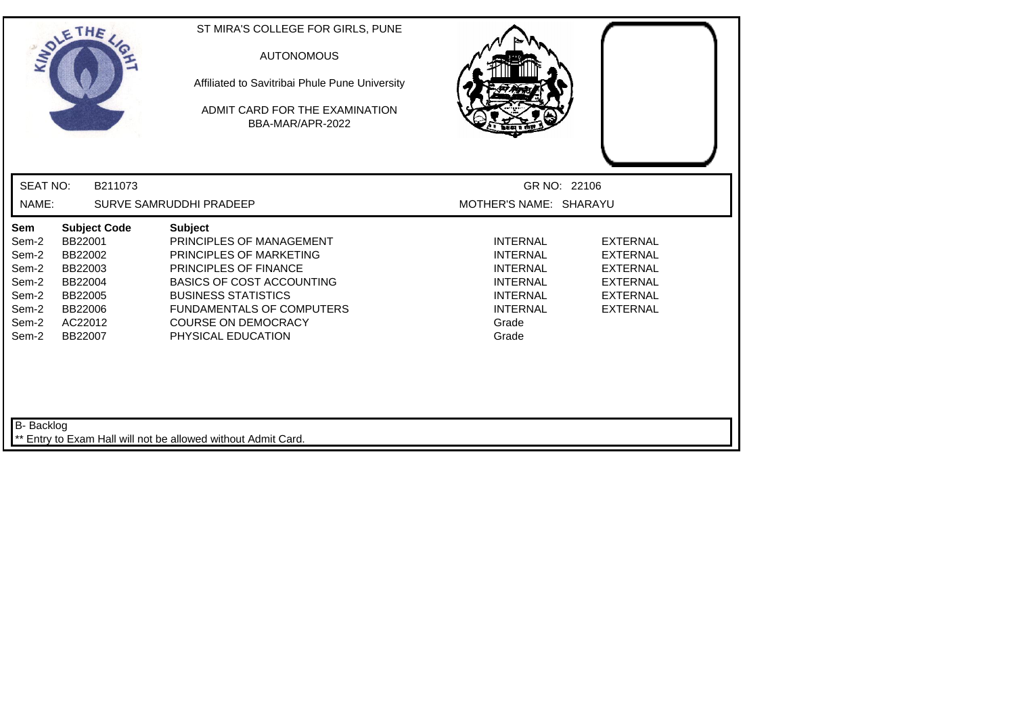| INDIE                                                                       | THE                                                                                                         | ST MIRA'S COLLEGE FOR GIRLS, PUNE<br><b>AUTONOMOUS</b><br>Affiliated to Savitribai Phule Pune University<br>ADMIT CARD FOR THE EXAMINATION<br>BBA-MAR/APR-2022                                                                                                  |                                                                                                                                  |                                                                                                                |
|-----------------------------------------------------------------------------|-------------------------------------------------------------------------------------------------------------|-----------------------------------------------------------------------------------------------------------------------------------------------------------------------------------------------------------------------------------------------------------------|----------------------------------------------------------------------------------------------------------------------------------|----------------------------------------------------------------------------------------------------------------|
| <b>SEAT NO:</b>                                                             | B211073                                                                                                     |                                                                                                                                                                                                                                                                 | GR NO: 22106                                                                                                                     |                                                                                                                |
| NAME:                                                                       |                                                                                                             | SURVE SAMRUDDHI PRADEEP                                                                                                                                                                                                                                         | MOTHER'S NAME: SHARAYU                                                                                                           |                                                                                                                |
| Sem<br>Sem-2<br>Sem-2<br>Sem-2<br>Sem-2<br>Sem-2<br>Sem-2<br>Sem-2<br>Sem-2 | <b>Subject Code</b><br>BB22001<br>BB22002<br>BB22003<br>BB22004<br>BB22005<br>BB22006<br>AC22012<br>BB22007 | <b>Subject</b><br>PRINCIPLES OF MANAGEMENT<br>PRINCIPLES OF MARKETING<br><b>PRINCIPLES OF FINANCE</b><br><b>BASICS OF COST ACCOUNTING</b><br><b>BUSINESS STATISTICS</b><br><b>FUNDAMENTALS OF COMPUTERS</b><br><b>COURSE ON DEMOCRACY</b><br>PHYSICAL EDUCATION | <b>INTERNAL</b><br><b>INTERNAL</b><br><b>INTERNAL</b><br><b>INTERNAL</b><br><b>INTERNAL</b><br><b>INTERNAL</b><br>Grade<br>Grade | <b>EXTERNAL</b><br><b>EXTERNAL</b><br><b>EXTERNAL</b><br><b>EXTERNAL</b><br><b>EXTERNAL</b><br><b>EXTERNAL</b> |
| B- Backlog                                                                  |                                                                                                             | ** Entry to Exam Hall will not be allowed without Admit Card.                                                                                                                                                                                                   |                                                                                                                                  |                                                                                                                |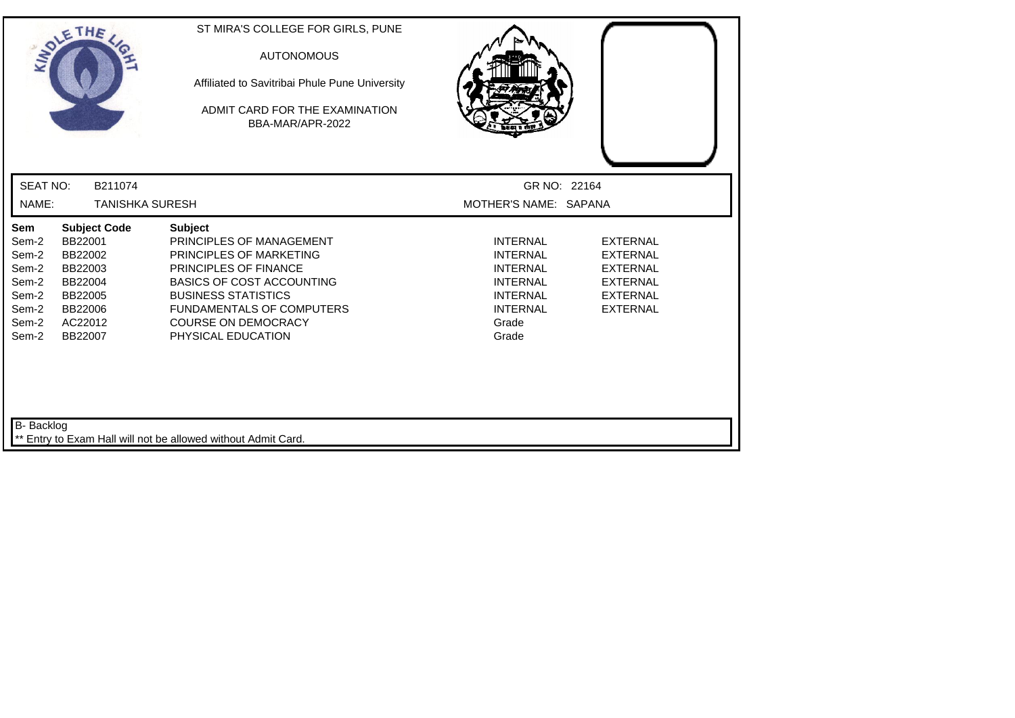| SOLETHE,                                                                                                                                                                                   | ST MIRA'S COLLEGE FOR GIRLS, PUNE<br><b>AUTONOMOUS</b><br>Affiliated to Savitribai Phule Pune University<br>ADMIT CARD FOR THE EXAMINATION<br>BBA-MAR/APR-2022                                                                                           |                                                                                                                                  |                                                                                                                |
|--------------------------------------------------------------------------------------------------------------------------------------------------------------------------------------------|----------------------------------------------------------------------------------------------------------------------------------------------------------------------------------------------------------------------------------------------------------|----------------------------------------------------------------------------------------------------------------------------------|----------------------------------------------------------------------------------------------------------------|
| <b>SEAT NO:</b><br>B211074                                                                                                                                                                 |                                                                                                                                                                                                                                                          | GR NO: 22164                                                                                                                     |                                                                                                                |
| NAME:<br><b>TANISHKA SURESH</b>                                                                                                                                                            |                                                                                                                                                                                                                                                          | MOTHER'S NAME: SAPANA                                                                                                            |                                                                                                                |
| Sem<br><b>Subject Code</b><br>BB22001<br>Sem-2<br>Sem-2<br>BB22002<br>Sem-2<br>BB22003<br>Sem-2<br>BB22004<br>Sem-2<br>BB22005<br>Sem-2<br>BB22006<br>Sem-2<br>AC22012<br>Sem-2<br>BB22007 | <b>Subject</b><br>PRINCIPLES OF MANAGEMENT<br>PRINCIPLES OF MARKETING<br>PRINCIPLES OF FINANCE<br><b>BASICS OF COST ACCOUNTING</b><br><b>BUSINESS STATISTICS</b><br><b>FUNDAMENTALS OF COMPUTERS</b><br><b>COURSE ON DEMOCRACY</b><br>PHYSICAL EDUCATION | <b>INTERNAL</b><br><b>INTERNAL</b><br><b>INTERNAL</b><br><b>INTERNAL</b><br><b>INTERNAL</b><br><b>INTERNAL</b><br>Grade<br>Grade | <b>EXTERNAL</b><br><b>EXTERNAL</b><br><b>EXTERNAL</b><br><b>EXTERNAL</b><br><b>EXTERNAL</b><br><b>EXTERNAL</b> |
| B- Backlog                                                                                                                                                                                 | ** Entry to Exam Hall will not be allowed without Admit Card.                                                                                                                                                                                            |                                                                                                                                  |                                                                                                                |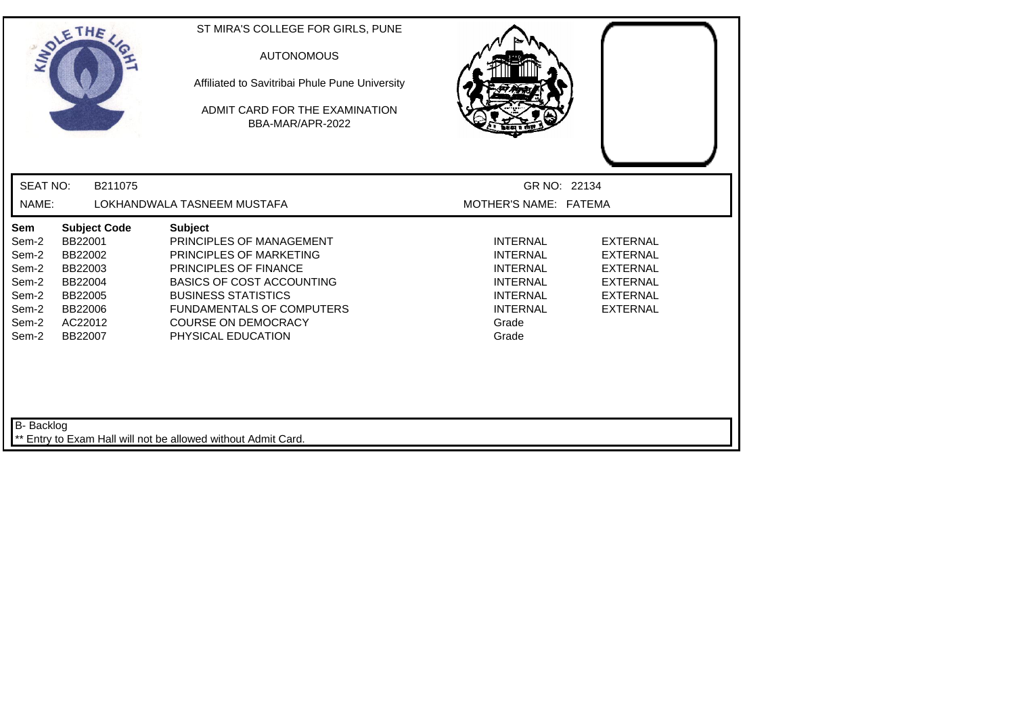| SOLETHE,                                                                    |                                                                                                             | ST MIRA'S COLLEGE FOR GIRLS, PUNE<br><b>AUTONOMOUS</b><br>Affiliated to Savitribai Phule Pune University<br>ADMIT CARD FOR THE EXAMINATION<br>BBA-MAR/APR-2022                                                                                                  |                                                                                                                                  |                                                                                                                |
|-----------------------------------------------------------------------------|-------------------------------------------------------------------------------------------------------------|-----------------------------------------------------------------------------------------------------------------------------------------------------------------------------------------------------------------------------------------------------------------|----------------------------------------------------------------------------------------------------------------------------------|----------------------------------------------------------------------------------------------------------------|
| <b>SEAT NO:</b>                                                             | B211075                                                                                                     |                                                                                                                                                                                                                                                                 | GR NO: 22134                                                                                                                     |                                                                                                                |
| NAME:                                                                       |                                                                                                             | LOKHANDWALA TASNEEM MUSTAFA                                                                                                                                                                                                                                     | MOTHER'S NAME: FATEMA                                                                                                            |                                                                                                                |
| Sem<br>Sem-2<br>Sem-2<br>Sem-2<br>Sem-2<br>Sem-2<br>Sem-2<br>Sem-2<br>Sem-2 | <b>Subject Code</b><br>BB22001<br>BB22002<br>BB22003<br>BB22004<br>BB22005<br>BB22006<br>AC22012<br>BB22007 | <b>Subject</b><br>PRINCIPLES OF MANAGEMENT<br><b>PRINCIPLES OF MARKETING</b><br>PRINCIPLES OF FINANCE<br><b>BASICS OF COST ACCOUNTING</b><br><b>BUSINESS STATISTICS</b><br><b>FUNDAMENTALS OF COMPUTERS</b><br><b>COURSE ON DEMOCRACY</b><br>PHYSICAL EDUCATION | <b>INTERNAL</b><br><b>INTERNAL</b><br><b>INTERNAL</b><br><b>INTERNAL</b><br><b>INTERNAL</b><br><b>INTERNAL</b><br>Grade<br>Grade | <b>EXTERNAL</b><br><b>EXTERNAL</b><br><b>EXTERNAL</b><br><b>EXTERNAL</b><br><b>EXTERNAL</b><br><b>EXTERNAL</b> |
| B- Backlog                                                                  |                                                                                                             | Entry to Exam Hall will not be allowed without Admit Card.                                                                                                                                                                                                      |                                                                                                                                  |                                                                                                                |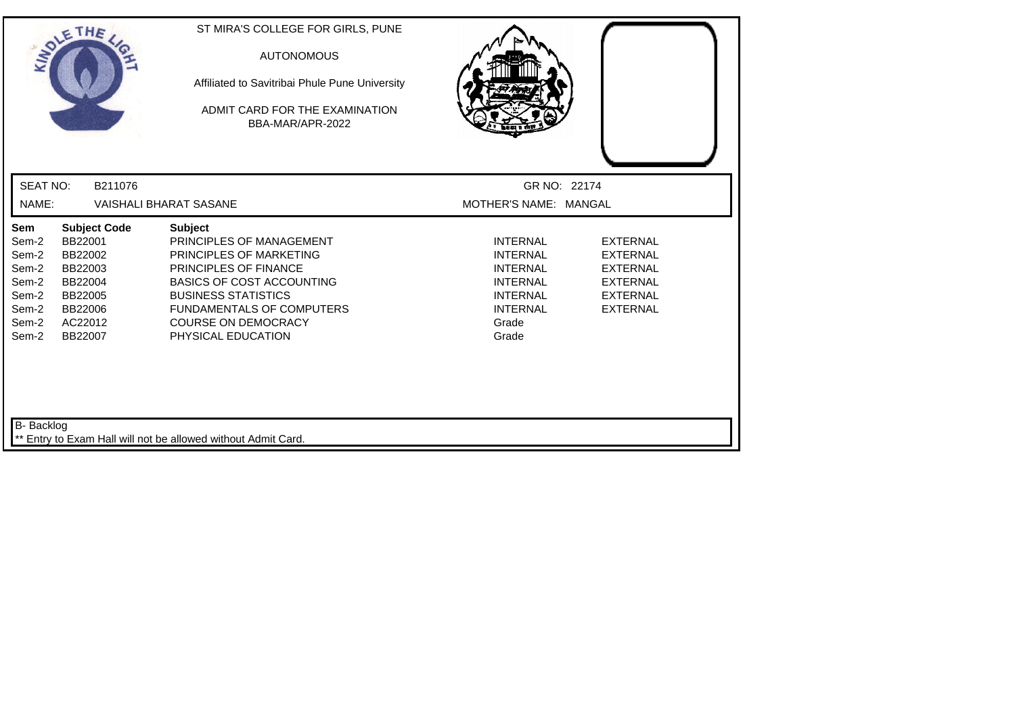| SOLETHE,                                                                                                                                                            |                                       | ST MIRA'S COLLEGE FOR GIRLS, PUNE<br><b>AUTONOMOUS</b><br>Affiliated to Savitribai Phule Pune University<br>ADMIT CARD FOR THE EXAMINATION<br>BBA-MAR/APR-2022                                                                                |                                                                                                                                  |                                                                                                                |
|---------------------------------------------------------------------------------------------------------------------------------------------------------------------|---------------------------------------|-----------------------------------------------------------------------------------------------------------------------------------------------------------------------------------------------------------------------------------------------|----------------------------------------------------------------------------------------------------------------------------------|----------------------------------------------------------------------------------------------------------------|
| <b>SEAT NO:</b>                                                                                                                                                     | B211076                               |                                                                                                                                                                                                                                               | GR NO: 22174                                                                                                                     |                                                                                                                |
| NAME:                                                                                                                                                               | <b>VAISHALI BHARAT SASANE</b>         |                                                                                                                                                                                                                                               | MOTHER'S NAME: MANGAL                                                                                                            |                                                                                                                |
| Sem<br>BB22001<br>Sem-2<br>Sem-2<br>BB22002<br>Sem-2<br>BB22003<br>Sem-2<br>BB22004<br>Sem-2<br>BB22005<br>Sem-2<br>BB22006<br>Sem-2<br>AC22012<br>Sem-2<br>BB22007 | <b>Subject Code</b><br><b>Subject</b> | PRINCIPLES OF MANAGEMENT<br><b>PRINCIPLES OF MARKETING</b><br>PRINCIPLES OF FINANCE<br><b>BASICS OF COST ACCOUNTING</b><br><b>BUSINESS STATISTICS</b><br><b>FUNDAMENTALS OF COMPUTERS</b><br><b>COURSE ON DEMOCRACY</b><br>PHYSICAL EDUCATION | <b>INTERNAL</b><br><b>INTERNAL</b><br><b>INTERNAL</b><br><b>INTERNAL</b><br><b>INTERNAL</b><br><b>INTERNAL</b><br>Grade<br>Grade | <b>EXTERNAL</b><br><b>EXTERNAL</b><br><b>EXTERNAL</b><br><b>EXTERNAL</b><br><b>EXTERNAL</b><br><b>EXTERNAL</b> |
| B- Backlog                                                                                                                                                          |                                       | Entry to Exam Hall will not be allowed without Admit Card.                                                                                                                                                                                    |                                                                                                                                  |                                                                                                                |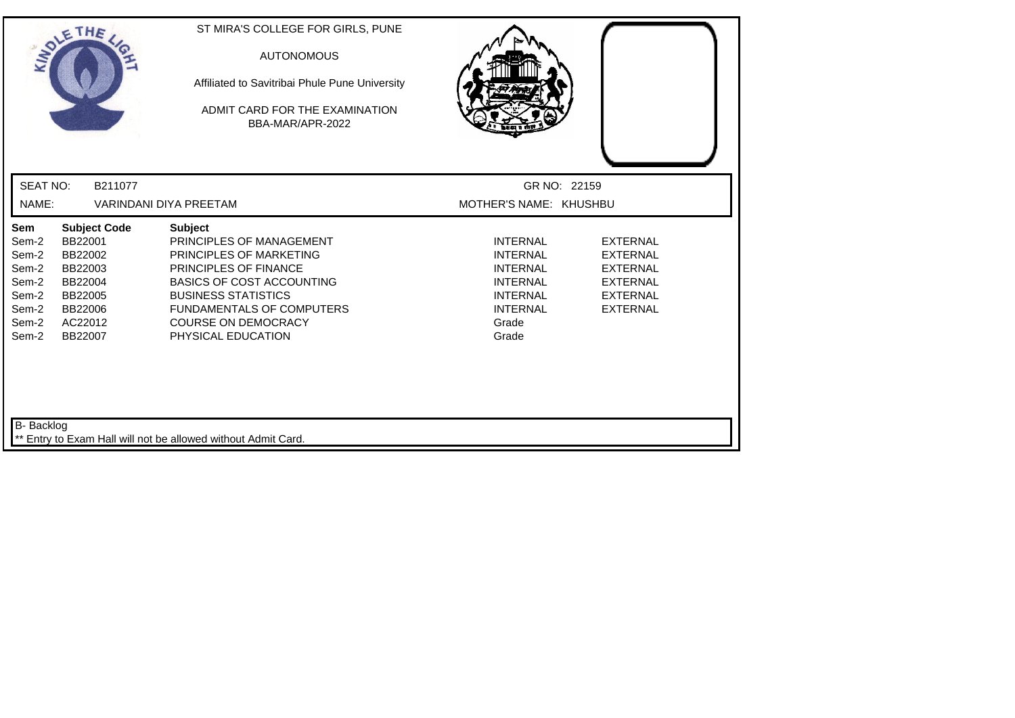| SOLETHE,                                                                                                                                                                                   | ST MIRA'S COLLEGE FOR GIRLS, PUNE<br><b>AUTONOMOUS</b><br>Affiliated to Savitribai Phule Pune University<br>ADMIT CARD FOR THE EXAMINATION<br>BBA-MAR/APR-2022                                                                                           |                                                                                                                                  |                                                                                                                |  |  |
|--------------------------------------------------------------------------------------------------------------------------------------------------------------------------------------------|----------------------------------------------------------------------------------------------------------------------------------------------------------------------------------------------------------------------------------------------------------|----------------------------------------------------------------------------------------------------------------------------------|----------------------------------------------------------------------------------------------------------------|--|--|
| <b>SEAT NO:</b><br>B211077                                                                                                                                                                 |                                                                                                                                                                                                                                                          | GR NO: 22159                                                                                                                     |                                                                                                                |  |  |
| NAME:<br><b>VARINDANI DIYA PREETAM</b>                                                                                                                                                     |                                                                                                                                                                                                                                                          |                                                                                                                                  | MOTHER'S NAME: KHUSHBU                                                                                         |  |  |
| Sem<br><b>Subject Code</b><br>BB22001<br>Sem-2<br>Sem-2<br>BB22002<br>Sem-2<br>BB22003<br>Sem-2<br>BB22004<br>Sem-2<br>BB22005<br>Sem-2<br>BB22006<br>Sem-2<br>AC22012<br>Sem-2<br>BB22007 | <b>Subject</b><br>PRINCIPLES OF MANAGEMENT<br>PRINCIPLES OF MARKETING<br>PRINCIPLES OF FINANCE<br><b>BASICS OF COST ACCOUNTING</b><br><b>BUSINESS STATISTICS</b><br><b>FUNDAMENTALS OF COMPUTERS</b><br><b>COURSE ON DEMOCRACY</b><br>PHYSICAL EDUCATION | <b>INTERNAL</b><br><b>INTERNAL</b><br><b>INTERNAL</b><br><b>INTERNAL</b><br><b>INTERNAL</b><br><b>INTERNAL</b><br>Grade<br>Grade | <b>EXTERNAL</b><br><b>EXTERNAL</b><br><b>EXTERNAL</b><br><b>EXTERNAL</b><br><b>EXTERNAL</b><br><b>EXTERNAL</b> |  |  |
| B- Backlog                                                                                                                                                                                 | ** Entry to Exam Hall will not be allowed without Admit Card.                                                                                                                                                                                            |                                                                                                                                  |                                                                                                                |  |  |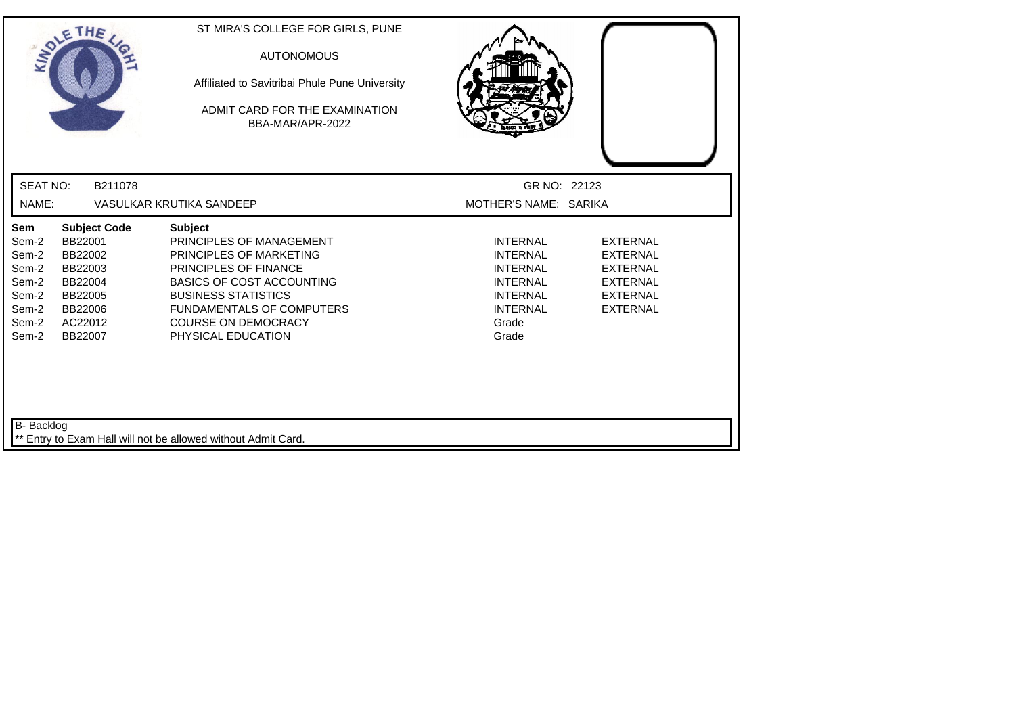| SOLETHE,                                                                                                                                                                                   | ST MIRA'S COLLEGE FOR GIRLS, PUNE<br><b>AUTONOMOUS</b><br>Affiliated to Savitribai Phule Pune University<br>ADMIT CARD FOR THE EXAMINATION<br>BBA-MAR/APR-2022                                                                                                         |                                                                                                                                  |                                                                                                                |
|--------------------------------------------------------------------------------------------------------------------------------------------------------------------------------------------|------------------------------------------------------------------------------------------------------------------------------------------------------------------------------------------------------------------------------------------------------------------------|----------------------------------------------------------------------------------------------------------------------------------|----------------------------------------------------------------------------------------------------------------|
| <b>SEAT NO:</b><br>B211078                                                                                                                                                                 |                                                                                                                                                                                                                                                                        | GR NO: 22123                                                                                                                     |                                                                                                                |
| NAME:<br>VASULKAR KRUTIKA SANDEEP                                                                                                                                                          |                                                                                                                                                                                                                                                                        | MOTHER'S NAME: SARIKA                                                                                                            |                                                                                                                |
| <b>Subject Code</b><br>Sem<br>BB22001<br>Sem-2<br>Sem-2<br>BB22002<br>Sem-2<br>BB22003<br>Sem-2<br>BB22004<br>Sem-2<br>BB22005<br>Sem-2<br>BB22006<br>Sem-2<br>AC22012<br>Sem-2<br>BB22007 | <b>Subject</b><br>PRINCIPLES OF MANAGEMENT<br><b>PRINCIPLES OF MARKETING</b><br><b>PRINCIPLES OF FINANCE</b><br><b>BASICS OF COST ACCOUNTING</b><br><b>BUSINESS STATISTICS</b><br><b>FUNDAMENTALS OF COMPUTERS</b><br><b>COURSE ON DEMOCRACY</b><br>PHYSICAL EDUCATION | <b>INTERNAL</b><br><b>INTERNAL</b><br><b>INTERNAL</b><br><b>INTERNAL</b><br><b>INTERNAL</b><br><b>INTERNAL</b><br>Grade<br>Grade | <b>EXTERNAL</b><br><b>EXTERNAL</b><br><b>EXTERNAL</b><br><b>EXTERNAL</b><br><b>EXTERNAL</b><br><b>EXTERNAL</b> |
| B- Backlog                                                                                                                                                                                 | ** Entry to Exam Hall will not be allowed without Admit Card.                                                                                                                                                                                                          |                                                                                                                                  |                                                                                                                |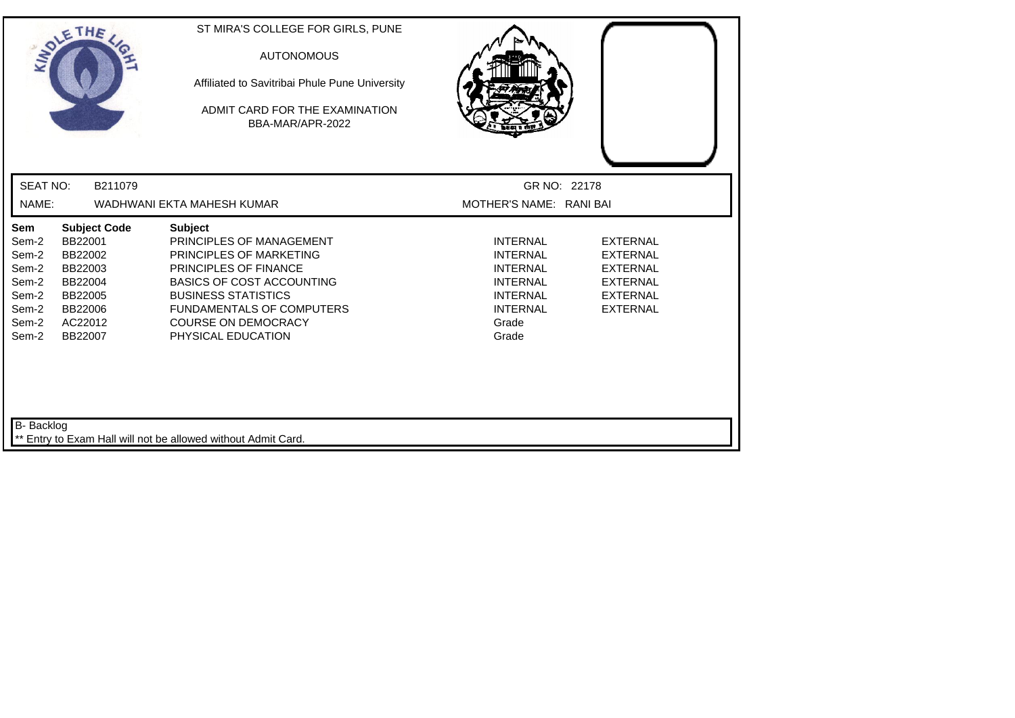| SOLETHE,                                                                                                                                                                                   | ST MIRA'S COLLEGE FOR GIRLS, PUNE<br><b>AUTONOMOUS</b><br>Affiliated to Savitribai Phule Pune University<br>ADMIT CARD FOR THE EXAMINATION<br>BBA-MAR/APR-2022                                                                                                  |                                                                                                                                  |                                                                                                                |
|--------------------------------------------------------------------------------------------------------------------------------------------------------------------------------------------|-----------------------------------------------------------------------------------------------------------------------------------------------------------------------------------------------------------------------------------------------------------------|----------------------------------------------------------------------------------------------------------------------------------|----------------------------------------------------------------------------------------------------------------|
| <b>SEAT NO:</b><br>B211079                                                                                                                                                                 |                                                                                                                                                                                                                                                                 | GR NO: 22178                                                                                                                     |                                                                                                                |
| NAME:                                                                                                                                                                                      | WADHWANI EKTA MAHESH KUMAR                                                                                                                                                                                                                                      | MOTHER'S NAME: RANI BAI                                                                                                          |                                                                                                                |
| Sem<br><b>Subject Code</b><br>BB22001<br>Sem-2<br>Sem-2<br>BB22002<br>Sem-2<br>BB22003<br>Sem-2<br>BB22004<br>Sem-2<br>BB22005<br>Sem-2<br>BB22006<br>Sem-2<br>AC22012<br>Sem-2<br>BB22007 | <b>Subject</b><br>PRINCIPLES OF MANAGEMENT<br>PRINCIPLES OF MARKETING<br><b>PRINCIPLES OF FINANCE</b><br><b>BASICS OF COST ACCOUNTING</b><br><b>BUSINESS STATISTICS</b><br><b>FUNDAMENTALS OF COMPUTERS</b><br><b>COURSE ON DEMOCRACY</b><br>PHYSICAL EDUCATION | <b>INTERNAL</b><br><b>INTERNAL</b><br><b>INTERNAL</b><br><b>INTERNAL</b><br><b>INTERNAL</b><br><b>INTERNAL</b><br>Grade<br>Grade | <b>EXTERNAL</b><br><b>EXTERNAL</b><br><b>EXTERNAL</b><br><b>EXTERNAL</b><br><b>EXTERNAL</b><br><b>EXTERNAL</b> |
| B- Backlog                                                                                                                                                                                 | Entry to Exam Hall will not be allowed without Admit Card.                                                                                                                                                                                                      |                                                                                                                                  |                                                                                                                |